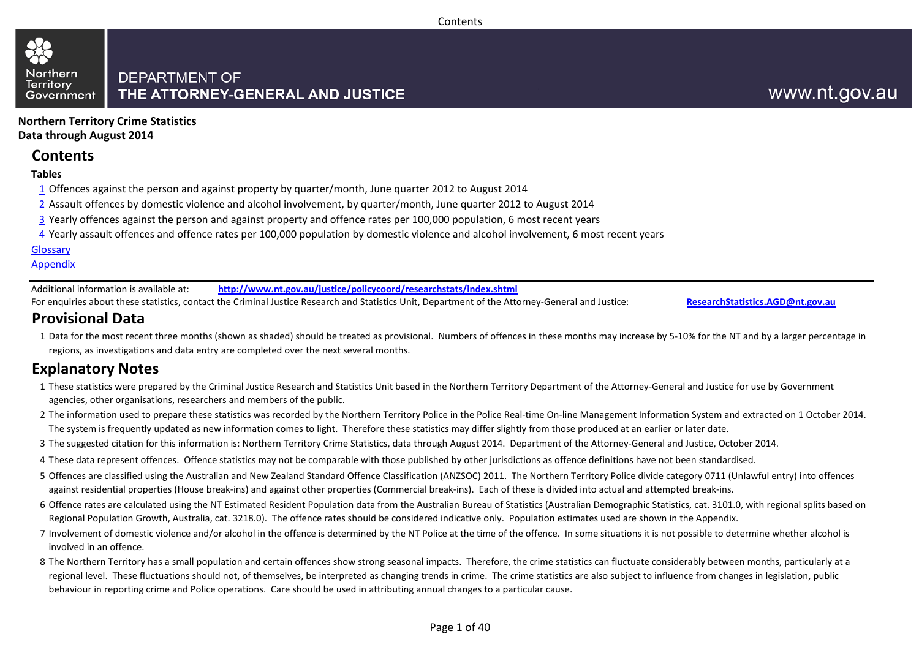#### **Contents**

#### Northern **DEPARTMENT OF** THE ATTORNEY-GENERAL AND JUSTICE Government

## www.nt.gov.au

**Northern Territory Crime Statistics Data through August 2014**

## **Contents**

### **Tables**

**Territory** 

- 1 Offences against the person and against property by quarter/month, June quarter 2012 to August 2014
- 2 Assault offences by domestic violence and alcohol involvement, by quarter/month, June quarter 2012 to August 2014
- 3 Yearly offences against the person and against property and offence rates per 100,000 population, 6 most recent years
- 4 Yearly assault offences and offence rates per 100,000 population by domestic violence and alcohol involvement, 6 most recent years

#### **[Glossary](#page-37-0)**

### Appendix

Additional information is available at: **<http://www.nt.gov.au/justice/policycoord/researchstats/index.shtml>**

For enquiries about these statistics, contact the Criminal Justice Research and Statistics Unit, Department of the Attorney-General and Justice: **[ResearchStatistics.AGD@nt.gov.au](mailto:ResearchStatistics.DOJ@nt.gov.au)**

## **Provisional Data**

1 Data for the most recent three months (shown as shaded) should be treated as provisional. Numbers of offences in these months may increase by 5-10% for the NT and by a larger percentage in regions, as investigations and data entry are completed over the next several months.

## **Explanatory Notes**

- 1 These statistics were prepared by the Criminal Justice Research and Statistics Unit based in the Northern Territory Department of the Attorney-General and Justice for use by Government agencies, other organisations, researchers and members of the public.
- 2 The information used to prepare these statistics was recorded by the Northern Territory Police in the Police Real-time On-line Management Information System and extracted on 1 October 2014. The system is frequently updated as new information comes to light. Therefore these statistics may differ slightly from those produced at an earlier or later date.
- 3 The suggested citation for this information is: Northern Territory Crime Statistics, data through August 2014. Department of the Attorney-General and Justice, October 2014.
- 4 These data represent offences. Offence statistics may not be comparable with those published by other jurisdictions as offence definitions have not been standardised.
- 5 Offences are classified using the Australian and New Zealand Standard Offence Classification (ANZSOC) 2011. The Northern Territory Police divide category 0711 (Unlawful entry) into offences against residential properties (House break-ins) and against other properties (Commercial break-ins). Each of these is divided into actual and attempted break-ins.
- 6 Offence rates are calculated using the NT Estimated Resident Population data from the Australian Bureau of Statistics (Australian Demographic Statistics, cat. 3101.0, with regional splits based on Regional Population Growth, Australia, cat. 3218.0). The offence rates should be considered indicative only. Population estimates used are shown in the Appendix.
- 7 Involvement of domestic violence and/or alcohol in the offence is determined by the NT Police at the time of the offence. In some situations it is not possible to determine whether alcohol is involved in an offence.
- 8 The Northern Territory has a small population and certain offences show strong seasonal impacts. Therefore, the crime statistics can fluctuate considerably between months, particularly at a regional level. These fluctuations should not, of themselves, be interpreted as changing trends in crime. The crime statistics are also subject to influence from changes in legislation, public behaviour in reporting crime and Police operations. Care should be used in attributing annual changes to a particular cause.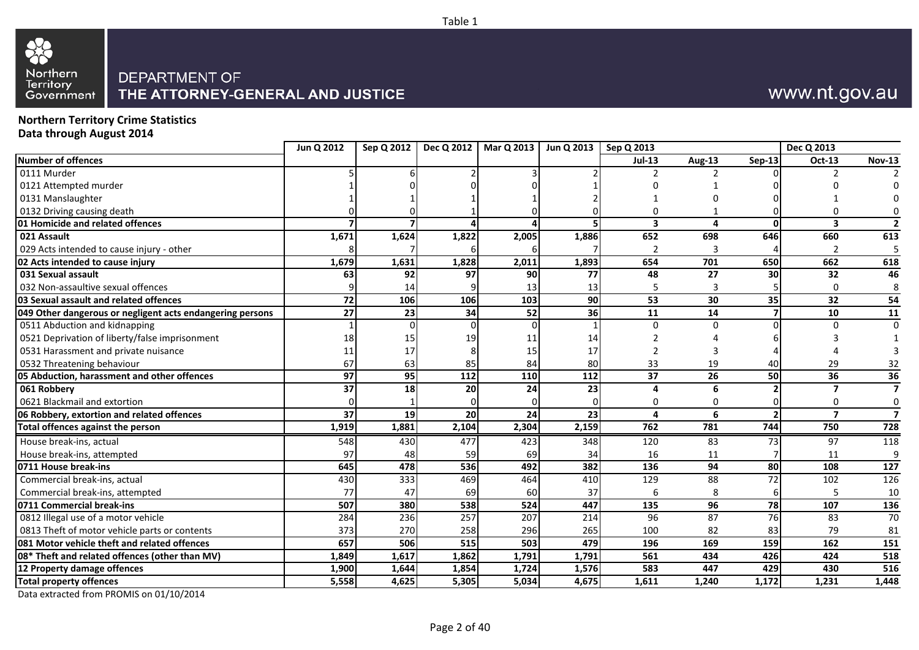

## DEPARTMENT OF THE ATTORNEY-GENERAL AND JUSTICE

## www.nt.gov.au

**Northern Territory Crime Statistics Data through August 2014**

|                                                           | Jun Q 2012      | Sep Q 2012      | Dec Q 2012             | Mar Q 2013 | Jun Q 2013 | Sep Q 2013               |                 |                 | Dec Q 2013              |                          |
|-----------------------------------------------------------|-----------------|-----------------|------------------------|------------|------------|--------------------------|-----------------|-----------------|-------------------------|--------------------------|
| Number of offences                                        |                 |                 |                        |            |            | <b>Jul-13</b>            | Aug-13          | $Sep-13$        | Oct-13                  | <b>Nov-13</b>            |
| 0111 Murder                                               |                 |                 |                        |            |            |                          |                 |                 |                         |                          |
| 0121 Attempted murder                                     |                 |                 |                        |            |            |                          |                 |                 |                         |                          |
| 0131 Manslaughter                                         |                 |                 |                        |            |            |                          |                 |                 |                         |                          |
| 0132 Driving causing death                                |                 |                 |                        |            |            | $\Omega$                 |                 |                 |                         |                          |
| 01 Homicide and related offences                          |                 |                 | $\boldsymbol{\Lambda}$ |            |            | $\overline{\mathbf{3}}$  | $\Delta$        | $\Omega$        | 3                       | $\overline{\phantom{a}}$ |
| 021 Assault                                               | 1,671           | 1,624           | 1,822                  | 2,005      | 1,886      | 652                      | 698             | 646             | 660                     | 613                      |
| 029 Acts intended to cause injury - other                 |                 |                 |                        |            |            | $\overline{\phantom{a}}$ |                 |                 |                         |                          |
| 02 Acts intended to cause injury                          | 1,679           | 1,631           | 1,828                  | 2,011      | 1,893      | 654                      | 701             | 650             | 662                     | 618                      |
| 031 Sexual assault                                        | 63              | 92              | 97                     | 90         | 77         | 48                       | 27              | 30              | 32                      | 46                       |
| 032 Non-assaultive sexual offences                        |                 | 14              |                        | 13         | 13         | 5                        | 3               |                 | 0                       | 8                        |
| 03 Sexual assault and related offences                    | $\overline{72}$ | 106             | 106                    | 103        | 90         | 53                       | 30              | 35              | 32                      | 54                       |
| 049 Other dangerous or negligent acts endangering persons | $\overline{27}$ | 23              | 34                     | 52         | 36         | 11                       | 14              | 7               | 10                      | 11                       |
| 0511 Abduction and kidnapping                             |                 |                 | $\Omega$               |            |            | $\Omega$                 | $\Omega$        |                 | n                       | $\Omega$                 |
| 0521 Deprivation of liberty/false imprisonment            | 18              | 15              | 19                     | 11         | 14         |                          |                 |                 |                         |                          |
| 0531 Harassment and private nuisance                      | 11              | 17              | 8                      | 15         | 17         | $\overline{2}$           |                 |                 |                         |                          |
| 0532 Threatening behaviour                                | 67              | 63              | 85                     | 84         | 80         | 33                       | 19              | 40              | 29                      | 32                       |
| 05 Abduction, harassment and other offences               | $\overline{97}$ | $\overline{95}$ | $\frac{112}{2}$        | 110        | 112        | $\overline{37}$          | $\overline{26}$ | 50              | $\overline{36}$         | 36                       |
| 061 Robbery                                               | 37              | 18              | 20                     | 24         | 23         | Δ                        | 6               |                 |                         | $\overline{7}$           |
| 0621 Blackmail and extortion                              |                 |                 |                        |            |            | n                        | n               |                 |                         | $\mathbf 0$              |
| 06 Robbery, extortion and related offences                | $\overline{37}$ | 19              | 20                     | 24         | 23         | 4                        | 6               |                 | $\overline{\mathbf{z}}$ | $\overline{7}$           |
| Total offences against the person                         | 1,919           | 1,881           | 2,104                  | 2,304      | 2,159      | 762                      | 781             | 744             | 750                     | 728                      |
| House break-ins, actual                                   | 548             | 430             | 477                    | 423        | 348        | 120                      | 83              | 73              | 97                      | 118                      |
| House break-ins, attempted                                | 97              | 48              | 59                     | 69         | 34         | 16                       | 11              |                 | 11                      | 9                        |
| 0711 House break-ins                                      | 645             | 478             | 536                    | 492        | 382        | 136                      | 94              | 80              | 108                     | 127                      |
| Commercial break-ins, actual                              | 430             | $\frac{1}{333}$ | 469                    | 464        | 410        | 129                      | 88              | $\overline{72}$ | 102                     | 126                      |
| Commercial break-ins, attempted                           | 77              | 47              | 69                     | 60         | 37         | 6                        | 8               | 6               | 5                       | 10                       |
| 0711 Commercial break-ins                                 | 507             | 380             | 538                    | 524        | 447        | 135                      | 96              | 78              | 107                     | 136                      |
| 0812 Illegal use of a motor vehicle                       | 284             | 236             | 257                    | 207        | 214        | 96                       | 87              | $\overline{76}$ | 83                      | 70                       |
| 0813 Theft of motor vehicle parts or contents             | 373             | 270             | 258                    | 296        | 265        | 100                      | 82              | 83              | 79                      | 81                       |
| 081 Motor vehicle theft and related offences              | 657             | 506             | 515                    | 503        | 479        | 196                      | 169             | 159             | 162                     | 151                      |
| 08* Theft and related offences (other than MV)            | 1,849           | 1,617           | 1,862                  | 1,791      | 1,791      | 561                      | 434             | 426             | 424                     | 518                      |
| 12 Property damage offences                               | 1,900           | 1,644           | 1,854                  | 1,724      | 1,576      | 583                      | 447             | 429             | 430                     | 516                      |
| <b>Total property offences</b>                            | 5,558           | 4,625           | 5,305                  | 5,034      | 4,675      | 1,611                    | 1,240           | 1,172           | 1,231                   | 1,448                    |
|                                                           |                 |                 |                        |            |            |                          |                 |                 |                         |                          |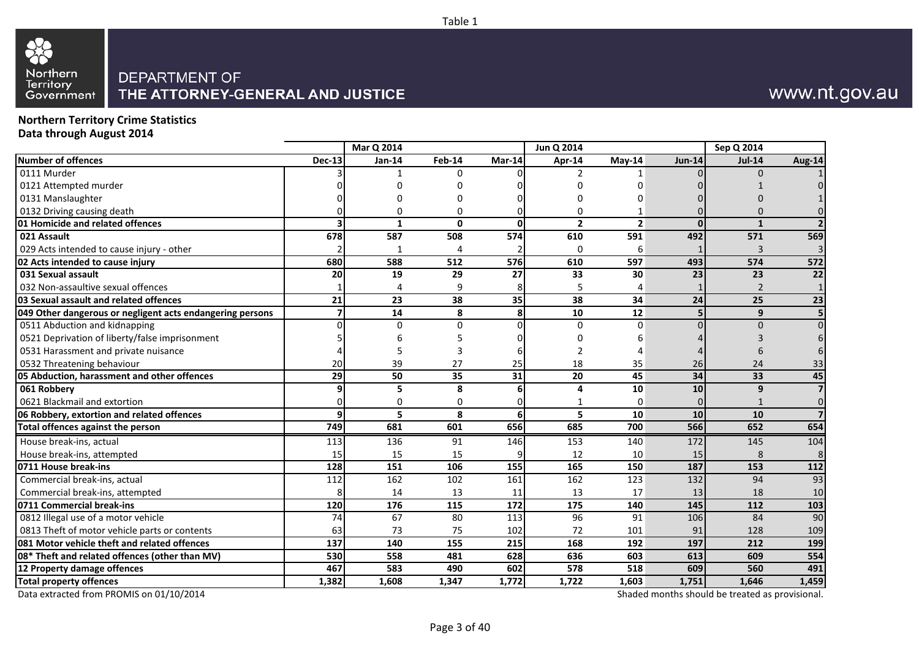# 82 Northern<br>Territory<br>Government

## DEPARTMENT OF THE ATTORNEY-GENERAL AND JUSTICE

## www.nt.gov.au

**Northern Territory Crime Statistics Data through August 2014**

|                                                           |               | Mar Q 2014   |              |                 | Jun Q 2014        |                  |               | Sep Q 2014     |                 |
|-----------------------------------------------------------|---------------|--------------|--------------|-----------------|-------------------|------------------|---------------|----------------|-----------------|
| Number of offences                                        | <b>Dec-13</b> | Jan-14       | Feb-14       | Mar-14          | Apr-14            | $Mav-14$         | <b>Jun-14</b> | <b>Jul-14</b>  | Aug-14          |
| 0111 Murder                                               |               |              | <sup>0</sup> |                 | 2                 |                  |               | $\Omega$       |                 |
| 0121 Attempted murder                                     |               |              |              |                 | ი                 |                  |               |                |                 |
| 0131 Manslaughter                                         |               |              |              |                 |                   |                  |               |                |                 |
| 0132 Driving causing death                                |               |              |              |                 | 0                 |                  |               |                |                 |
| 01 Homicide and related offences                          |               | $\mathbf{1}$ | $\Omega$     | <sup>0</sup>    | $\overline{2}$    | $\overline{2}$   | $\Omega$      | $\mathbf{1}$   |                 |
| 021 Assault                                               | 678           | 587          | 508          | 574             | 610               | 591              | 492           | 571            | 569             |
| 029 Acts intended to cause injury - other                 |               | 1            |              |                 | 0                 | 6                |               | 3              |                 |
| 02 Acts intended to cause injury                          | 680           | 588          | 512          | 576             | 610               | 597              | 493           | 574            | 572             |
| 031 Sexual assault                                        | 20            | 19           | 29           | 27              | 33                | 30               | 23            | 23             | 22              |
| 032 Non-assaultive sexual offences                        |               | $\Delta$     | q            | 8               | 5                 | 4                |               | $\overline{2}$ |                 |
| 03 Sexual assault and related offences                    | 21            | 23           | 38           | 35              | $\overline{38}$   | 34               | 24            | 25             | $\overline{23}$ |
| 049 Other dangerous or negligent acts endangering persons |               | 14           | 8            | 8               | 10                | 12               |               | 9              |                 |
| 0511 Abduction and kidnapping                             |               | $\Omega$     | $\Omega$     | U               | $\Omega$          | <sup>0</sup>     |               | $\Omega$       |                 |
| 0521 Deprivation of liberty/false imprisonment            |               |              |              |                 | ი                 |                  |               |                |                 |
| 0531 Harassment and private nuisance                      |               |              |              |                 | $\overline{2}$    |                  |               |                |                 |
| 0532 Threatening behaviour                                | 20            | 39           | 27           | 25              | 18                | 35               | 26            | 24             | 33              |
| 05 Abduction, harassment and other offences               | 29            | 50           | 35           | $\overline{31}$ | $\overline{20}$   | 45               | 34            | 33             | 45              |
| 061 Robbery                                               |               | 5            | 8            | 6               | Δ                 | 10               | 10            | 9              |                 |
| 0621 Blackmail and extortion                              |               | 0            | 0            |                 |                   | 0                |               |                |                 |
| 06 Robbery, extortion and related offences                | a             | 5            | 8            | 6               | 5                 | 10               | 10            | 10             |                 |
| Total offences against the person                         | 749           | 681          | 601          | 656             | 685               | 700              | 566           | 652            | 654             |
| House break-ins, actual                                   | 113           | 136          | 91           | 146             | 153               | 140              | 172           | 145            | 104             |
| House break-ins, attempted                                | 15            | 15           | 15           |                 | 12                | 10               | 15            | 8              | 8               |
| 0711 House break-ins                                      | 128           | 151          | 106          | 155             | 165               | 150              | 187           | 153            | 112             |
| Commercial break-ins, actual                              | 112           | 162          | 102          | 161             | 162               | 123              | 132           | 94             | 93              |
| Commercial break-ins, attempted                           |               | 14           | 13           | 11              | 13                | 17               | 13            | 18             | 10              |
| 0711 Commercial break-ins                                 | 120           | 176          | 115          | $\frac{1}{2}$   | $\frac{175}{175}$ | 140              | 145           | 112            | 103             |
| 0812 Illegal use of a motor vehicle                       | 74            | 67           | 80           | 113             | 96                | 91               | 106           | 84             | 90              |
| 0813 Theft of motor vehicle parts or contents             | 63            | 73           | 75           | 102             | 72                | 101              | 91            | 128            | 109             |
| 081 Motor vehicle theft and related offences              | 137           | 140          | 155          | 215             | 168               | 192              | 197           | 212            | 199             |
| 08* Theft and related offences (other than MV)            | 530           | 558          | 481          | 628             | 636               | 603              | 613           | 609            | 554             |
| 12 Property damage offences                               | 467           | 583          | 490          | 602             | 578               | $\overline{518}$ | 609           | 560            | 491             |
| <b>Total property offences</b>                            | 1,382         | 1,608        | 1,347        | 1,772           | 1,722             | 1,603            | 1,751         | 1,646          | 1,459           |

Table 1

Data extracted from PROMIS on 01/10/2014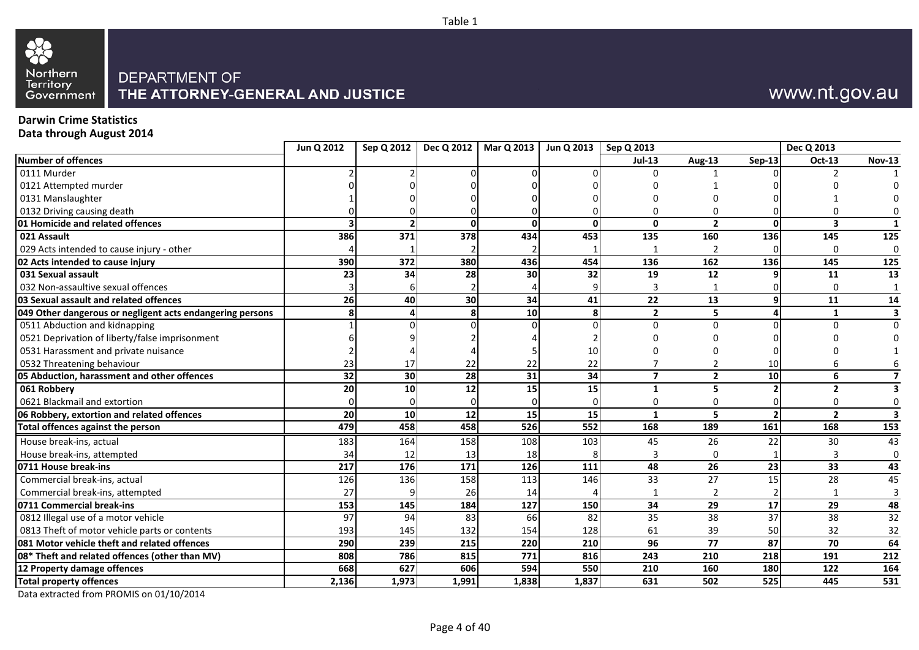

## www.nt.gov.au

## **Darwin Crime Statistics**

**Data through August 2014**

|                                                           | Jun Q 2012 | Sep Q 2012      |                 | Dec Q 2012   Mar Q 2013   Jun Q 2013 |       | Sep Q 2013       |                 |                 | Dec Q 2013      |                         |
|-----------------------------------------------------------|------------|-----------------|-----------------|--------------------------------------|-------|------------------|-----------------|-----------------|-----------------|-------------------------|
| <b>Number of offences</b>                                 |            |                 |                 |                                      |       | $Jul-13$         | Aug-13          | Sep-13          | <b>Oct-13</b>   | <b>Nov-13</b>           |
| 0111 Murder                                               |            |                 |                 |                                      |       |                  |                 |                 |                 |                         |
| 0121 Attempted murder                                     |            |                 |                 |                                      |       |                  |                 |                 |                 |                         |
| 0131 Manslaughter                                         |            |                 |                 |                                      |       |                  |                 |                 |                 |                         |
| 0132 Driving causing death                                |            |                 |                 |                                      |       |                  |                 |                 |                 |                         |
| 01 Homicide and related offences                          |            |                 | $\mathbf{0}$    |                                      | U     | $\mathbf{0}$     | $\overline{2}$  | $\mathbf{0}$    | 3               | 1                       |
| 021 Assault                                               | 386        | 371             | 378             | 434                                  | 453   | 135              | 160             | 136             | 145             | 125                     |
| 029 Acts intended to cause injury - other                 |            |                 |                 |                                      |       |                  | $\mathcal{P}$   |                 | $\Omega$        | $\mathbf 0$             |
| 02 Acts intended to cause injury                          | 390        | 372             | 380             | 436                                  | 454   | 136              | 162             | 136             | 145             | 125                     |
| 031 Sexual assault                                        | 23         | 34              | 28              | 30                                   | 32    | 19               | 12              |                 | 11              | 13                      |
| 032 Non-assaultive sexual offences                        |            |                 |                 |                                      |       | 3                |                 |                 | $\Omega$        |                         |
| 03 Sexual assault and related offences                    | 26         | 40              | 30              | 34                                   | 41    | $\overline{22}$  | 13              |                 | 11              | 14                      |
| 049 Other dangerous or negligent acts endangering persons |            |                 | 8               | 10                                   | Զ     | $\overline{2}$   | 5               |                 | 1               | 3                       |
| 0511 Abduction and kidnapping                             |            |                 |                 |                                      |       | $\Omega$         | $\Omega$        |                 | ∩               | $\Omega$                |
| 0521 Deprivation of liberty/false imprisonment            |            |                 |                 |                                      |       |                  |                 |                 |                 |                         |
| 0531 Harassment and private nuisance                      |            |                 |                 |                                      | 10    |                  |                 |                 |                 |                         |
| 0532 Threatening behaviour                                | 23         | 17              | 22              | 22                                   | 22    |                  | $\overline{2}$  | 10              |                 |                         |
| 05 Abduction, harassment and other offences               | 32         | 30              | 28              | 31                                   | 34    | $\overline{7}$   | $\overline{2}$  | 10 <sup>1</sup> | 6               | 7                       |
| 061 Robbery                                               | 20         | 10              | 12              | 15                                   | 15    | $\mathbf{1}$     | 5               |                 | $\mathbf{2}$    | 3                       |
| 0621 Blackmail and extortion                              |            |                 |                 |                                      |       | 0                | $\Omega$        |                 | 0               | 0                       |
| 06 Robbery, extortion and related offences                | 20         | 10              | $\overline{12}$ | 15                                   | 15    | $\mathbf{1}$     | 5               |                 | $\overline{2}$  | $\overline{\mathbf{3}}$ |
| Total offences against the person                         | 479        | 458             | 458             | 526                                  | 552   | 168              | 189             | 161             | 168             | 153                     |
| House break-ins, actual                                   | 183        | 164             | 158             | 108                                  | 103   | 45               | 26              | 22              | 30              | 43                      |
| House break-ins, attempted                                | 34         | 12              | 13              | 18                                   |       | 3                | $\Omega$        |                 |                 | $\mathbf 0$             |
| 0711 House break-ins                                      | 217        | 176             | 171             | 126                                  | 111   | 48               | 26              | 23              | $\overline{33}$ | 43                      |
| Commercial break-ins, actual                              | 126        | $\frac{136}{ }$ | 158             | 113                                  | 146   | $\overline{33}$  | $\overline{27}$ | 15              | 28              | 45                      |
| Commercial break-ins, attempted                           | 27         |                 | 26              | 14                                   |       |                  | $\mathcal{P}$   |                 |                 | 3                       |
| 0711 Commercial break-ins                                 | 153        | 145             | 184             | $\frac{127}{2}$                      | 150   | $\overline{34}$  | $\overline{29}$ | $\overline{17}$ | $\overline{29}$ | 48                      |
| 0812 Illegal use of a motor vehicle                       | 97         | 94              | 83              | 66                                   | 82    | 35               | 38              | 37              | 38              | $\overline{32}$         |
| 0813 Theft of motor vehicle parts or contents             | 193        | 145             | 132             | 154                                  | 128   | 61               | 39              | 50              | 32              | 32                      |
| 081 Motor vehicle theft and related offences              | 290        | 239             | 215             | 220                                  | 210   | $\overline{96}$  | $\overline{77}$ | 87              | 70              | 64                      |
| 08* Theft and related offences (other than MV)            | 808        | 786             | 815             | $\frac{1}{771}$                      | 816   | $\overline{243}$ | 210             | 218             | 191             | 212                     |
| 12 Property damage offences                               | 668        | 627             | 606             | 594                                  | 550   | 210              | 160             | 180             | 122             | 164                     |
| <b>Total property offences</b>                            | 2,136      | 1,973           | 1,991           | 1,838                                | 1,837 | 631              | 502             | 525             | 445             | 531                     |
|                                                           |            |                 |                 |                                      |       |                  |                 |                 |                 |                         |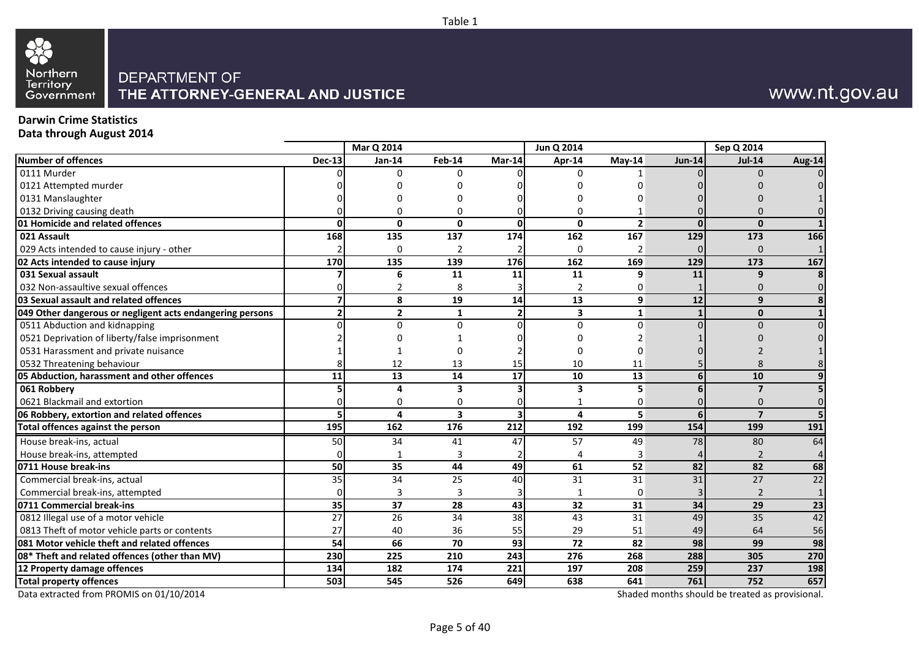

## www.nt.gov.au

## **Darwin Crime Statistics**

**Data through August 2014**

|                                                           |               | Mar Q 2014      |                         |                         | Jun Q 2014       |                |               | Sep Q 2014     |                 |
|-----------------------------------------------------------|---------------|-----------------|-------------------------|-------------------------|------------------|----------------|---------------|----------------|-----------------|
| Number of offences                                        | <b>Dec-13</b> | <b>Jan-14</b>   | Feb-14                  | Mar-14                  | Apr-14           | May-14         | <b>Jun-14</b> | <b>Jul-14</b>  | <b>Aug-14</b>   |
| 0111 Murder                                               |               | <sup>0</sup>    | $\Omega$                |                         | U                |                |               |                |                 |
| 0121 Attempted murder                                     |               |                 |                         |                         |                  |                |               |                |                 |
| 0131 Manslaughter                                         |               |                 |                         |                         |                  |                |               |                |                 |
| 0132 Driving causing death                                |               | ŋ               | 0                       |                         | U                |                |               |                |                 |
| 01 Homicide and related offences                          | ŋ             | $\mathbf{0}$    | $\mathbf{0}$            | 0                       | $\mathbf{0}$     | $\overline{2}$ | $\Omega$      | $\Omega$       |                 |
| 021 Assault                                               | 168           | 135             | 137                     | 174                     | 162              | 167            | 129           | 173            | 166             |
| 029 Acts intended to cause injury - other                 |               | $\Omega$        | $\overline{2}$          |                         | 0                | $\overline{2}$ |               | $\Omega$       |                 |
| 02 Acts intended to cause injury                          | 170           | 135             | 139                     | 176                     | 162              | 169            | 129           | 173            | 167             |
| 031 Sexual assault                                        |               | 6               | 11                      | 11                      | 11               | 9              | 11            | 9              |                 |
| 032 Non-assaultive sexual offences                        |               |                 | 8                       | 3                       | 2                | 0              |               |                |                 |
| 03 Sexual assault and related offences                    |               | 8               | 19                      | 14                      | 13               | 9              | 12            | 9              |                 |
| 049 Other dangerous or negligent acts endangering persons |               | $\overline{2}$  | 1                       | $\overline{2}$          | 3                | 1              |               | $\mathbf{0}$   |                 |
| 0511 Abduction and kidnapping                             |               | 0               | $\Omega$                | 0                       | $\mathbf 0$      | $\Omega$       |               | $\Omega$       |                 |
| 0521 Deprivation of liberty/false imprisonment            |               |                 |                         |                         |                  |                |               |                |                 |
| 0531 Harassment and private nuisance                      |               |                 | n                       |                         |                  | O              |               |                |                 |
| 0532 Threatening behaviour                                |               | 12              | 13                      | 15                      | 10               | 11             |               |                |                 |
| 05 Abduction, harassment and other offences               | 11            | 13              | 14                      | 17                      | 10               | 13             | 6             | 10             |                 |
| 061 Robbery                                               |               | Δ               | 3                       | 3                       | 3                |                |               | $\overline{7}$ |                 |
| 0621 Blackmail and extortion                              |               | 0               | n                       |                         |                  | 0              |               | <sup>0</sup>   |                 |
| 06 Robbery, extortion and related offences                |               | 4               | $\overline{\mathbf{3}}$ | $\overline{\mathbf{3}}$ | 4                | 5              |               | $\overline{7}$ |                 |
| Total offences against the person                         | 195           | 162             | 176                     | 212                     | 192              | 199            | 154           | 199            | 191             |
| House break-ins, actual                                   | 50            | 34              | 41                      | 47                      | 57               | 49             | 78            | 80             | 64              |
| House break-ins, attempted                                |               |                 | 3                       |                         |                  |                |               |                |                 |
| 0711 House break-ins                                      | 50            | 35              | 44                      | 49                      | 61               | 52             | 82            | 82             | 68              |
| Commercial break-ins, actual                              | 35            | $\overline{34}$ | 25                      | 40                      | 31               | 31             | 31            | 27             | $\overline{22}$ |
| Commercial break-ins, attempted                           |               | 3               | 3                       | 3                       | 1                | 0              |               | $\overline{2}$ |                 |
| 0711 Commercial break-ins                                 | 35            | $\overline{37}$ | 28                      | 43                      | 32               | 31             | 34            | 29             | 23              |
| 0812 Illegal use of a motor vehicle                       | 27            | 26              | 34                      | 38                      | 43               | 31             | 49            | 35             | 42              |
| 0813 Theft of motor vehicle parts or contents             | 27            | 40              | 36                      | 55                      | 29               | 51             | 49            | 64             | 56              |
| 081 Motor vehicle theft and related offences              | 54            | 66              | 70                      | 93                      | 72               | 82             | 98            | 99             | 98              |
| 08* Theft and related offences (other than MV)            | 230           | 225             | 210                     | $\overline{243}$        | $\overline{276}$ | 268            | 288           | 305            | 270             |
| 12 Property damage offences                               | 134           | 182             | 174                     | 221                     | 197              | 208            | 259           | 237            | 198             |
| <b>Total property offences</b>                            | 503           | 545             | 526                     | 649                     | 638              | 641            | 761           | 752            | 657             |

Table 1

Data extracted from PROMIS on 01/10/2014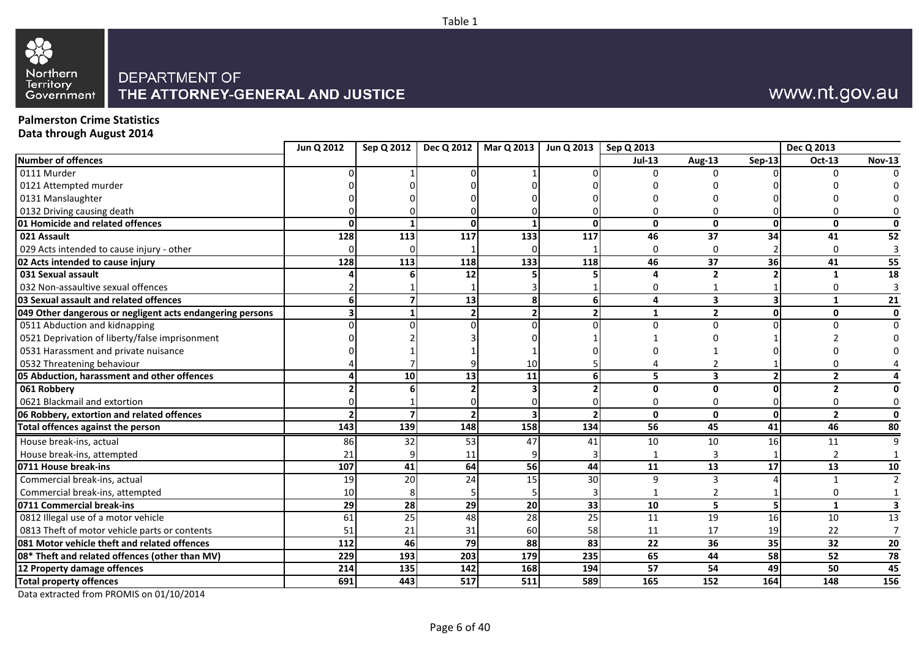

## www.nt.gov.au

### **Palmerston Crime Statistics Data through August 2014**

| <b>Jul-13</b><br>Aug-13<br>$Sep-13$<br><b>Oct-13</b><br><b>Nov-13</b><br>$\mathbf{0}$<br>$\Omega$<br>$\mathbf{0}$<br>$\mathbf 0$<br>O<br>O<br>128<br>113<br>117<br>133<br>46<br>37<br>34<br>117<br>41<br>52<br>$\Omega$<br>$\Omega$<br>0<br>3<br>113<br>118<br>46<br>37<br>36<br>128<br>133<br>41<br>55<br>118<br>12<br>18<br>$\overline{2}$<br>Δ<br>1<br>3<br>ŋ<br>U<br>13<br>4<br>3<br>21<br>$\mathbf{1}$<br>$\overline{2}$<br>$\overline{2}$<br>1<br>0<br>0<br>$\Omega$<br>10<br>$\overline{13}$<br>10 <sub>1</sub><br>5<br>11<br>3<br>2<br>$\Omega$<br>$\overline{2}$<br>U<br>0<br>0<br>$\mathbf{0}$<br>$\mathbf{0}$<br>$\Omega$<br>$\overline{2}$<br>143<br>139<br>148<br>158<br>56<br>45<br>41<br>46<br>134<br>80<br>86<br>32<br>53<br>10<br>10<br>16 <sup>1</sup><br>11<br>9<br>47<br>41<br>21<br>11<br>3<br>64<br>56<br>13<br>13<br>107<br>41<br>44<br>11<br>17<br>10<br>$\overline{24}$<br>20<br>30<br>9<br>19<br>15<br>3<br>$\overline{2}$<br>10<br>2<br>ი<br>29<br>28<br>29<br>20<br>33<br>10<br>5<br>3<br>51<br>$\mathbf{1}$<br>25<br>48<br>25<br>19<br>16<br>61<br>28<br>11<br>10<br>13<br>51<br>21<br>31<br>17<br>19<br>22<br>7<br>60<br>58<br>11<br>081 Motor vehicle theft and related offences<br>46<br>79<br>88<br>$\overline{83}$<br>$\overline{22}$<br>$\overline{36}$<br>35<br>$\overline{32}$<br>112<br>20<br>$\overline{193}$<br>229<br>179<br>65<br>44<br>58<br>52<br>203<br>235<br>78<br>214<br>135<br>142<br>57<br>54<br>49<br>50<br>45<br>168<br>194<br>691<br>443<br>511<br>165<br>152<br>164<br>148<br>517<br>589<br>156 |                                                           | Jun Q 2012 | Sep Q 2012 | Dec Q 2012 | Mar Q 2013 | Jun Q 2013   Sep Q 2013 |  | Dec Q 2013 |  |
|-------------------------------------------------------------------------------------------------------------------------------------------------------------------------------------------------------------------------------------------------------------------------------------------------------------------------------------------------------------------------------------------------------------------------------------------------------------------------------------------------------------------------------------------------------------------------------------------------------------------------------------------------------------------------------------------------------------------------------------------------------------------------------------------------------------------------------------------------------------------------------------------------------------------------------------------------------------------------------------------------------------------------------------------------------------------------------------------------------------------------------------------------------------------------------------------------------------------------------------------------------------------------------------------------------------------------------------------------------------------------------------------------------------------------------------------------------------------------------------------------------------------------------------------------------|-----------------------------------------------------------|------------|------------|------------|------------|-------------------------|--|------------|--|
|                                                                                                                                                                                                                                                                                                                                                                                                                                                                                                                                                                                                                                                                                                                                                                                                                                                                                                                                                                                                                                                                                                                                                                                                                                                                                                                                                                                                                                                                                                                                                       | <b>Number of offences</b>                                 |            |            |            |            |                         |  |            |  |
|                                                                                                                                                                                                                                                                                                                                                                                                                                                                                                                                                                                                                                                                                                                                                                                                                                                                                                                                                                                                                                                                                                                                                                                                                                                                                                                                                                                                                                                                                                                                                       | 0111 Murder                                               |            |            |            |            |                         |  |            |  |
|                                                                                                                                                                                                                                                                                                                                                                                                                                                                                                                                                                                                                                                                                                                                                                                                                                                                                                                                                                                                                                                                                                                                                                                                                                                                                                                                                                                                                                                                                                                                                       | 0121 Attempted murder                                     |            |            |            |            |                         |  |            |  |
|                                                                                                                                                                                                                                                                                                                                                                                                                                                                                                                                                                                                                                                                                                                                                                                                                                                                                                                                                                                                                                                                                                                                                                                                                                                                                                                                                                                                                                                                                                                                                       | 0131 Manslaughter                                         |            |            |            |            |                         |  |            |  |
|                                                                                                                                                                                                                                                                                                                                                                                                                                                                                                                                                                                                                                                                                                                                                                                                                                                                                                                                                                                                                                                                                                                                                                                                                                                                                                                                                                                                                                                                                                                                                       | 0132 Driving causing death                                |            |            |            |            |                         |  |            |  |
|                                                                                                                                                                                                                                                                                                                                                                                                                                                                                                                                                                                                                                                                                                                                                                                                                                                                                                                                                                                                                                                                                                                                                                                                                                                                                                                                                                                                                                                                                                                                                       | 01 Homicide and related offences                          |            |            |            |            |                         |  |            |  |
|                                                                                                                                                                                                                                                                                                                                                                                                                                                                                                                                                                                                                                                                                                                                                                                                                                                                                                                                                                                                                                                                                                                                                                                                                                                                                                                                                                                                                                                                                                                                                       | 021 Assault                                               |            |            |            |            |                         |  |            |  |
|                                                                                                                                                                                                                                                                                                                                                                                                                                                                                                                                                                                                                                                                                                                                                                                                                                                                                                                                                                                                                                                                                                                                                                                                                                                                                                                                                                                                                                                                                                                                                       | 029 Acts intended to cause injury - other                 |            |            |            |            |                         |  |            |  |
|                                                                                                                                                                                                                                                                                                                                                                                                                                                                                                                                                                                                                                                                                                                                                                                                                                                                                                                                                                                                                                                                                                                                                                                                                                                                                                                                                                                                                                                                                                                                                       | 02 Acts intended to cause injury                          |            |            |            |            |                         |  |            |  |
|                                                                                                                                                                                                                                                                                                                                                                                                                                                                                                                                                                                                                                                                                                                                                                                                                                                                                                                                                                                                                                                                                                                                                                                                                                                                                                                                                                                                                                                                                                                                                       | 031 Sexual assault                                        |            |            |            |            |                         |  |            |  |
|                                                                                                                                                                                                                                                                                                                                                                                                                                                                                                                                                                                                                                                                                                                                                                                                                                                                                                                                                                                                                                                                                                                                                                                                                                                                                                                                                                                                                                                                                                                                                       | 032 Non-assaultive sexual offences                        |            |            |            |            |                         |  |            |  |
|                                                                                                                                                                                                                                                                                                                                                                                                                                                                                                                                                                                                                                                                                                                                                                                                                                                                                                                                                                                                                                                                                                                                                                                                                                                                                                                                                                                                                                                                                                                                                       | 03 Sexual assault and related offences                    |            |            |            |            |                         |  |            |  |
|                                                                                                                                                                                                                                                                                                                                                                                                                                                                                                                                                                                                                                                                                                                                                                                                                                                                                                                                                                                                                                                                                                                                                                                                                                                                                                                                                                                                                                                                                                                                                       | 049 Other dangerous or negligent acts endangering persons |            |            |            |            |                         |  |            |  |
|                                                                                                                                                                                                                                                                                                                                                                                                                                                                                                                                                                                                                                                                                                                                                                                                                                                                                                                                                                                                                                                                                                                                                                                                                                                                                                                                                                                                                                                                                                                                                       | 0511 Abduction and kidnapping                             |            |            |            |            |                         |  |            |  |
|                                                                                                                                                                                                                                                                                                                                                                                                                                                                                                                                                                                                                                                                                                                                                                                                                                                                                                                                                                                                                                                                                                                                                                                                                                                                                                                                                                                                                                                                                                                                                       | 0521 Deprivation of liberty/false imprisonment            |            |            |            |            |                         |  |            |  |
|                                                                                                                                                                                                                                                                                                                                                                                                                                                                                                                                                                                                                                                                                                                                                                                                                                                                                                                                                                                                                                                                                                                                                                                                                                                                                                                                                                                                                                                                                                                                                       | 0531 Harassment and private nuisance                      |            |            |            |            |                         |  |            |  |
|                                                                                                                                                                                                                                                                                                                                                                                                                                                                                                                                                                                                                                                                                                                                                                                                                                                                                                                                                                                                                                                                                                                                                                                                                                                                                                                                                                                                                                                                                                                                                       | 0532 Threatening behaviour                                |            |            |            |            |                         |  |            |  |
|                                                                                                                                                                                                                                                                                                                                                                                                                                                                                                                                                                                                                                                                                                                                                                                                                                                                                                                                                                                                                                                                                                                                                                                                                                                                                                                                                                                                                                                                                                                                                       | 05 Abduction, harassment and other offences               |            |            |            |            |                         |  |            |  |
|                                                                                                                                                                                                                                                                                                                                                                                                                                                                                                                                                                                                                                                                                                                                                                                                                                                                                                                                                                                                                                                                                                                                                                                                                                                                                                                                                                                                                                                                                                                                                       | 061 Robbery                                               |            |            |            |            |                         |  |            |  |
|                                                                                                                                                                                                                                                                                                                                                                                                                                                                                                                                                                                                                                                                                                                                                                                                                                                                                                                                                                                                                                                                                                                                                                                                                                                                                                                                                                                                                                                                                                                                                       | 0621 Blackmail and extortion                              |            |            |            |            |                         |  |            |  |
|                                                                                                                                                                                                                                                                                                                                                                                                                                                                                                                                                                                                                                                                                                                                                                                                                                                                                                                                                                                                                                                                                                                                                                                                                                                                                                                                                                                                                                                                                                                                                       | 06 Robbery, extortion and related offences                |            |            |            |            |                         |  |            |  |
|                                                                                                                                                                                                                                                                                                                                                                                                                                                                                                                                                                                                                                                                                                                                                                                                                                                                                                                                                                                                                                                                                                                                                                                                                                                                                                                                                                                                                                                                                                                                                       | Total offences against the person                         |            |            |            |            |                         |  |            |  |
|                                                                                                                                                                                                                                                                                                                                                                                                                                                                                                                                                                                                                                                                                                                                                                                                                                                                                                                                                                                                                                                                                                                                                                                                                                                                                                                                                                                                                                                                                                                                                       | House break-ins, actual                                   |            |            |            |            |                         |  |            |  |
|                                                                                                                                                                                                                                                                                                                                                                                                                                                                                                                                                                                                                                                                                                                                                                                                                                                                                                                                                                                                                                                                                                                                                                                                                                                                                                                                                                                                                                                                                                                                                       | House break-ins, attempted                                |            |            |            |            |                         |  |            |  |
|                                                                                                                                                                                                                                                                                                                                                                                                                                                                                                                                                                                                                                                                                                                                                                                                                                                                                                                                                                                                                                                                                                                                                                                                                                                                                                                                                                                                                                                                                                                                                       | 0711 House break-ins                                      |            |            |            |            |                         |  |            |  |
|                                                                                                                                                                                                                                                                                                                                                                                                                                                                                                                                                                                                                                                                                                                                                                                                                                                                                                                                                                                                                                                                                                                                                                                                                                                                                                                                                                                                                                                                                                                                                       | Commercial break-ins, actual                              |            |            |            |            |                         |  |            |  |
|                                                                                                                                                                                                                                                                                                                                                                                                                                                                                                                                                                                                                                                                                                                                                                                                                                                                                                                                                                                                                                                                                                                                                                                                                                                                                                                                                                                                                                                                                                                                                       | Commercial break-ins, attempted                           |            |            |            |            |                         |  |            |  |
|                                                                                                                                                                                                                                                                                                                                                                                                                                                                                                                                                                                                                                                                                                                                                                                                                                                                                                                                                                                                                                                                                                                                                                                                                                                                                                                                                                                                                                                                                                                                                       | 0711 Commercial break-ins                                 |            |            |            |            |                         |  |            |  |
|                                                                                                                                                                                                                                                                                                                                                                                                                                                                                                                                                                                                                                                                                                                                                                                                                                                                                                                                                                                                                                                                                                                                                                                                                                                                                                                                                                                                                                                                                                                                                       | 0812 Illegal use of a motor vehicle                       |            |            |            |            |                         |  |            |  |
|                                                                                                                                                                                                                                                                                                                                                                                                                                                                                                                                                                                                                                                                                                                                                                                                                                                                                                                                                                                                                                                                                                                                                                                                                                                                                                                                                                                                                                                                                                                                                       | 0813 Theft of motor vehicle parts or contents             |            |            |            |            |                         |  |            |  |
|                                                                                                                                                                                                                                                                                                                                                                                                                                                                                                                                                                                                                                                                                                                                                                                                                                                                                                                                                                                                                                                                                                                                                                                                                                                                                                                                                                                                                                                                                                                                                       |                                                           |            |            |            |            |                         |  |            |  |
|                                                                                                                                                                                                                                                                                                                                                                                                                                                                                                                                                                                                                                                                                                                                                                                                                                                                                                                                                                                                                                                                                                                                                                                                                                                                                                                                                                                                                                                                                                                                                       | 08* Theft and related offences (other than MV)            |            |            |            |            |                         |  |            |  |
|                                                                                                                                                                                                                                                                                                                                                                                                                                                                                                                                                                                                                                                                                                                                                                                                                                                                                                                                                                                                                                                                                                                                                                                                                                                                                                                                                                                                                                                                                                                                                       | 12 Property damage offences                               |            |            |            |            |                         |  |            |  |
|                                                                                                                                                                                                                                                                                                                                                                                                                                                                                                                                                                                                                                                                                                                                                                                                                                                                                                                                                                                                                                                                                                                                                                                                                                                                                                                                                                                                                                                                                                                                                       | <b>Total property offences</b>                            |            |            |            |            |                         |  |            |  |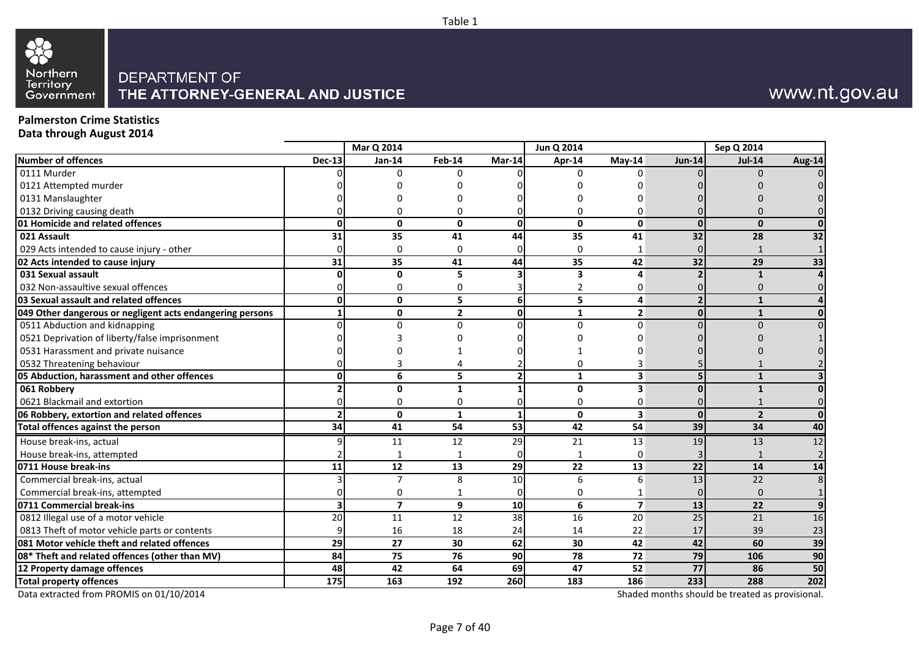# 82 Northern<br>Territory<br>Government

## DEPARTMENT OF THE ATTORNEY-GENERAL AND JUSTICE

## www.nt.gov.au

#### **Palmerston Crime Statistics Data through August 2014**

|                                                           |               | Mar Q 2014              |                 |                 | Jun Q 2014      |                         |                 | Sep Q 2014     |               |
|-----------------------------------------------------------|---------------|-------------------------|-----------------|-----------------|-----------------|-------------------------|-----------------|----------------|---------------|
| Number of offences                                        | <b>Dec-13</b> | Jan-14                  | Feb-14          | Mar-14          | Apr-14          | $Mav-14$                | <b>Jun-14</b>   | <b>Jul-14</b>  | <b>Aug-14</b> |
| 0111 Murder                                               |               | $\Omega$                | 0               |                 | 0               | n                       |                 | $\Omega$       |               |
| 0121 Attempted murder                                     |               |                         |                 |                 |                 |                         |                 |                |               |
| 0131 Manslaughter                                         |               |                         |                 |                 |                 |                         |                 |                |               |
| 0132 Driving causing death                                |               |                         | በ               |                 |                 | O                       |                 |                |               |
| 01 Homicide and related offences                          |               | $\mathbf{0}$            | $\mathbf{0}$    | O               | 0               | $\mathbf{0}$            | $\Omega$        | $\mathbf{0}$   |               |
| 021 Assault                                               | 31            | 35                      | 41              | 44              | 35              | 41                      | 32              | 28             | 32            |
| 029 Acts intended to cause injury - other                 |               | $\Omega$                | 0               | 0               | 0               | 1                       |                 |                |               |
| 02 Acts intended to cause injury                          | 31            | 35                      | 41              | 44              | 35              | 42                      | 32              | 29             | 33            |
| 031 Sexual assault                                        |               | O                       | 5               |                 | 3               | $\Delta$                |                 | $\mathbf{1}$   |               |
| 032 Non-assaultive sexual offences                        |               | O                       | ი               |                 | 2               | 0                       |                 |                |               |
| 03 Sexual assault and related offences                    |               | $\mathbf{0}$            | 5               | 6               | 5               | 4                       |                 |                |               |
| 049 Other dangerous or negligent acts endangering persons |               | $\mathbf{0}$            | $\overline{2}$  | 0               | $\mathbf{1}$    | $\overline{2}$          | $\Omega$        | $\mathbf{1}$   |               |
| 0511 Abduction and kidnapping                             |               | $\Omega$                | 0               | U               | $\Omega$        | $\Omega$                |                 |                |               |
| 0521 Deprivation of liberty/false imprisonment            |               |                         |                 |                 |                 |                         |                 |                |               |
| 0531 Harassment and private nuisance                      |               |                         |                 |                 |                 |                         |                 |                |               |
| 0532 Threatening behaviour                                |               |                         |                 |                 |                 |                         |                 |                |               |
| 05 Abduction, harassment and other offences               |               | 6                       | 5               | $\overline{2}$  | 1               | 3                       |                 | $\mathbf{1}$   |               |
| 061 Robbery                                               |               | 0                       |                 |                 | 0               | 3                       |                 |                |               |
| 0621 Blackmail and extortion                              |               | n                       | በ               |                 | 0               | 0                       |                 |                |               |
| 06 Robbery, extortion and related offences                |               | $\mathbf{0}$            | 1               | 1               | 0               | 3                       | $\Omega$        | $\overline{2}$ |               |
| Total offences against the person                         | 34            | $\overline{41}$         | $\overline{54}$ | $\overline{53}$ | $\overline{42}$ | 54                      | 39              | 34             | 40            |
| House break-ins, actual                                   |               | 11                      | 12              | 29              | 21              | 13                      | 19              | 13             | 12            |
| House break-ins, attempted                                |               |                         |                 | 0               |                 | 0                       |                 |                |               |
| 0711 House break-ins                                      | 11            | 12                      | 13              | 29              | 22              | 13                      | 22              | 14             | 14            |
| Commercial break-ins, actual                              |               | $\overline{7}$          | 8               | 10              | 6               | 6                       | 13              | 22             |               |
| Commercial break-ins, attempted                           |               | O                       |                 | 0               | 0               |                         |                 | $\Omega$       |               |
| 0711 Commercial break-ins                                 |               | $\overline{\mathbf{z}}$ | 9               | 10              | 6               | $\overline{\mathbf{z}}$ | 13              | 22             |               |
| 0812 Illegal use of a motor vehicle                       | 20            | 11                      | 12              | 38              | 16              | 20                      | 25              | 21             | 16            |
| 0813 Theft of motor vehicle parts or contents             |               | 16                      | 18              | 24              | 14              | 22                      | 17              | 39             | 23            |
| 081 Motor vehicle theft and related offences              | 29            | 27                      | 30              | 62              | 30              | 42                      | 42              | 60             | 39            |
| 08* Theft and related offences (other than MV)            | 84            | 75                      | 76              | 90              | $\overline{78}$ | 72                      | $\overline{79}$ | 106            | 90            |
| 12 Property damage offences                               | 48            | 42                      | 64              | 69              | 47              | 52                      | 77              | 86             | 50            |
| <b>Total property offences</b><br>$24/10/100$             | 175           | 163                     | 192             | 260             | 183             | 186                     | 233             | 288            | 202           |

Table 1

Data extracted from PROMIS on 01/10/2014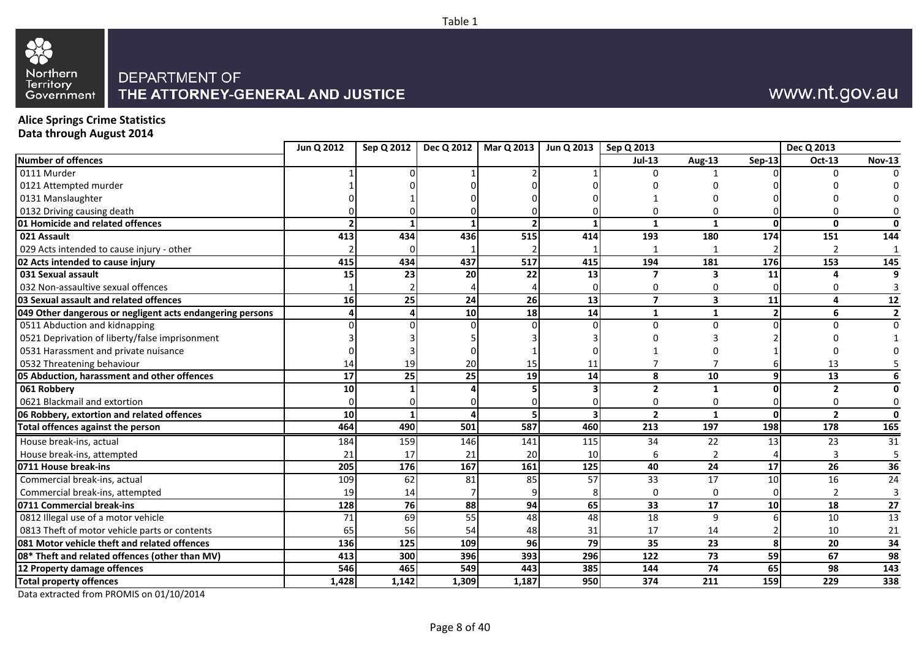

## www.nt.gov.au

### **Alice Springs Crime Statistics Data through August 2014**

|                                                           | Jun Q 2012 | Sep Q 2012 |                 | Dec Q 2012   Mar Q 2013 | Jun Q 2013   Sep Q 2013 |                |                |        | Dec Q 2013     |                 |
|-----------------------------------------------------------|------------|------------|-----------------|-------------------------|-------------------------|----------------|----------------|--------|----------------|-----------------|
| <b>Number of offences</b>                                 |            |            |                 |                         |                         | <b>Jul-13</b>  | Aug-13         | Sep-13 | Oct-13         | <b>Nov-13</b>   |
| 0111 Murder                                               |            |            |                 |                         |                         |                |                |        |                |                 |
| 0121 Attempted murder                                     |            |            |                 |                         |                         |                |                |        |                |                 |
| 0131 Manslaughter                                         |            |            |                 |                         |                         |                |                |        |                |                 |
| 0132 Driving causing death                                |            |            |                 |                         |                         |                |                |        |                |                 |
| 01 Homicide and related offences                          |            |            |                 |                         |                         | $\mathbf{1}$   | 1              | O      | $\mathbf{0}$   |                 |
| 021 Assault                                               | 413        | 434        | 436             | 515                     | 414                     | 193            | 180            | 174    | 151            | 144             |
| 029 Acts intended to cause injury - other                 |            |            |                 |                         |                         |                |                |        |                |                 |
| 02 Acts intended to cause injury                          | 415        | 434        | 437             | 517                     | 415                     | 194            | 181            | 176    | 153            | 145             |
| 031 Sexual assault                                        | 15         | 23         | 20              | 22                      | 13                      | 7              | 3              | 11     |                |                 |
| 032 Non-assaultive sexual offences                        |            |            |                 |                         |                         |                | O              |        |                |                 |
| 03 Sexual assault and related offences                    | 16         | 25         | 24              | 26                      | 13                      | $\overline{7}$ | 3              | 11     | 4              | 12              |
| 049 Other dangerous or negligent acts endangering persons |            |            | 10 <sup>1</sup> | 18                      | 14                      | $\mathbf{1}$   | 1              |        | 6              | $\overline{2}$  |
| 0511 Abduction and kidnapping                             |            |            |                 |                         |                         | U              | U              |        |                |                 |
| 0521 Deprivation of liberty/false imprisonment            |            |            |                 |                         |                         |                |                |        |                |                 |
| 0531 Harassment and private nuisance                      |            |            |                 |                         |                         |                |                |        |                |                 |
| 0532 Threatening behaviour                                | 14         | 19         | 20              | 15                      | 11                      |                |                |        | 13             |                 |
| 05 Abduction, harassment and other offences               | 17         | 25         | 25              | 19                      | 14                      | 8              | 10             | q      | 13             |                 |
| 061 Robbery                                               | 10         |            |                 |                         |                         | $\overline{2}$ | 1              |        | $\overline{2}$ |                 |
| 0621 Blackmail and extortion                              |            |            |                 |                         |                         | 0              | 0              |        | 0              |                 |
| 06 Robbery, extortion and related offences                | 10         |            |                 |                         |                         | $\overline{2}$ | $\mathbf{1}$   | O      | $\overline{2}$ | ŋ               |
| <b>Total offences against the person</b>                  | 464        | 490        | 501             | 587                     | 460                     | 213            | 197            | 198    | 178            | 165             |
| House break-ins, actual                                   | 184        | 159        | 146             | 141                     | 115                     | 34             | 22             | 13     | 23             | 31              |
| House break-ins, attempted                                | 21         | 17         | 21              | 20                      | 10                      |                | $\overline{2}$ |        | 3              | -5              |
| 0711 House break-ins                                      | 205        | 176        | 167             | 161                     | 125                     | 40             | 24             | 17     | 26             | $\overline{36}$ |
| Commercial break-ins, actual                              | 109        | 62         | 81              | 85                      | 57                      | 33             | 17             | 10     | 16             | 24              |
| Commercial break-ins, attempted                           | 19         | 14         |                 |                         |                         |                | 0              |        |                |                 |
| 0711 Commercial break-ins                                 | 128        | <b>76</b>  | 88              | 94                      | 65                      | 33             | 17             | 10     | 18             | 27              |
| 0812 Illegal use of a motor vehicle                       | 71         | 69         | 55              | 48                      | 48                      | 18             | 9              |        | 10             | 13              |
| 0813 Theft of motor vehicle parts or contents             | 65         | 56         | 54              | 48                      | 31                      | 17             | 14             |        | 10             | 21              |
| 081 Motor vehicle theft and related offences              | 136        | 125        | 109             | 96                      | 79                      | 35             | 23             | 8      | 20             | 34              |
| 08* Theft and related offences (other than MV)            | 413        | 300        | 396             | 393                     | 296                     | 122            | 73             | 59     | 67             | 98              |
| 12 Property damage offences                               | 546        | 465        | 549             | 443                     | 385                     | 144            | 74             | 65     | 98             | 143             |
| <b>Total property offences</b>                            | 1,428      | 1,142      | 1,309           | 1,187                   | 950                     | 374            | 211            | 159    | 229            | 338             |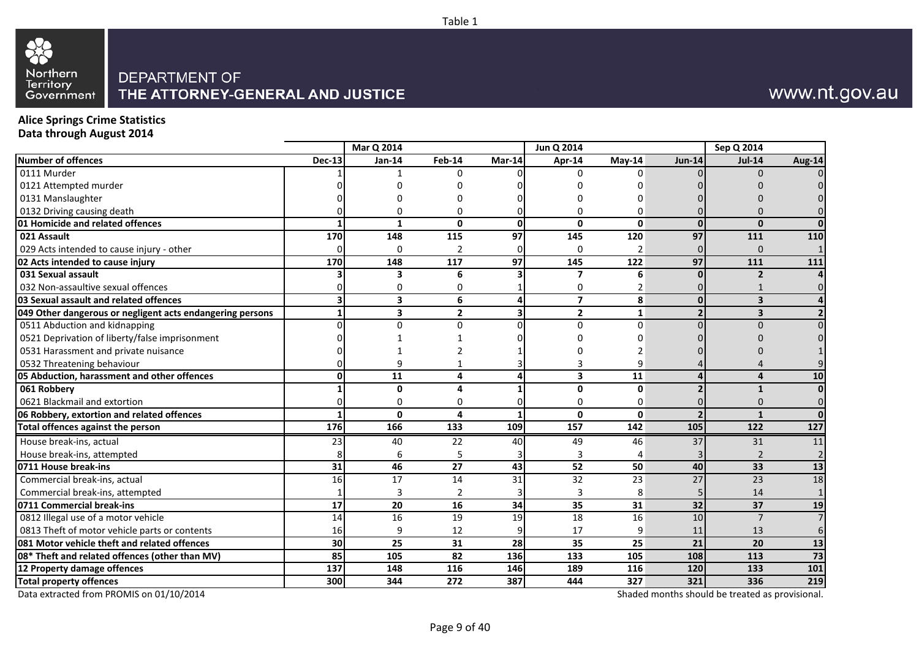

## www.nt.gov.au

### **Alice Springs Crime Statistics Data through August 2014**

|                                                           |                 | Mar Q 2014              |                |                 | Jun Q 2014              |                |               | Sep Q 2014                                      |        |
|-----------------------------------------------------------|-----------------|-------------------------|----------------|-----------------|-------------------------|----------------|---------------|-------------------------------------------------|--------|
| Number of offences                                        | <b>Dec-13</b>   | <b>Jan-14</b>           | <b>Feb-14</b>  | Mar-14          | Apr-14                  | $Mav-14$       | <b>Jun-14</b> | <b>Jul-14</b>                                   | Aug-14 |
| 0111 Murder                                               |                 |                         | n              |                 | n                       | n              |               | $\Omega$                                        |        |
| 0121 Attempted murder                                     |                 |                         |                |                 |                         |                |               |                                                 |        |
| 0131 Manslaughter                                         |                 |                         |                |                 |                         |                |               |                                                 |        |
| 0132 Driving causing death                                |                 | n                       | 0              |                 | U                       | n              |               |                                                 |        |
| 01 Homicide and related offences                          |                 | 1                       | $\mathbf{0}$   | $\mathbf{0}$    | $\mathbf{0}$            | $\mathbf{0}$   | $\Omega$      | $\mathbf{0}$                                    |        |
| 021 Assault                                               | 170             | 148                     | 115            | $\overline{97}$ | 145                     | 120            | 97            | 111                                             | 110    |
| 029 Acts intended to cause injury - other                 |                 | $\mathbf 0$             | $\overline{2}$ | 0               | $\Omega$                | $\overline{2}$ |               | $\Omega$                                        |        |
| 02 Acts intended to cause injury                          | 170             | 148                     | 117            | 97              | 145                     | 122            | 97            | 111                                             | 111    |
| 031 Sexual assault                                        |                 | 3                       | 6              | 3               | 7                       | 6              |               | $\overline{2}$                                  |        |
| 032 Non-assaultive sexual offences                        |                 | 0                       | 0              |                 | 0                       | $\overline{2}$ |               |                                                 |        |
| 03 Sexual assault and related offences                    |                 | 3                       | 6              | 4               | $\overline{\mathbf{z}}$ | 8              |               | $\overline{\mathbf{3}}$                         |        |
| 049 Other dangerous or negligent acts endangering persons |                 | $\overline{\mathbf{3}}$ | $\overline{2}$ | 3               | $\overline{2}$          | $\mathbf{1}$   |               | $\overline{\mathbf{3}}$                         |        |
| 0511 Abduction and kidnapping                             |                 | $\Omega$                | 0              | U               | $\Omega$                | $\Omega$       |               | $\Omega$                                        |        |
| 0521 Deprivation of liberty/false imprisonment            |                 |                         |                |                 |                         |                |               |                                                 |        |
| 0531 Harassment and private nuisance                      |                 |                         |                |                 |                         |                |               |                                                 |        |
| 0532 Threatening behaviour                                |                 | 9                       |                |                 | 3                       | 9              |               |                                                 |        |
| 05 Abduction, harassment and other offences               | O۱              | 11                      | 4              | 4               | 3                       | 11             |               | $\boldsymbol{4}$                                | 10     |
| 061 Robbery                                               |                 | $\mathbf{0}$            | 4              | 1               | $\mathbf{0}$            | $\Omega$       |               | $\mathbf{1}$                                    |        |
| 0621 Blackmail and extortion                              |                 | $\Omega$                | 0              | 0               | 0                       | $\Omega$       |               | $\Omega$                                        |        |
| 06 Robbery, extortion and related offences                |                 | $\mathbf{0}$            | 4              | 1               | $\mathbf{0}$            | 0              |               | $\mathbf{1}$                                    |        |
| Total offences against the person                         | 176             | 166                     | 133            | 109             | 157                     | 142            | 105           | 122                                             | 127    |
| House break-ins, actual                                   | 23              | 40                      | 22             | 40              | 49                      | 46             | 37            | 31                                              | 11     |
| House break-ins, attempted                                |                 | 6                       | 5              |                 | 3                       |                |               | 2                                               |        |
| 0711 House break-ins                                      | 31              | 46                      | 27             | 43              | 52                      | 50             | 40            | 33                                              | 13     |
| Commercial break-ins, actual                              | 16              | $\overline{17}$         | 14             | $\overline{31}$ | $\overline{32}$         | 23             | 27            | $\overline{23}$                                 | 18     |
| Commercial break-ins, attempted                           |                 | 3                       | 2              | 3               | 3                       | 8              |               | 14                                              |        |
| 0711 Commercial break-ins                                 | 17              | 20                      | 16             | 34              | 35                      | 31             | 32            | 37                                              | 19     |
| 0812 Illegal use of a motor vehicle                       | $\overline{14}$ | 16                      | 19             | 19              | $\overline{18}$         | 16             | 10            | $\overline{7}$                                  |        |
| 0813 Theft of motor vehicle parts or contents             | 16              | 9                       | 12             | 9               | 17                      | 9              | 11            | 13                                              |        |
| 081 Motor vehicle theft and related offences              | 30              | 25                      | 31             | 28              | 35                      | 25             | 21            | 20                                              | 13     |
| 08* Theft and related offences (other than MV)            | 85              | 105                     | 82             | 136             | 133                     | 105            | 108           | 113                                             | 73     |
| 12 Property damage offences                               | 137             | 148                     | 116            | 146             | 189                     | 116            | 120           | 133                                             | 101    |
| <b>Total property offences</b>                            | 300             | 344                     | 272            | 387             | 444                     | 327            | 321           | 336                                             | 219    |
| Data extracted from PROMIS on 01/10/2014                  |                 |                         |                |                 |                         |                |               | Shaded months should be treated as provisional. |        |

Table 1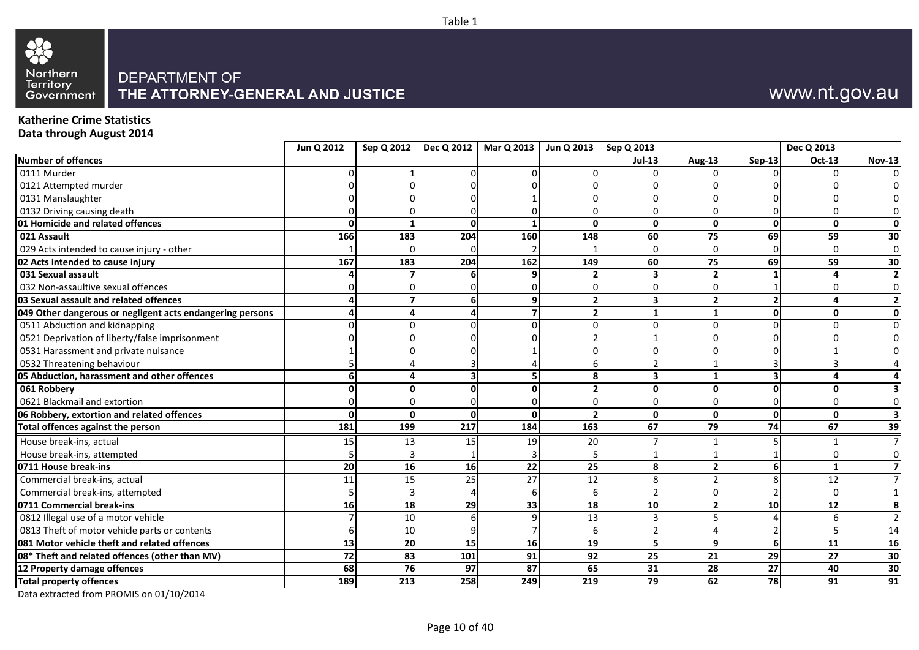

## www.nt.gov.au

### **Katherine Crime Statistics Data through August 2014**

|                                                           | Jun Q 2012 |     |     | Sep Q 2012   Dec Q 2012   Mar Q 2013 | Jun Q 2013   Sep Q 2013 |               |                |                 | Dec Q 2013      |                 |
|-----------------------------------------------------------|------------|-----|-----|--------------------------------------|-------------------------|---------------|----------------|-----------------|-----------------|-----------------|
| Number of offences                                        |            |     |     |                                      |                         | <b>Jul-13</b> | Aug-13         | <b>Sep-13</b>   | <b>Oct-13</b>   | <b>Nov-13</b>   |
| 0111 Murder                                               |            |     |     |                                      |                         |               | U              |                 | ŋ               |                 |
| 0121 Attempted murder                                     |            |     |     |                                      |                         |               |                |                 |                 |                 |
| 0131 Manslaughter                                         |            |     |     |                                      |                         |               |                |                 |                 |                 |
| 0132 Driving causing death                                |            |     |     |                                      |                         |               |                |                 |                 |                 |
| 01 Homicide and related offences                          |            |     | O   |                                      |                         | 0             | $\mathbf{0}$   | $\mathbf{0}$    | $\mathbf{0}$    | 0               |
| 021 Assault                                               | 166        | 183 | 204 | 160                                  | 148                     | 60            | 75             | 69              | 59              | 30              |
| 029 Acts intended to cause injury - other                 |            |     |     |                                      |                         |               |                |                 | $\Omega$        |                 |
| 02 Acts intended to cause injury                          | 167        | 183 | 204 | 162                                  | 149                     | 60            | 75             | 69              | 59              | 30              |
| 031 Sexual assault                                        |            |     |     |                                      |                         |               | 2              |                 |                 |                 |
| 032 Non-assaultive sexual offences                        |            |     |     |                                      |                         |               |                |                 |                 | 0               |
| 03 Sexual assault and related offences                    |            |     | 6   |                                      |                         | 3             | $\overline{2}$ |                 | $\Delta$        | $\overline{2}$  |
| 049 Other dangerous or negligent acts endangering persons |            |     | Δ   |                                      |                         | 1             | $\mathbf 1$    | $\Omega$        | 0               | 0               |
| 0511 Abduction and kidnapping                             |            |     |     |                                      |                         |               |                |                 |                 |                 |
| 0521 Deprivation of liberty/false imprisonment            |            |     |     |                                      |                         |               |                |                 |                 |                 |
| 0531 Harassment and private nuisance                      |            |     |     |                                      |                         |               |                |                 |                 |                 |
| 0532 Threatening behaviour                                |            |     |     |                                      |                         |               |                |                 |                 |                 |
| 05 Abduction, harassment and other offences               |            |     |     |                                      |                         | 3             |                |                 |                 |                 |
| 061 Robbery                                               |            |     |     |                                      |                         | O.            | ŋ              |                 | ŋ               |                 |
| 0621 Blackmail and extortion                              |            |     |     |                                      |                         |               |                |                 |                 | 0               |
| 06 Robbery, extortion and related offences                | $\Omega$   |     | O   | $\Omega$                             |                         | 0             | $\mathbf{0}$   | $\mathbf{0}$    | $\mathbf{0}$    | 3               |
| Total offences against the person                         | 181        | 199 | 217 | 184                                  | 163                     | 67            | 79             | 74              | 67              | 39              |
| House break-ins, actual                                   | 15         | 13  | 15  | 19                                   | 20                      |               |                |                 |                 |                 |
| House break-ins, attempted                                |            |     |     |                                      |                         |               |                |                 |                 | 0               |
| 0711 House break-ins                                      | 20         | 16  | 16  | 22                                   | 25                      | 8             | $\overline{2}$ | 6               | 1               | $\overline{7}$  |
| Commercial break-ins, actual                              | 11         | 15  | 25  | 27                                   | 12                      | 8             | $\mathcal{P}$  |                 | 12              | $\overline{7}$  |
| Commercial break-ins, attempted                           |            |     |     |                                      |                         |               | O              |                 | $\Omega$        |                 |
| 0711 Commercial break-ins                                 | 16         | 18  | 29  | 33                                   | 18                      | 10            | $\overline{2}$ | 10 <sub>1</sub> | 12              | 8               |
| 0812 Illegal use of a motor vehicle                       |            | 10  |     |                                      | 13                      |               |                |                 |                 | $\mathcal{P}$   |
| 0813 Theft of motor vehicle parts or contents             |            | 10  |     |                                      |                         |               |                |                 |                 | 14              |
| 081 Motor vehicle theft and related offences              | 13         | 20  | 15  | 16                                   | 19                      | 5             | 9              |                 | 11              | 16              |
| 08* Theft and related offences (other than MV)            | 72         | 83  | 101 | 91                                   | $\overline{92}$         | 25            | 21             | 29              | $\overline{27}$ | $\overline{30}$ |
| 12 Property damage offences                               | 68         | 76  | 97  | 87                                   | 65                      | 31            | 28             | 27              | 40              | 30              |
| <b>Total property offences</b>                            | 189        | 213 | 258 | 249                                  | 219                     | 79            | 62             | 78              | 91              | 91              |
|                                                           |            |     |     |                                      |                         |               |                |                 |                 |                 |

Data extracted from PROMIS on 01/10/2014

Table 1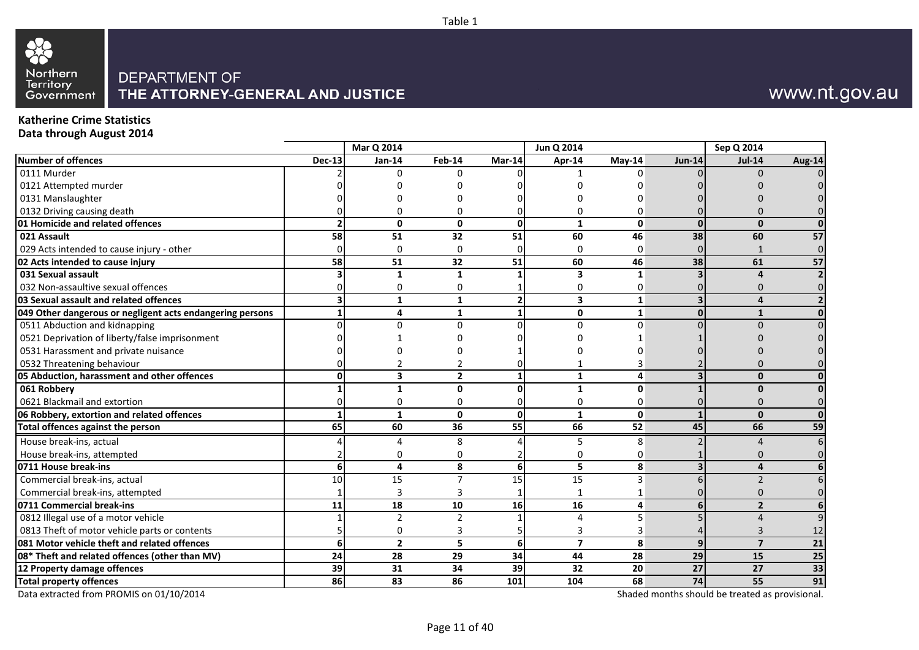# 88 Northern<br>Territory<br>Government

## DEPARTMENT OF THE ATTORNEY-GENERAL AND JUSTICE

## www.nt.gov.au

#### **Katherine Crime Statistics Data through August 2014**

|                                                           |               | Mar Q 2014      |                 |                | Jun Q 2014              |              |                 | Sep Q 2014                                      |                          |
|-----------------------------------------------------------|---------------|-----------------|-----------------|----------------|-------------------------|--------------|-----------------|-------------------------------------------------|--------------------------|
| <b>Number of offences</b>                                 | <b>Dec-13</b> | Jan-14          | <b>Feb-14</b>   | Mar-14         | Apr-14                  | $May-14$     | <b>Jun-14</b>   | <b>Jul-14</b>                                   | Aug-14                   |
| 0111 Murder                                               |               | 0               | U               |                |                         |              |                 |                                                 |                          |
| 0121 Attempted murder                                     |               |                 |                 |                |                         |              |                 |                                                 |                          |
| 0131 Manslaughter                                         |               |                 |                 |                |                         |              |                 |                                                 |                          |
| 0132 Driving causing death                                |               | ი               | O               |                |                         |              |                 |                                                 |                          |
| 01 Homicide and related offences                          |               | $\mathbf{0}$    | $\mathbf{0}$    | $\mathbf{0}$   | $\mathbf{1}$            | $\mathbf{0}$ | $\Omega$        | $\mathbf{0}$                                    |                          |
| 021 Assault                                               | 58            | $\overline{51}$ | $\overline{32}$ | 51             | 60                      | 46           | 38              | 60                                              | $\overline{57}$          |
| 029 Acts intended to cause injury - other                 |               | 0               | 0               |                | 0                       | 0            |                 |                                                 | $\overline{0}$           |
| 02 Acts intended to cause injury                          | 58            | 51              | 32              | 51             | 60                      | 46           | 38              | 61                                              | 57                       |
| 031 Sexual assault                                        |               | $\mathbf{1}$    | 1               |                | 3                       | $\mathbf{1}$ |                 | $\sqrt{ }$                                      |                          |
| 032 Non-assaultive sexual offences                        |               | 0               | 0               |                | 0                       | 0            |                 | O                                               | $\Omega$                 |
| 03 Sexual assault and related offences                    |               | $\mathbf{1}$    | $\mathbf{1}$    | $\overline{2}$ | $\overline{\mathbf{3}}$ | $\mathbf{1}$ |                 | 4                                               | $\overline{\phantom{a}}$ |
| 049 Other dangerous or negligent acts endangering persons |               | 4               | $\mathbf{1}$    | 1              | 0                       | $\mathbf{1}$ | ŋ               | $\mathbf{1}$                                    | $\Omega$                 |
| 0511 Abduction and kidnapping                             |               | U               | $\Omega$        |                | $\Omega$                | $\Omega$     |                 |                                                 |                          |
| 0521 Deprivation of liberty/false imprisonment            |               |                 |                 |                |                         |              |                 |                                                 |                          |
| 0531 Harassment and private nuisance                      |               |                 |                 |                |                         |              |                 |                                                 |                          |
| 0532 Threatening behaviour                                |               |                 |                 |                |                         |              |                 |                                                 |                          |
| 05 Abduction, harassment and other offences               |               | 3               | $\overline{2}$  |                | 1                       | 4            |                 | $\bf{0}$                                        |                          |
| 061 Robbery                                               |               | 1               | <sup>0</sup>    | ŋ              | $\mathbf{1}$            | $\Omega$     |                 | ŋ                                               | ΩI                       |
| 0621 Blackmail and extortion                              |               | 0               | $\Omega$        | $\Omega$       | $\Omega$                | $\mathbf 0$  |                 |                                                 |                          |
| 06 Robbery, extortion and related offences                |               | $\mathbf{1}$    | 0               | $\mathbf{0}$   | $\mathbf{1}$            | $\mathbf{0}$ |                 | $\mathbf{0}$                                    | $\mathbf{0}$             |
| Total offences against the person                         | 65            | 60              | 36              | 55             | 66                      | 52           | 45              | 66                                              | 59                       |
| House break-ins, actual                                   |               | 4               | 8               |                | 5                       | 8            |                 |                                                 | 6                        |
| House break-ins, attempted                                |               | 0               | U               |                | 0                       | 0            |                 |                                                 |                          |
| 0711 House break-ins                                      | 6             | 4               | 8               | 6              | 5                       | 8            |                 | 4                                               |                          |
| Commercial break-ins, actual                              | 10            | 15              | 7               | 15             | 15                      | 3            |                 | $\mathcal{P}$                                   |                          |
| Commercial break-ins, attempted                           |               | 3               | 3               |                | 1                       |              |                 |                                                 |                          |
| 0711 Commercial break-ins                                 | 11            | 18              | 10              | 16             | 16                      | 4            |                 | $\overline{2}$                                  | 6                        |
| 0812 Illegal use of a motor vehicle                       |               | $\overline{2}$  | $\overline{2}$  |                | $\overline{4}$          | 5            |                 | $\Lambda$                                       | $\mathsf{q}$             |
| 0813 Theft of motor vehicle parts or contents             |               | 0               | 3               |                | 3                       | 3            |                 | 3                                               | 12                       |
| 081 Motor vehicle theft and related offences              |               | $\overline{2}$  | 5               | 6              | $\overline{7}$          | 8            | $\mathbf{q}$    | $\overline{7}$                                  | 21                       |
| 08* Theft and related offences (other than MV)            | 24            | 28              | 29              | 34             | 44                      | 28           | 29              | 15                                              | 25                       |
| 12 Property damage offences                               | 39            | 31              | 34              | 39             | 32                      | 20           | $\overline{27}$ | 27                                              | 33                       |
| <b>Total property offences</b>                            | 86            | 83              | 86              | 101            | 104                     | 68           | 74              | 55                                              | 91                       |
| Data extracted from PROMIS on 01/10/2014                  |               |                 |                 |                |                         |              |                 | Shaded months should be treated as provisional. |                          |

Table 1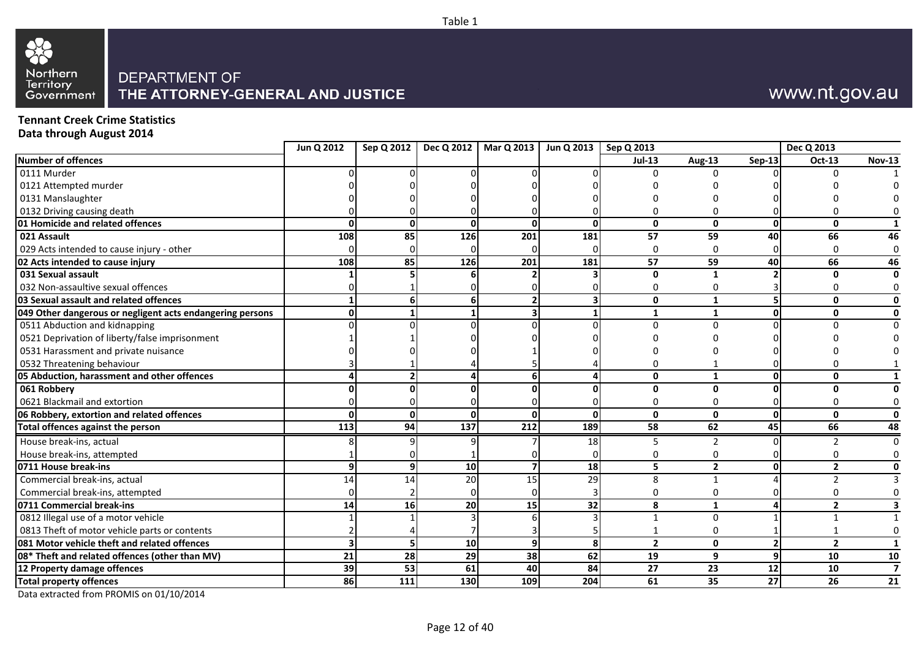

## www.nt.gov.au

**Tennant Creek Crime Statistics Data through August 2014**

|                                                           | Jun Q 2012 | Sep Q 2012 | Dec Q 2012 | Mar Q 2013   | Jun Q 2013   | Sep Q 2013      |                 |                 | Dec Q 2013     |                         |
|-----------------------------------------------------------|------------|------------|------------|--------------|--------------|-----------------|-----------------|-----------------|----------------|-------------------------|
| Number of offences                                        |            |            |            |              |              | $Jul-13$        | <b>Aug-13</b>   | $Sep-13$        | Oct-13         | <b>Nov-13</b>           |
| 0111 Murder                                               |            |            |            |              |              | $\Omega$        | $\Omega$        |                 | $\Omega$       |                         |
| 0121 Attempted murder                                     |            |            |            |              |              |                 |                 |                 |                |                         |
| 0131 Manslaughter                                         |            |            |            |              |              |                 |                 |                 |                |                         |
| 0132 Driving causing death                                |            |            |            |              |              |                 |                 |                 |                |                         |
| 01 Homicide and related offences                          |            |            | ŋ          | $\Omega$     | <sup>0</sup> | $\mathbf 0$     | $\mathbf{0}$    | $\Omega$        | U              |                         |
| 021 Assault                                               | 108        | 85         | 126        | 201          | 181          | 57              | 59              | 40              | 66             | 46                      |
| 029 Acts intended to cause injury - other                 |            |            |            |              | U            | $\mathbf 0$     | $\mathbf 0$     |                 |                | 0                       |
| 02 Acts intended to cause injury                          | 108        | 85         | 126        | 201          | 181          | 57              | 59              | 40              | 66             | 46                      |
| 031 Sexual assault                                        |            |            |            |              |              | $\mathbf{0}$    | $\mathbf{1}$    |                 | <sup>0</sup>   | 0                       |
| 032 Non-assaultive sexual offences                        |            |            |            |              |              | 0               | 0               |                 |                |                         |
| 03 Sexual assault and related offences                    |            |            | 6          |              |              | $\mathbf{0}$    | $\mathbf{1}$    |                 | 0              | 0                       |
| 049 Other dangerous or negligent acts endangering persons |            |            |            |              |              | $\mathbf{1}$    | $\mathbf{1}$    | <sup>n</sup>    | $\mathbf{0}$   | 0                       |
| 0511 Abduction and kidnapping                             |            |            |            |              |              | $\Omega$        | $\Omega$        |                 |                |                         |
| 0521 Deprivation of liberty/false imprisonment            |            |            |            |              |              |                 |                 |                 |                |                         |
| 0531 Harassment and private nuisance                      |            |            |            |              |              |                 |                 |                 |                |                         |
| 0532 Threatening behaviour                                |            |            |            |              |              |                 |                 |                 |                |                         |
| 05 Abduction, harassment and other offences               |            |            |            |              |              | $\mathbf 0$     | $\mathbf{1}$    |                 | 0              |                         |
| 061 Robbery                                               |            |            |            |              |              | $\mathbf{0}$    | $\mathbf{0}$    |                 | U              | 0                       |
| 0621 Blackmail and extortion                              |            |            |            |              |              | 0               | 0               |                 |                | 0                       |
| 06 Robbery, extortion and related offences                |            | $\Omega$   | $\Omega$   | <sup>n</sup> | $\Omega$     | $\mathbf{0}$    | $\mathbf{0}$    | $\Omega$        | $\mathbf{0}$   | $\mathbf 0$             |
| Total offences against the person                         | 113        | 94         | 137        | 212          | 189          | 58              | 62              | 45              | 66             | 48                      |
| House break-ins, actual                                   |            |            |            |              | 18           | 5               | $\mathfrak{p}$  |                 |                | $\mathbf 0$             |
| House break-ins, attempted                                |            |            |            |              |              | 0               | 0               |                 |                |                         |
| 0711 House break-ins                                      |            |            | 10         |              | 18           | 5               | $\overline{2}$  |                 | $\overline{2}$ | 0                       |
| Commercial break-ins, actual                              | 14         | 14         | 20         | 15           | 29           | 8               | $\mathbf{1}$    |                 |                |                         |
| Commercial break-ins, attempted                           |            |            |            |              |              | 0               | 0               |                 |                |                         |
| 0711 Commercial break-ins                                 | 14         | 16         | 20         | 15           | 32           | 8               | $\mathbf{1}$    |                 | $\overline{2}$ | 3                       |
| 0812 Illegal use of a motor vehicle                       |            |            |            |              |              | $\mathbf{1}$    | $\Omega$        |                 |                |                         |
| 0813 Theft of motor vehicle parts or contents             |            |            |            |              |              | $\mathbf{1}$    | $\mathbf 0$     |                 |                | 0                       |
| 081 Motor vehicle theft and related offences              |            | 5          | 10         | q            | 8            | $\overline{2}$  | $\mathbf{0}$    |                 | $\overline{2}$ | $\mathbf{1}$            |
| 08* Theft and related offences (other than MV)            | 21         | 28         | 29         | 38           | 62           | 19              | 9               | q               | 10             | 10                      |
| 12 Property damage offences                               | 39         | 53         | 61         | 40           | 84           | $\overline{27}$ | $\overline{23}$ | $\overline{12}$ | 10             | $\overline{\mathbf{z}}$ |
| <b>Total property offences</b>                            | 86         | 111        | 130        | 109          | 204          | 61              | 35              | 27              | 26             | 21                      |
|                                                           |            |            |            |              |              |                 |                 |                 |                |                         |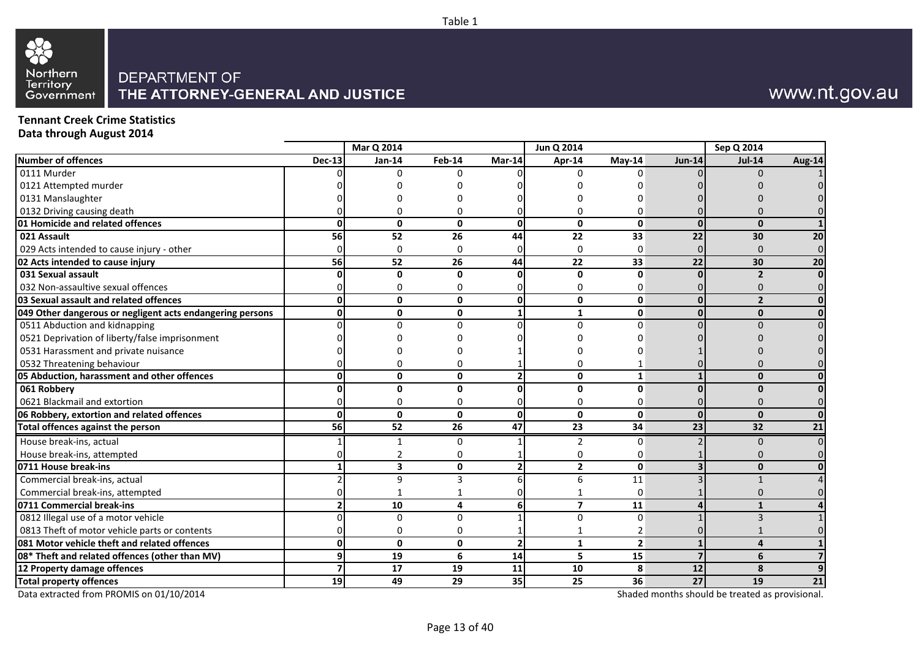

## www.nt.gov.au

**Tennant Creek Crime Statistics Data through August 2014**

|                                                           |                 | Mar Q 2014      |          |                         | Jun Q 2014              |                         |               | Sep Q 2014               |        |
|-----------------------------------------------------------|-----------------|-----------------|----------|-------------------------|-------------------------|-------------------------|---------------|--------------------------|--------|
| Number of offences                                        | <b>Dec-13</b>   | Jan-14          | Feb-14   | Mar-14                  | Apr-14                  | May-14                  | <b>Jun-14</b> | $Jul-14$                 | Aug-14 |
| 0111 Murder                                               |                 | <sup>0</sup>    | U        |                         | U                       |                         |               | n                        |        |
| 0121 Attempted murder                                     |                 |                 |          |                         |                         |                         |               |                          |        |
| 0131 Manslaughter                                         |                 |                 |          |                         |                         |                         |               |                          |        |
| 0132 Driving causing death                                |                 |                 | U        |                         |                         |                         |               |                          |        |
| 01 Homicide and related offences                          |                 | $\mathbf{0}$    | 0        | $\Omega$                | $\mathbf{0}$            | $\mathbf{0}$            | $\Omega$      | $\Omega$                 |        |
| 021 Assault                                               | 56              | $\overline{52}$ | 26       | $\overline{44}$         | 22                      | 33                      | 22            | 30                       | 20     |
| 029 Acts intended to cause injury - other                 |                 | 0               | 0        | 0                       | $\Omega$                | $\Omega$                |               | $\cap$                   |        |
| 02 Acts intended to cause injury                          | 56              | 52              | 26       | 44                      | 22                      | 33                      | 22            | 30                       | 20     |
| 031 Sexual assault                                        | ŋ               | $\mathbf{0}$    | 0        | $\Omega$                | $\mathbf 0$             | $\mathbf{0}$            |               | $\overline{\phantom{a}}$ |        |
| 032 Non-assaultive sexual offences                        |                 | O               | n        | O                       | 0                       | $\Omega$                |               | n                        |        |
| 03 Sexual assault and related offences                    | U               | $\mathbf{0}$    | 0        | 0                       | 0                       | $\mathbf 0$             | $\mathbf{0}$  | $\overline{\phantom{a}}$ |        |
| 049 Other dangerous or negligent acts endangering persons | n١              | $\mathbf{0}$    | 0        | $\mathbf{1}$            | $\mathbf{1}$            | $\mathbf{0}$            | $\Omega$      | $\Omega$                 |        |
| 0511 Abduction and kidnapping                             |                 | U               | 0        | U                       | $\Omega$                | $\Omega$                |               |                          |        |
| 0521 Deprivation of liberty/false imprisonment            |                 |                 |          |                         |                         |                         |               |                          |        |
| 0531 Harassment and private nuisance                      |                 |                 |          |                         |                         |                         |               |                          |        |
| 0532 Threatening behaviour                                |                 |                 | O        |                         | 0                       |                         |               |                          |        |
| 05 Abduction, harassment and other offences               |                 | $\mathbf{0}$    | 0        | $\overline{2}$          | $\mathbf{0}$            | $\mathbf{1}$            |               | $\mathbf{0}$             |        |
| 061 Robbery                                               |                 | $\mathbf{0}$    | 0        | O                       | 0                       | 0                       |               | n                        |        |
| 0621 Blackmail and extortion                              |                 | 0               | $\Omega$ | U                       | $\Omega$                | $\Omega$                |               |                          |        |
| 06 Robbery, extortion and related offences                | Ωl              | $\mathbf{0}$    | 0        | $\mathbf{0}$            | 0                       | $\mathbf{0}$            | $\Omega$      | $\Omega$                 |        |
| Total offences against the person                         | 56              | 52              | 26       | 47                      | 23                      | 34                      | 23            | 32                       | 21     |
| House break-ins, actual                                   |                 |                 | n        |                         | 2                       | $\Omega$                |               | $\Omega$                 |        |
| House break-ins, attempted                                |                 |                 | N        |                         | 0                       | $\Omega$                |               |                          |        |
| 0711 House break-ins                                      |                 | 3               | 0        | $\overline{2}$          | $\overline{2}$          | $\mathbf 0$             |               | $\bf{0}$                 |        |
| Commercial break-ins, actual                              |                 | 9               | 3        | 6                       | 6                       | 11                      |               |                          |        |
| Commercial break-ins, attempted                           |                 |                 |          | ŋ                       |                         | $\Omega$                |               |                          |        |
| 0711 Commercial break-ins                                 |                 | 10              | 4        | 6                       | $\overline{\mathbf{z}}$ | 11                      |               |                          |        |
| 0812 Illegal use of a motor vehicle                       |                 | $\Omega$        | $\Omega$ |                         | 0                       | $\Omega$                |               |                          |        |
| 0813 Theft of motor vehicle parts or contents             |                 | $\Omega$        | $\Omega$ |                         |                         | $\overline{2}$          |               |                          |        |
| 081 Motor vehicle theft and related offences              | U               | $\mathbf{0}$    | 0        | $\overline{\mathbf{2}}$ | $\mathbf{1}$            | $\overline{\mathbf{c}}$ |               | $\boldsymbol{\Lambda}$   |        |
| 08* Theft and related offences (other than MV)            | q               | $\overline{19}$ | 6        | 14                      | 5                       | 15                      |               | 6                        |        |
| 12 Property damage offences                               |                 | 17              | 19       | 11                      | 10                      | 8                       | 12            | 8                        |        |
| <b>Total property offences</b>                            | 19 <sup>1</sup> | 49              | 29       | 35                      | 25                      | 36                      | 27            | 19                       | 21     |

Table 1

Data extracted from PROMIS on 01/10/2014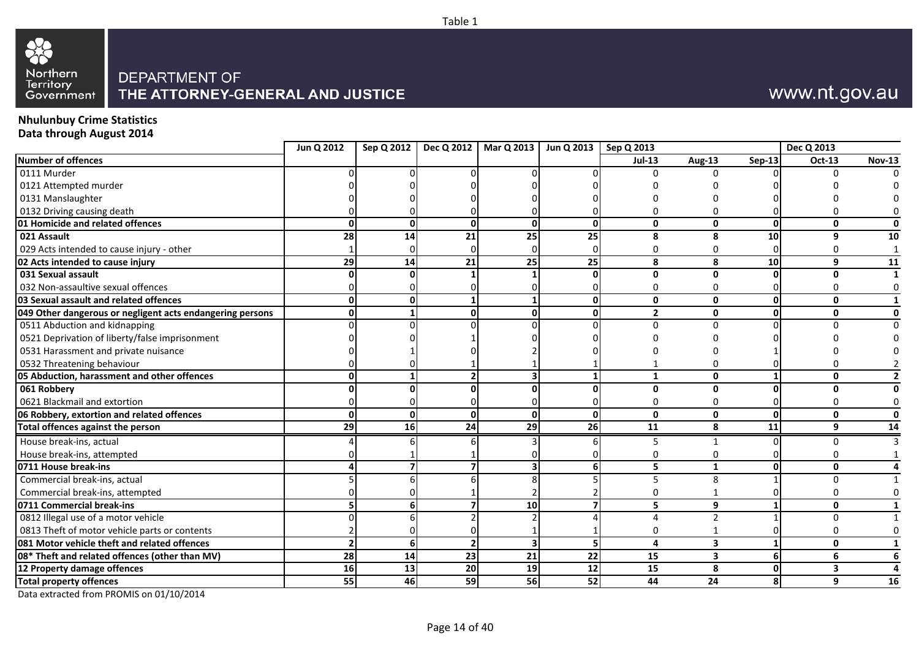

## www.nt.gov.au

### **Nhulunbuy Crime Statistics Data through August 2014**

|                                                           | Jun Q 2012 | Sep Q 2012   | Dec Q 2012     | Mar Q 2013 | Jun Q 2013 | Sep Q 2013    |                         |                 | Dec Q 2013    |                |
|-----------------------------------------------------------|------------|--------------|----------------|------------|------------|---------------|-------------------------|-----------------|---------------|----------------|
| <b>Number of offences</b>                                 |            |              |                |            |            | <b>Jul-13</b> | Aug-13                  | $Sep-13$        | <b>Oct-13</b> | <b>Nov-13</b>  |
| 0111 Murder                                               |            |              |                |            |            |               | U                       |                 |               | $\Omega$       |
| 0121 Attempted murder                                     |            |              |                |            |            |               |                         |                 |               |                |
| 0131 Manslaughter                                         |            |              |                |            |            |               |                         |                 |               |                |
| 0132 Driving causing death                                |            |              |                |            |            |               | n                       |                 |               |                |
| 01 Homicide and related offences                          |            | $\mathbf{0}$ | $\mathbf{0}$   |            | U          | $\mathbf{0}$  | $\mathbf{0}$            | $\Omega$        | $\mathbf{0}$  | $\mathbf{0}$   |
| 021 Assault                                               | 28         | 14           | 21             | 25         | 25         | 8             | 8                       | 10              | q             | 10             |
| 029 Acts intended to cause injury - other                 |            |              | $\Omega$       |            |            | $\mathbf 0$   | $\Omega$                |                 |               | 1              |
| 02 Acts intended to cause injury                          | 29         | 14           | 21             | 25         | 25         | 8             | 8                       | 10 <sup>1</sup> | 9             | 11             |
| 031 Sexual assault                                        |            |              |                |            |            | $\mathbf{0}$  | $\mathbf 0$             |                 | $\Omega$      | 1              |
| 032 Non-assaultive sexual offences                        |            |              |                |            |            | $\mathbf 0$   | $\Omega$                |                 |               | 0              |
| 03 Sexual assault and related offences                    | ი          | 0            |                |            | U          | $\mathbf{0}$  | $\mathbf{0}$            | ΩI              | $\mathbf{0}$  | 1              |
| 049 Other dangerous or negligent acts endangering persons |            |              | $\mathbf{0}$   |            |            | $\mathbf{2}$  | $\mathbf{0}$            | $\Omega$        | $\mathbf{0}$  | $\mathbf{0}$   |
| 0511 Abduction and kidnapping                             |            |              |                |            |            | $\Omega$      | $\Omega$                |                 |               | <sup>n</sup>   |
| 0521 Deprivation of liberty/false imprisonment            |            |              |                |            |            |               |                         |                 |               |                |
| 0531 Harassment and private nuisance                      |            |              |                |            |            |               |                         |                 |               |                |
| 0532 Threatening behaviour                                |            |              |                |            |            |               | $\Omega$                |                 |               |                |
| 05 Abduction, harassment and other offences               |            |              | $\overline{2}$ |            |            | $\mathbf{1}$  | $\mathbf{0}$            |                 | $\mathbf{0}$  | $\overline{2}$ |
| 061 Robbery                                               |            |              | $\Omega$       |            |            | $\Omega$      | $\mathbf{0}$            |                 | $\Omega$      | $\mathbf{0}$   |
| 0621 Blackmail and extortion                              |            |              |                |            |            | 0             | 0                       |                 | $\Omega$      | 0              |
| 06 Robbery, extortion and related offences                | O          | $\mathbf{0}$ | $\mathbf{0}$   |            | U          | $\mathbf{0}$  | $\mathbf 0$             | $\mathbf{0}$    | $\mathbf{0}$  | $\mathbf 0$    |
| Total offences against the person                         | 29         | 16           | 24             | 29         | <b>26</b>  | 11            | 8                       | 11              | 9             | 14             |
| House break-ins, actual                                   |            |              |                |            |            | 5             |                         |                 | $\Omega$      | ς              |
| House break-ins, attempted                                |            |              |                |            |            | $\Omega$      | $\Omega$                |                 | 0             |                |
| 0711 House break-ins                                      |            |              |                |            |            | 5             | $\mathbf{1}$            | ŋ               | $\mathbf{0}$  | 4              |
| Commercial break-ins, actual                              |            |              |                |            |            | 5             | 8                       |                 | $\Omega$      | 1              |
| Commercial break-ins, attempted                           |            |              |                |            |            | 0             |                         |                 | 0             | 0              |
| 0711 Commercial break-ins                                 |            | 6            | 7              | 10         |            | 5             | 9                       |                 | 0             | $\mathbf{1}$   |
| 0812 Illegal use of a motor vehicle                       |            |              |                |            |            | 4             | $\overline{2}$          |                 | $\Omega$      | 1              |
| 0813 Theft of motor vehicle parts or contents             |            |              |                |            |            | 0             | -1                      |                 | $\Omega$      | $\mathbf 0$    |
| 081 Motor vehicle theft and related offences              |            | $6 \mid$     | $\overline{2}$ |            | 5          | 4             | $\overline{\mathbf{3}}$ | $\mathbf{1}$    | $\mathbf{0}$  | 1              |
| 08* Theft and related offences (other than MV)            | 28         | 14           | 23             | 21         | 22         | 15            | $\overline{\mathbf{3}}$ | 6               | 6             | 6              |
| 12 Property damage offences                               | 16         | 13           | 20             | 19         | 12         | 15            | 8                       | $\Omega$        | 3             | 4              |
| <b>Total property offences</b>                            | 55         | 46           | 59             | 56         | 52         | 44            | 24                      | 8               | 9             | 16             |
| Data extracted from PROMIS on 01/10/2014                  |            |              |                |            |            |               |                         |                 |               |                |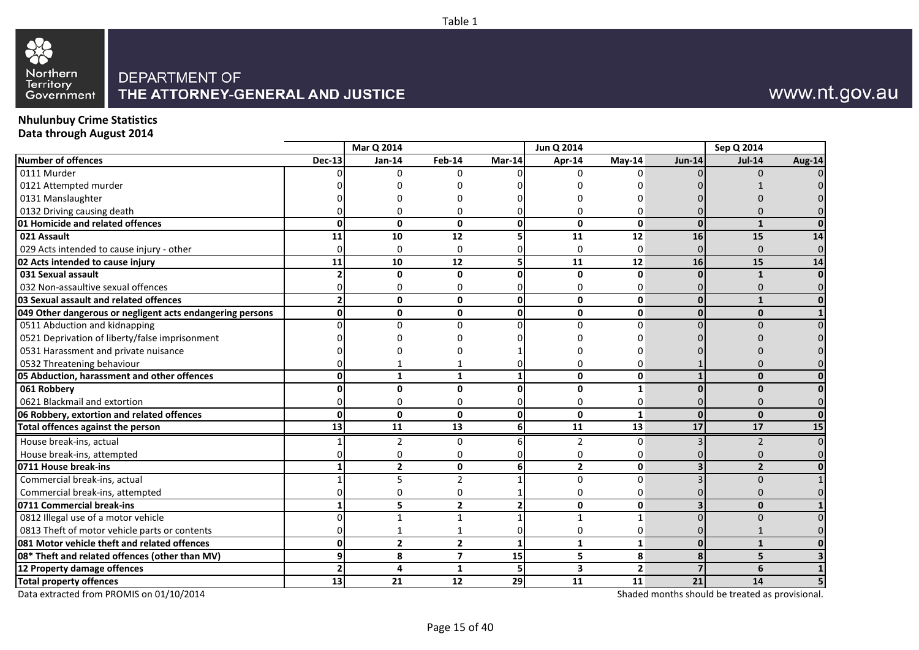

## www.nt.gov.au

#### **Nhulunbuy Crime Statistics Data through August 2014**

|                                                           |               | Mar Q 2014     |                          |                 | Jun Q 2014     |              |               | Sep Q 2014               |        |
|-----------------------------------------------------------|---------------|----------------|--------------------------|-----------------|----------------|--------------|---------------|--------------------------|--------|
| Number of offences                                        | <b>Dec-13</b> | Jan-14         | Feb-14                   | Mar-14          | Apr-14         | $Mav-14$     | <b>Jun-14</b> | <b>Jul-14</b>            | Aug-14 |
| $0111$ Murder                                             |               | <sup>0</sup>   | 0                        |                 | 0              | ∩            |               | n                        |        |
| 0121 Attempted murder                                     |               |                |                          |                 |                |              |               |                          |        |
| 0131 Manslaughter                                         |               |                |                          |                 |                |              |               |                          |        |
| 0132 Driving causing death                                |               |                | n                        |                 | 0              |              |               |                          |        |
| 01 Homicide and related offences                          |               | $\mathbf 0$    | $\mathbf{0}$             | $\mathbf{0}$    | $\mathbf{0}$   | $\mathbf 0$  | $\Omega$      |                          |        |
| 021 Assault                                               | 11            | 10             | 12                       | 5               | 11             | 12           | 16            | 15                       | 14     |
| 029 Acts intended to cause injury - other                 |               | $\Omega$       | 0                        | n               | $\Omega$       | $\Omega$     |               | n                        |        |
| 02 Acts intended to cause injury                          | 11            | 10             | 12                       | 5               | 11             | 12           | 16            | 15                       | 14     |
| 031 Sexual assault                                        |               | $\Omega$       | $\mathbf{0}$             | 0               | $\mathbf{0}$   | n            |               | $\mathbf{1}$             |        |
| 032 Non-assaultive sexual offences                        |               | n              | $\Omega$                 | 0               | 0              | O            |               |                          |        |
| 03 Sexual assault and related offences                    |               | $\mathbf{0}$   | $\mathbf{0}$             | $\mathbf{0}$    | $\mathbf{0}$   | 0            | $\Omega$      |                          |        |
| 049 Other dangerous or negligent acts endangering persons |               | $\mathbf 0$    | $\mathbf{0}$             | 0               | 0              | 0            | $\Omega$      | $\mathbf{0}$             |        |
| 0511 Abduction and kidnapping                             |               | $\Omega$       | U                        | $\Omega$        | $\Omega$       | $\Omega$     |               |                          |        |
| 0521 Deprivation of liberty/false imprisonment            |               |                |                          |                 |                |              |               |                          |        |
| 0531 Harassment and private nuisance                      |               |                |                          |                 |                |              |               |                          |        |
| 0532 Threatening behaviour                                |               |                |                          |                 |                |              |               |                          |        |
| 05 Abduction, harassment and other offences               |               | 1              | $\mathbf{1}$             | $\mathbf{1}$    | $\mathbf{0}$   | $\mathbf{0}$ |               | $\Omega$                 |        |
| 061 Robbery                                               |               | $\Omega$       | <sup>0</sup>             | 0               | 0              | 1            |               | n                        |        |
| 0621 Blackmail and extortion                              |               |                | N                        | n               | 0              | $\Omega$     |               |                          |        |
| 06 Robbery, extortion and related offences                |               | $\mathbf{0}$   | $\mathbf{0}$             | $\mathbf{0}$    | $\mathbf{0}$   | $\mathbf{1}$ | $\Omega$      | $\Omega$                 |        |
| Total offences against the person                         | 13            | 11             | 13                       | 6               | 11             | 13           | 17            | 17                       | 15     |
| House break-ins, actual                                   |               | 2              | 0                        | 6               | 2              | $\Omega$     |               |                          |        |
| House break-ins, attempted                                |               |                | n                        |                 | 0              | O            |               |                          |        |
| 0711 House break-ins                                      |               | $\overline{2}$ | $\mathbf{0}$             | 6               | $\overline{2}$ | 0            |               | $\overline{\phantom{a}}$ |        |
| Commercial break-ins, actual                              |               | 5              | $\overline{2}$           |                 | $\mathbf 0$    | $\Omega$     |               | $\Omega$                 |        |
| Commercial break-ins, attempted                           |               | O              | 0                        |                 | 0              | $\Omega$     |               |                          |        |
| 0711 Commercial break-ins                                 |               | 5              | $\overline{2}$           | 2               | $\mathbf{0}$   | $\mathbf{0}$ |               | $\Omega$                 |        |
| 0812 Illegal use of a motor vehicle                       |               | $\mathbf{1}$   | $\mathbf{1}$             | 1               | 1              | $\mathbf{1}$ |               |                          |        |
| 0813 Theft of motor vehicle parts or contents             |               |                |                          | 0               | $\Omega$       | $\Omega$     |               |                          |        |
| 081 Motor vehicle theft and related offences              |               | $\overline{2}$ | $\overline{2}$           | $\mathbf{1}$    | $\mathbf{1}$   | $\mathbf{1}$ | $\Omega$      | $\mathbf{1}$             |        |
| 08* Theft and related offences (other than MV)            |               | 8              | $\overline{\phantom{a}}$ | $\overline{15}$ | 5              | 8            |               | 5                        |        |
| 12 Property damage offences                               |               | $\overline{a}$ | 1                        | 5               | 3              | $\mathbf{2}$ |               | 6                        |        |
| <b>Total property offences</b>                            | 13            | 21             | 12                       | 29              | 11             | 11           | 21            | 14                       |        |

Table 1

Data extracted from PROMIS on 01/10/2014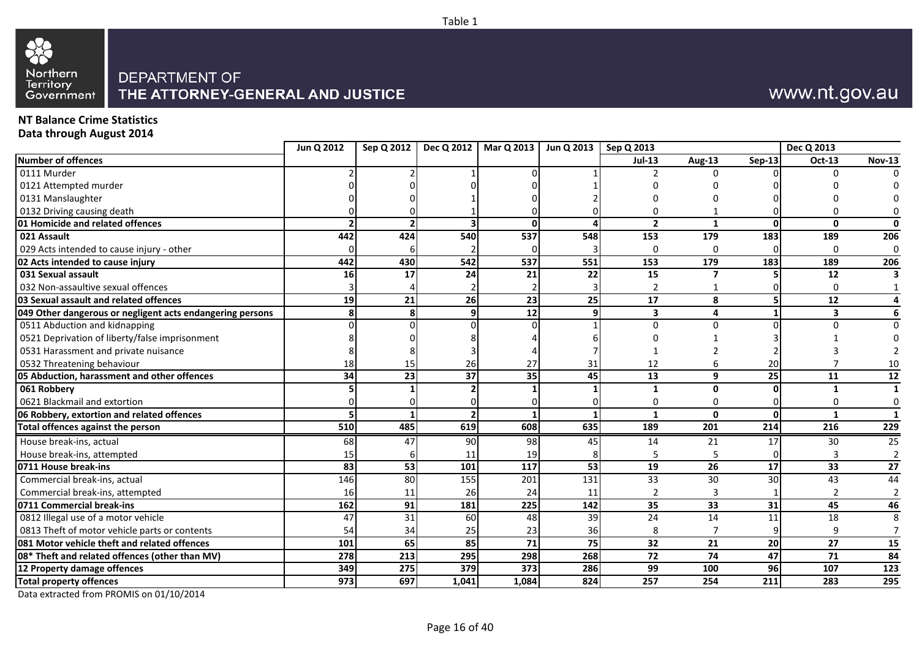

## www.nt.gov.au

### **NT Balance Crime Statistics Data through August 2014**

|                                                           | Jun Q 2012       | Sep Q 2012 |       | Dec Q 2012   Mar Q 2013 | Jun Q 2013 | Sep Q 2013       |              |                  | Dec Q 2013     |                 |
|-----------------------------------------------------------|------------------|------------|-------|-------------------------|------------|------------------|--------------|------------------|----------------|-----------------|
| <b>Number of offences</b>                                 |                  |            |       |                         |            | <b>Jul-13</b>    | Aug-13       | Sep-13           | Oct-13         | <b>Nov-13</b>   |
| 0111 Murder                                               |                  |            |       |                         |            |                  | n            |                  | O              |                 |
| 0121 Attempted murder                                     |                  |            |       |                         |            |                  |              |                  |                |                 |
| 0131 Manslaughter                                         |                  |            |       |                         |            |                  |              |                  |                |                 |
| 0132 Driving causing death                                |                  |            |       |                         |            |                  |              |                  |                |                 |
| 01 Homicide and related offences                          |                  |            |       | $\Omega$                |            | $\overline{2}$   | $\mathbf{1}$ | $\Omega$         | $\mathbf{0}$   |                 |
| 021 Assault                                               | 442              | 424        | 540   | 537                     | 548        | 153              | 179          | 183              | 189            | 206             |
| 029 Acts intended to cause injury - other                 |                  |            |       |                         |            |                  | O            |                  | $\Omega$       |                 |
| 02 Acts intended to cause injury                          | 442              | 430        | 542   | 537                     | 551        | 153              | 179          | 183              | 189            | 206             |
| 031 Sexual assault                                        | 16               | 17         | 24    | 21                      | 22         | 15               | 7            |                  | 12             |                 |
| 032 Non-assaultive sexual offences                        |                  |            |       |                         |            |                  |              |                  | 0              |                 |
| 03 Sexual assault and related offences                    | 19               | 21         | 26    | 23                      | 25         | 17               | 8            |                  | 12             |                 |
| 049 Other dangerous or negligent acts endangering persons |                  |            | 9     | 12                      |            | 3                | $\Delta$     |                  | 3              |                 |
| 0511 Abduction and kidnapping                             |                  |            |       |                         |            | U                | U            |                  |                |                 |
| 0521 Deprivation of liberty/false imprisonment            |                  |            |       |                         |            |                  |              |                  |                |                 |
| 0531 Harassment and private nuisance                      |                  |            |       |                         |            |                  |              |                  |                |                 |
| 0532 Threatening behaviour                                | 18               | 15         | 26    | 27                      | 31         | 12               |              | 20               |                | 10              |
| 05 Abduction, harassment and other offences               | 34               | 23         | 37    | 35                      | 45         | 13               | 9            | 25               | 11             | 12              |
| 061 Robbery                                               |                  |            |       |                         |            | $\mathbf{1}$     | $\mathbf{0}$ | $\Omega$         | $\mathbf{1}$   | $\mathbf{1}$    |
| 0621 Blackmail and extortion                              |                  |            |       |                         |            | 0                | $\Omega$     | $\Omega$         | 0              | 0               |
| 06 Robbery, extortion and related offences                |                  |            |       |                         |            | 1                | O            | $\Omega$         | $\mathbf{1}$   | 1               |
| <b>Total offences against the person</b>                  | 510              | 485        | 619   | 608                     | 635        | 189              | 201          | 214              | 216            | 229             |
| House break-ins, actual                                   | 68               | 47         | 90    | 98                      | 45         | 14               | 21           | 17               | 30             | 25              |
| House break-ins, attempted                                | 15               |            | 11    | 19                      |            | 5                | 5            | $\Omega$         | 3              | $\overline{2}$  |
| 0711 House break-ins                                      | 83               | 53         | 101   | $\frac{117}{117}$       | 53         | 19               | 26           | $\overline{17}$  | 33             | $\overline{27}$ |
| Commercial break-ins, actual                              | 146              | 80         | 155   | 201                     | 131        | 33               | 30           | 30               | 43             | 44              |
| Commercial break-ins, attempted                           | 16               | 11         | 26    | 24                      | 11         | $\overline{2}$   | 3            |                  | $\overline{2}$ | $\overline{2}$  |
| 0711 Commercial break-ins                                 | 162              | 91         | 181   | 225                     | 142        | 35               | 33           | 31               | 45             | 46              |
| 0812 Illegal use of a motor vehicle                       | 47               | 31         | 60    | 48                      | 39         | 24               | 14           | 11               | 18             |                 |
| 0813 Theft of motor vehicle parts or contents             | 54               | 34         | 25    | 23                      | 36         |                  |              |                  | 9              |                 |
| 081 Motor vehicle theft and related offences              | 101              | 65         | 85    | 71                      | 75         | 32               | 21           | 20               | 27             | 15              |
| 08* Theft and related offences (other than MV)            | 278              | 213        | 295   | 298                     | 268        | 72               | 74           | 47               | 71             | 84              |
| 12 Property damage offences                               | 349              | 275        | 379   | 373                     | 286        | 99               | 100          | 96               | 107            | 123             |
| <b>Total property offences</b>                            | $\overline{973}$ | 697        | 1,041 | 1,084                   | 824        | $\overline{257}$ | 254          | $\overline{211}$ | 283            | 295             |

Table 1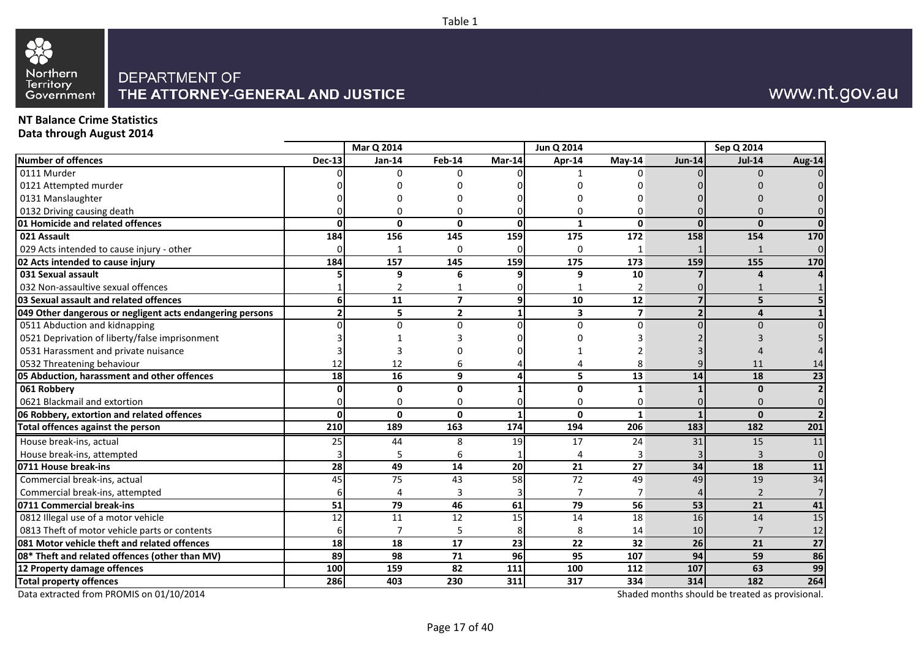

## www.nt.gov.au

### **NT Balance Crime Statistics Data through August 2014**

|                                                           |               | Mar Q 2014      |                         |                 | Jun Q 2014      |                         |               | Sep Q 2014             |                 |
|-----------------------------------------------------------|---------------|-----------------|-------------------------|-----------------|-----------------|-------------------------|---------------|------------------------|-----------------|
| Number of offences                                        | <b>Dec-13</b> | Jan-14          | Feb-14                  | Mar-14          | Apr-14          | $Mav-14$                | <b>Jun-14</b> | <b>Jul-14</b>          | Aug-14          |
| 0111 Murder                                               |               | $\Omega$        | 0                       |                 |                 | <sup>0</sup>            |               | $\Omega$               |                 |
| 0121 Attempted murder                                     |               |                 |                         |                 |                 |                         |               |                        |                 |
| 0131 Manslaughter                                         |               |                 |                         |                 |                 |                         |               |                        |                 |
| 0132 Driving causing death                                |               |                 | U                       |                 | 0               | $\Omega$                |               |                        |                 |
| 01 Homicide and related offences                          |               | $\mathbf{0}$    | $\mathbf{0}$            | $\Omega$        | 1               | $\mathbf{0}$            | $\Omega$      | $\Omega$               |                 |
| 021 Assault                                               | 184           | $\frac{156}{ }$ | 145                     | 159             | 175             | 172                     | 158           | 154                    | 170             |
| 029 Acts intended to cause injury - other                 |               |                 | 0                       |                 | $\Omega$        |                         |               |                        | $\Omega$        |
| 02 Acts intended to cause injury                          | 184           | 157             | 145                     | 159             | 175             | 173                     | 159           | 155                    | 170             |
| 031 Sexual assault                                        |               | 9               | 6                       | 9               | 9               | 10                      |               |                        |                 |
| 032 Non-assaultive sexual offences                        |               | $\overline{2}$  |                         |                 | 1               | 2                       |               |                        |                 |
| 03 Sexual assault and related offences                    |               | 11              | $\overline{\mathbf{z}}$ | 9               | 10              | 12                      |               | 5                      |                 |
| 049 Other dangerous or negligent acts endangering persons |               | 5               | $\overline{2}$          | $\mathbf{1}$    | 3               | $\overline{\mathbf{z}}$ |               | $\boldsymbol{\Lambda}$ |                 |
| 0511 Abduction and kidnapping                             |               | $\Omega$        | <sup>n</sup>            | $\Omega$        | $\Omega$        | $\Omega$                |               |                        |                 |
| 0521 Deprivation of liberty/false imprisonment            |               |                 |                         |                 |                 |                         |               |                        |                 |
| 0531 Harassment and private nuisance                      |               |                 |                         |                 |                 |                         |               |                        |                 |
| 0532 Threatening behaviour                                | 12            | 12              | 6                       |                 |                 | 8                       |               | 11                     | 14              |
| 05 Abduction, harassment and other offences               | 18            | 16              | 9                       | Δ               | 5               | 13                      | 14            | 18                     | 23              |
| 061 Robbery                                               |               | 0               | $\mathbf{0}$            |                 | 0               | 1                       |               | $\bf{0}$               |                 |
| 0621 Blackmail and extortion                              |               | n               | ŋ                       |                 | 0               | 0                       |               | $\Omega$               |                 |
| 06 Robbery, extortion and related offences                |               | $\mathbf{0}$    | $\Omega$                |                 | 0               | 1                       |               | $\mathbf{0}$           |                 |
| <b>Total offences against the person</b>                  | 210           | 189             | 163                     | 174             | 194             | 206                     | 183           | 182                    | 201             |
| House break-ins, actual                                   | 25            | 44              | 8                       | 19              | 17              | 24                      | 31            | 15                     | 11              |
| House break-ins, attempted                                |               | 5               | 6                       |                 | 4               | 3                       |               |                        | $\Omega$        |
| 0711 House break-ins                                      | 28            | 49              | 14                      | 20              | 21              | 27                      | 34            | 18                     | 11              |
| Commercial break-ins, actual                              | 45            | $\overline{75}$ | 43                      | $\overline{58}$ | $\overline{72}$ | 49                      | 49            | 19                     | 34              |
| Commercial break-ins, attempted                           |               |                 | 3                       |                 | 7               | 7                       |               | $\overline{2}$         |                 |
| 0711 Commercial break-ins                                 | 51            | 79              | 46                      | 61              | $\overline{79}$ | 56                      | 53            | 21                     | 41              |
| 0812 Illegal use of a motor vehicle                       | 12            | 11              | 12                      | 15              | 14              | 18                      | 16            | 14                     | 15              |
| 0813 Theft of motor vehicle parts or contents             |               | $\overline{7}$  | 5                       | 8               | 8               | 14                      | 10            | $\overline{7}$         | 12              |
| 081 Motor vehicle theft and related offences              | 18            | 18              | 17                      | 23              | 22              | 32                      | 26            | 21                     | $\overline{27}$ |
| 08* Theft and related offences (other than MV)            | 89            | 98              | 71                      | 96              | 95              | 107                     | 94            | 59                     | 86              |
| 12 Property damage offences                               | 100           | 159             | $\overline{82}$         | 111             | 100             | 112                     | 107           | 63                     | 99              |
| <b>Total property offences</b>                            | 286           | 403             | 230                     | 311             | 317             | 334                     | 314           | 182                    | 264             |

Table 1

Data extracted from PROMIS on 01/10/2014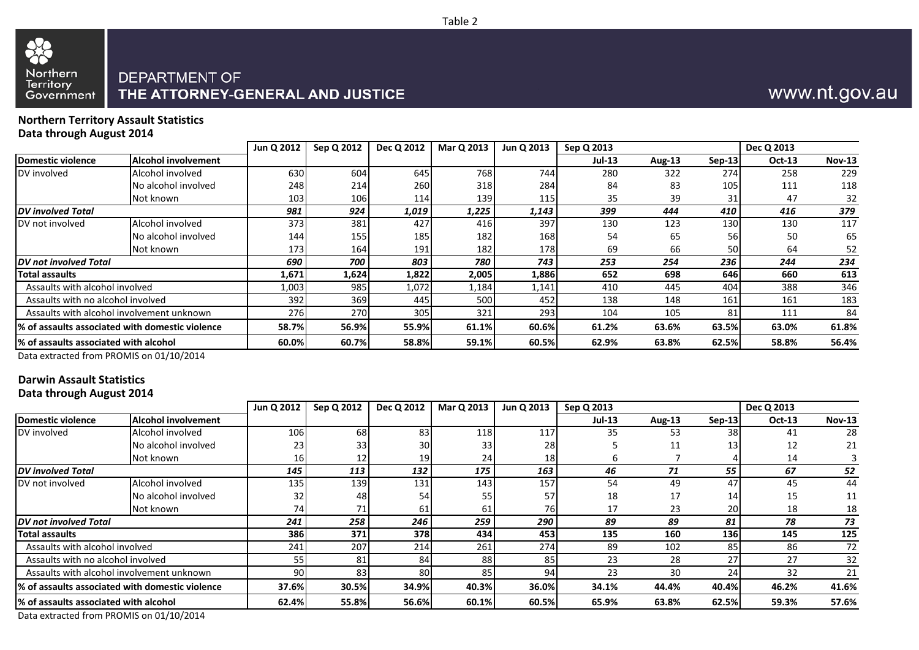## $\alpha$ Northern<br>Territory<br>Government DEPARTMENT OF

# THE ATTORNEY-GENERAL AND JUSTICE

## www.nt.gov.au

#### **Northern Territory Assault Statistics Data through August 2014**

|                                                 |                     | Jun Q 2012 | Sep Q 2012 | Dec Q 2012 | Mar Q 2013 | Jun Q 2013 | Sep Q 2013    |               |          | Dec Q 2013    |               |
|-------------------------------------------------|---------------------|------------|------------|------------|------------|------------|---------------|---------------|----------|---------------|---------------|
| Domestic violence                               | Alcohol involvement |            |            |            |            |            | <b>Jul-13</b> | <b>Aug-13</b> | $Sep-13$ | <b>Oct-13</b> | <b>Nov-13</b> |
| DV involved                                     | Alcohol involved    | 630        | 604        | 645        | 768        | 744        | 280           | 322           | 274      | 258           | 229           |
|                                                 | No alcohol involved | 248        | 214        | 260        | 318        | 284        | 84            | 83            | 105      | 111           | 118           |
|                                                 | Not known           | 103        | 106        | 114        | 139        | 115        | 35            | 39            |          | 47            | 32            |
| <b>DV</b> involved Total                        |                     | 981        | 924        | 1,019      | 1,225      | 1,143      | 399           | 444           | 410      | 416           | 379           |
| DV not involved                                 | Alcohol involved    | 373        | 381        | 427        | 416        | 397        | 130           | 123           | 130      | 130           | 117           |
|                                                 | No alcohol involved | 144        | 155        | 185        | 182        | 168        | 54            | 65            | 56       | 50            | 65            |
|                                                 | Not known           | 173        | 164        | 191        | 182        | 178        | 69            | 66            | 50       | 64            | 52            |
| DV not involved Total                           |                     | 690        | 700        | 803        | 780        | 743        | 253           | 254           | 236      | 244           | 234           |
| <b>Total assaults</b>                           |                     | 1,671      | 1,624      | 1,822      | 2,005      | 1,886      | 652           | 698           | 646      | 660           | 613           |
| Assaults with alcohol involved                  |                     | 1,003      | 985        | 1,072      | 1,184      | 1,141      | 410           | 445           | 404      | 388           | 346           |
| Assaults with no alcohol involved               |                     | 392        | 369        | 445        | 500        | 452        | 138           | 148           | 161      | 161           | 183           |
| Assaults with alcohol involvement unknown       |                     | <b>276</b> | 270        | 305        | 321        | 293        | 104           | 105           | 81       | 111           | 84            |
| % of assaults associated with domestic violence |                     | 58.7%      | 56.9%      | 55.9%      | 61.1%      | 60.6%      | 61.2%         | 63.6%         | 63.5%    | 63.0%         | 61.8%         |
| % of assaults associated with alcohol           |                     | 60.0%      | 60.7%      | 58.8%      | 59.1%      | 60.5%      | 62.9%         | 63.8%         | 62.5%    | 58.8%         | 56.4%         |

Data extracted from PROMIS on 01/10/2014

## **Darwin Assault Statistics**

**Data through August 2014**

|                                        |                                                  | Jun Q 2012 | Sep Q 2012 | Dec Q 2012 | Mar Q 2013 | Jun Q 2013 | Sep Q 2013 |               |            | Dec Q 2013    |               |
|----------------------------------------|--------------------------------------------------|------------|------------|------------|------------|------------|------------|---------------|------------|---------------|---------------|
| Domestic violence                      | <b>Alcohol involvement</b>                       |            |            |            |            |            | $Jul-13$   | <b>Aug-13</b> | $Sep-13$   | <b>Oct-13</b> | <b>Nov-13</b> |
| DV involved                            | Alcohol involved                                 | 106        | 68         | 83         | 118        | 117        | 35         | 53            | 38         | 41            | 28            |
|                                        | No alcohol involved                              | 23         | 33         | 30         | 33         | 28         |            | 11            | 13         | 12            | 21            |
|                                        | Not known                                        | <b>16</b>  | 12         | 19         | 24         | 18         |            |               |            | 14            |               |
| <b>DV</b> involved Total               |                                                  | 145        | 113        | 132        | 175        | 163        | 46         | 71            | 55         | 67            | 52            |
| <b>IDV</b> not involved                | Alcohol involved                                 | 135.       | 139        | 131        | 143        | 157        | 54         | 49            | 47         | 45            | 44            |
|                                        | No alcohol involved                              | 32         | 48         | 54         | 55         | 57         | 18         | 17            | 14         | 15            | 11            |
|                                        | Not known                                        | 74         | 71         | 61         | 61         | 76I        | 17         | 23            | 20         | 18            | 18            |
| <b>DV</b> not involved Total           |                                                  | 241        | 258        | 246        | 259        | 290        | 89         | 89            | 81         | 78            | 73            |
| <b>Total assaults</b>                  |                                                  | 386        | 371        | 378        | 434        | 453        | 135        | 160           | <b>136</b> | 145           | 125           |
| Assaults with alcohol involved         |                                                  | 241        | 207        | 214        | 261        | 274        | 89         | 102           | 85         | 86            | 72            |
| Assaults with no alcohol involved      |                                                  | 55 l       | 81         | 84         | 88         | 85         | 23         | 28            | 27         | 27            | 32            |
|                                        | Assaults with alcohol involvement unknown        | 90         | 83         | 80         | 85         | 94         | 23         | 30            | 24         | 32            | 21            |
|                                        | 1% of assaults associated with domestic violence | 37.6%      | 30.5%      | 34.9%      | 40.3%      | 36.0%      | 34.1%      | 44.4%         | 40.4%      | 46.2%         | 41.6%         |
| 1% of assaults associated with alcohol |                                                  | 62.4%      | 55.8%      | 56.6%      | 60.1%      | 60.5%      | 65.9%      | 63.8%         | 62.5%      | 59.3%         | 57.6%         |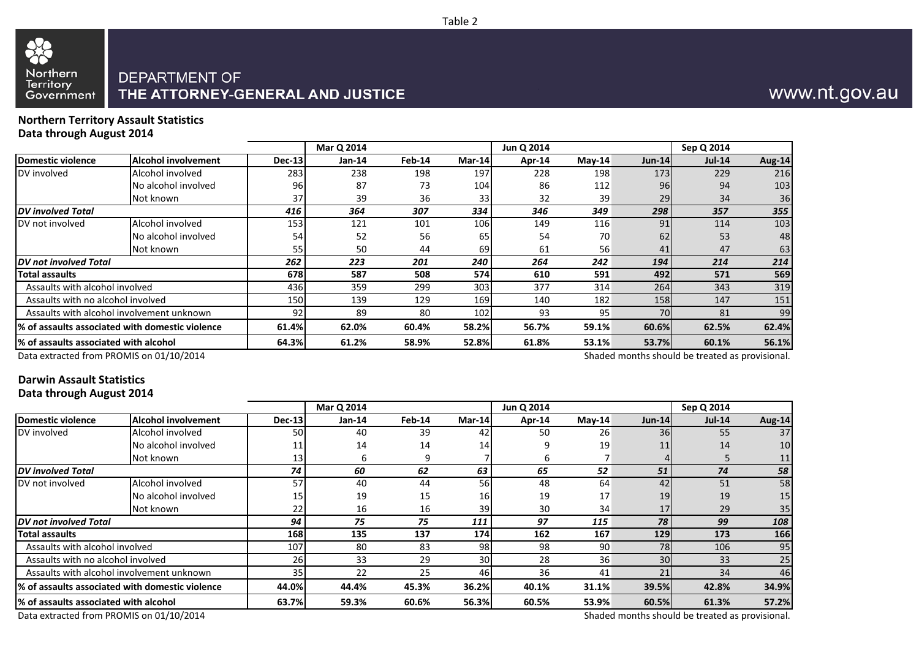## Northern Territory Government

## DEPARTMENT OF THE ATTORNEY-GENERAL AND JUSTICE

## www.nt.gov.au

#### **Northern Territory Assault Statistics Data through August 2014**

|                                       |                                                 |               | Mar Q 2014 |        |                 | Jun Q 2014 |          |               | Sep Q 2014    |        |
|---------------------------------------|-------------------------------------------------|---------------|------------|--------|-----------------|------------|----------|---------------|---------------|--------|
| <b>Domestic violence</b>              | <b>Alcohol involvement</b>                      | <b>Dec-13</b> | $Jan-14$   | Feb-14 | Mar-14          | Apr-14     | $Mav-14$ | <b>Jun-14</b> | <b>Jul-14</b> | Aug-14 |
| DV involved                           | Alcohol involved                                | 283           | 238        | 198    | 197             | 228        | 198      | 173           | 229           | 216    |
|                                       | No alcohol involved                             | 96            | 87         | 73     | 104             | 86         | 112      | 96            | 94            | 103    |
|                                       | Not known                                       | 37            | 39         | 36     | 33 <sub>1</sub> | 32         | 39       | 29            | 34            | 36     |
| <b>DV</b> involved Total              |                                                 | 416           | 364        | 307    | 334             | 346        | 349      | 298           | 357           | 355    |
| DV not involved                       | Alcohol involved                                | 153           | 121        | 101    | 106             | 149        | 116      | 91            | 114           | 103    |
|                                       | No alcohol involved                             | 54            | 52         | 56     | 65              | 54         | 70       | 62            | 53            | 48     |
|                                       | Not known                                       | 55            | 50         | 44     | 69              | 61         | 56       | 41            | 47            | 63     |
| DV not involved Total                 |                                                 | 262           | 223        | 201    | 240             | 264        | 242      | 194           | 214           | 214    |
| Total assaults                        |                                                 | 678           | 587        | 508    | 574             | 610        | 591      | 492           | 571           | 569    |
| Assaults with alcohol involved        |                                                 | 436           | 359        | 299    | 303             | 377        | 314      | 264           | 343           | 319    |
| Assaults with no alcohol involved     |                                                 | 150           | 139        | 129    | 169             | 140        | 182      | 158           | 147           | 151    |
|                                       | Assaults with alcohol involvement unknown       | 92            | 89         | 80     | 102             | 93         | 95       | 70            | 81            | 99     |
|                                       | % of assaults associated with domestic violence | 61.4%         | 62.0%      | 60.4%  | 58.2%           | 56.7%      | 59.1%    | 60.6%         | 62.5%         | 62.4%  |
|                                       |                                                 | 64.3%         | 61.2%      | 58.9%  | 52.8%           | 61.8%      | 53.1%    | 53.7%         | 60.1%         | 56.1%  |
| % of assaults associated with alcohol |                                                 |               |            |        |                 |            |          |               |               |        |

Data extracted from PROMIS on 01/10/2014

Shaded months should be treated as provisional.

### **Darwin Assault Statistics Data through August 2014**

|                                        |                                                  |                 | Mar Q 2014 |        |                 | Jun Q 2014 |          |                 | Sep Q 2014 |        |
|----------------------------------------|--------------------------------------------------|-----------------|------------|--------|-----------------|------------|----------|-----------------|------------|--------|
| Domestic violence                      | Alcohol involvement                              | <b>Dec-13</b>   | $Jan-14$   | Feb-14 | Mar-14          | Apr-14     | $Mav-14$ | $Jun-14$        | $Jul-14$   | Aug-14 |
| DV involved                            | Alcohol involved                                 | 50l             | 40         | 39     | 42              | 50         | 26       | <b>36</b>       | 55         | 37     |
|                                        | No alcohol involved                              | 11              | 14         | 14     | 14              |            | 19       | 11              | 14         | 10     |
|                                        | Not known                                        | 13              | 6          | 9      |                 | n          |          |                 |            | 11     |
| <b>IDV</b> involved Total              |                                                  | 74              | 60         | 62     | 63              | 65         | 52       | 51              | 74         | 58     |
| <b>IDV</b> not involved                | Alcohol involved                                 | 57              | 40         | 44     | 56              | 48         | 64       | 42              | 51         | 58     |
|                                        | No alcohol involved                              | 15 <sup>1</sup> | 19         | 15     | 16              | 19         | 17       | 19              | 19         | 15     |
|                                        | Not known                                        | 22              | 16         | 16     | 39              | 30         | 34       | 17              | 29         | 35     |
| <b>DV</b> not involved Total           |                                                  | 94              | 75         | 75     | 111             | 97         | 115      | 78              | 99         | 108    |
| <b>Total assaults</b>                  |                                                  | 168             | 135        | 137    | 174             | 162        | 167      | 129             | 173        | 166    |
| Assaults with alcohol involved         |                                                  | 107             | 80         | 83     | 98              | 98         | 90       | 78              | 106        | 95     |
| Assaults with no alcohol involved      |                                                  | <b>26</b>       | 33         | 29     | 30 <sup>1</sup> | 28         | 36       | 30 <sup>1</sup> | 33         | 25     |
|                                        | Assaults with alcohol involvement unknown        | 35 <sup>1</sup> | 22         | 25     | 46              | 36         | 41       | 21              | 34         | 46     |
|                                        | 1% of assaults associated with domestic violence | 44.0%           | 44.4%      | 45.3%  | 36.2%           | 40.1%      | 31.1%    | 39.5%           | 42.8%      | 34.9%  |
| 1% of assaults associated with alcohol |                                                  | 63.7%           | 59.3%      | 60.6%  | 56.3%           | 60.5%      | 53.9%    | 60.5%           | 61.3%      | 57.2%  |

Data extracted from PROMIS on 01/10/2014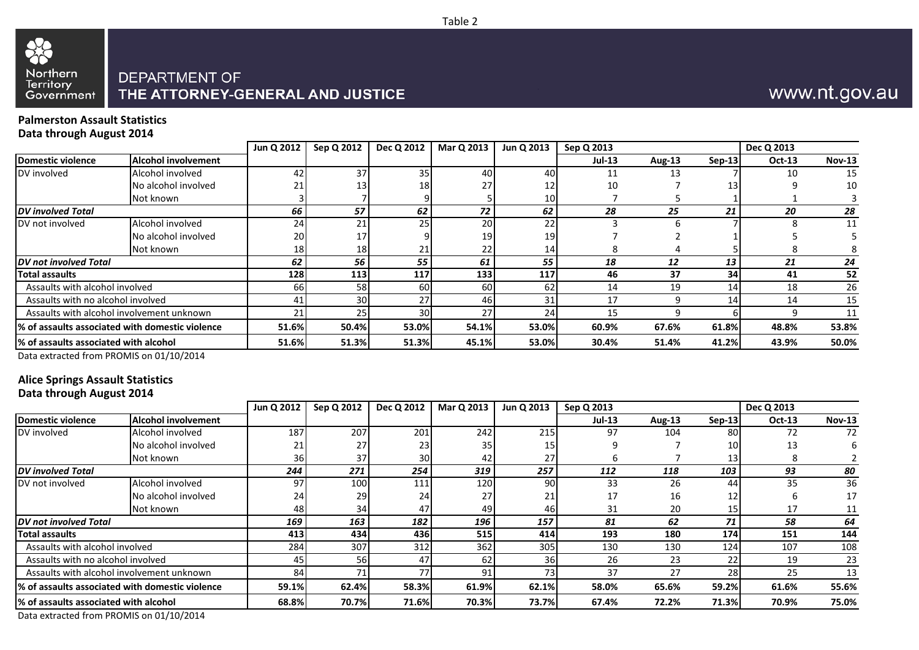

## www.nt.gov.au

#### **Palmerston Assault Statistics Data through August 2014**

|                                                 |                     | Jun Q 2012      | Sep Q 2012      | Dec Q 2012 | Mar Q 2013 | Jun Q 2013      | Sep Q 2013 |        |        | Dec Q 2013    |               |
|-------------------------------------------------|---------------------|-----------------|-----------------|------------|------------|-----------------|------------|--------|--------|---------------|---------------|
| Domestic violence                               | Alcohol involvement |                 |                 |            |            |                 | $Jul-13$   | Aug-13 | Sep-13 | <b>Oct-13</b> | <b>Nov-13</b> |
| DV involved                                     | Alcohol involved    | 42              | 37              | 35         | 40         | 40 <sup>I</sup> |            | 13     |        | 10            | 15            |
|                                                 | No alcohol involved | 21              | 13              | 18         |            | 12 <sub>1</sub> | 10         |        |        |               | 10            |
|                                                 | Not known           |                 |                 |            |            | 10              |            |        |        |               |               |
| <b>DV</b> involved Total                        |                     | 66              | 57              | 62         | 72         | 62              | 28         | 25     | 21     | 20            | 28            |
| DV not involved                                 | Alcohol involved    | 24              | 21              | 25         | 20         | 22              |            |        |        |               | 11            |
|                                                 | No alcohol involved | <b>20</b>       |                 |            | 19         | 19 <sup>l</sup> |            |        |        |               |               |
|                                                 | Not known           | 18 <sub>l</sub> | 18 <sub>l</sub> | 21         |            | 14              |            |        |        |               |               |
| DV not involved Total                           |                     | 62              | 56              | 55         | 61         | 55              | 18         | 12     | 13     | 21            | 24            |
| <b>Total assaults</b>                           |                     | 128             | 113             | 117        | 133        | 117             | 46         | 37     | 34     | 41            | 52            |
| Assaults with alcohol involved                  |                     | <b>66</b>       | 58              | 60I        | 60         | 62              | 14         | 19     | 14     | 18            | 26            |
| Assaults with no alcohol involved               |                     | 41              | 30              | 27         | 46         | 31              | 17         | q      | 14.    | 14            | 15            |
| Assaults with alcohol involvement unknown       |                     | 21              | 25              | 30         |            | 24              | 15         |        |        |               | 11            |
| % of assaults associated with domestic violence |                     | 51.6%           | 50.4%           | 53.0%      | 54.1%      | 53.0%           | 60.9%      | 67.6%  | 61.8%  | 48.8%         | 53.8%         |
| l% of assaults associated with alcohol          |                     | 51.6%           | 51.3%           | 51.3%      | 45.1%      | 53.0%           | 30.4%      | 51.4%  | 41.2%  | 43.9%         | 50.0%         |

Data extracted from PROMIS on 01/10/2014

## **Alice Springs Assault Statistics**

### **Data through August 2014**

|                                       |                                                  | Jun Q 2012 | Sep Q 2012 | Dec Q 2012 | Mar Q 2013     | Jun Q 2013 | Sep Q 2013 |        |          | Dec Q 2013    |               |
|---------------------------------------|--------------------------------------------------|------------|------------|------------|----------------|------------|------------|--------|----------|---------------|---------------|
| Domestic violence                     | <b>Alcohol involvement</b>                       |            |            |            |                |            | $Jul-13$   | Aug-13 | $Sep-13$ | <b>Oct-13</b> | <b>Nov-13</b> |
| DV involved                           | Alcohol involved                                 | 187        | 207        | 201        | 242            | 215        | 97         | 104    | 80       | 72            | 72            |
|                                       | No alcohol involved                              | 21         | 27         | 23I        | 35             | 15         |            |        | 10       | 13            | h             |
|                                       | Not known                                        | 36         | 37         | 30I        | 42             | 27         |            |        | 13       |               |               |
| <b>IDV</b> involved Total             |                                                  | 244        | 271        | 254        | 319            | 257        | 112        | 118    | 103      | 93            | 80            |
| DV not involved                       | Alcohol involved                                 | 97         | 100        | 111        | 120            | 90         | 33         | 26     | 44       | 35            | 36            |
|                                       | No alcohol involved                              | 24         | 29         | 24         |                | 21         | 17         | 16     | 12       |               | 17            |
|                                       | Not known                                        | 48         | 34         | 47         | 49             | 46         | 31         | 20     | 15       | 17            | 11            |
| <b>DV</b> not involved Total          |                                                  | 169        | 163        | 182        | 196            | 157        | 81         | 62     | 71       | 58            | 64            |
| <b>Total assaults</b>                 |                                                  | 413        | 434        | 4361       | 515            | 414        | 193        | 180    | 174      | 151           | 144           |
| Assaults with alcohol involved        |                                                  | 284        | 307        | 312        | 362            | 305        | 130        | 130    | 124      | 107           | 108           |
| Assaults with no alcohol involved     |                                                  | 45         | 56         | 47         | 62             | 36         | 26         | 23     | 22       | 19            | 23            |
|                                       | Assaults with alcohol involvement unknown        | 84         | 71         | 77         | Q <sub>1</sub> | 731        | 37         | 27     | 28       | 25            | 13            |
|                                       | 1% of assaults associated with domestic violence | 59.1%      | 62.4%      | 58.3%      | 61.9%          | 62.1%      | 58.0%      | 65.6%  | 59.2%    | 61.6%         | 55.6%         |
| % of assaults associated with alcohol |                                                  | 68.8%      | 70.7%      | 71.6%      | 70.3%          | 73.7%      | 67.4%      | 72.2%  | 71.3%    | 70.9%         | 75.0%         |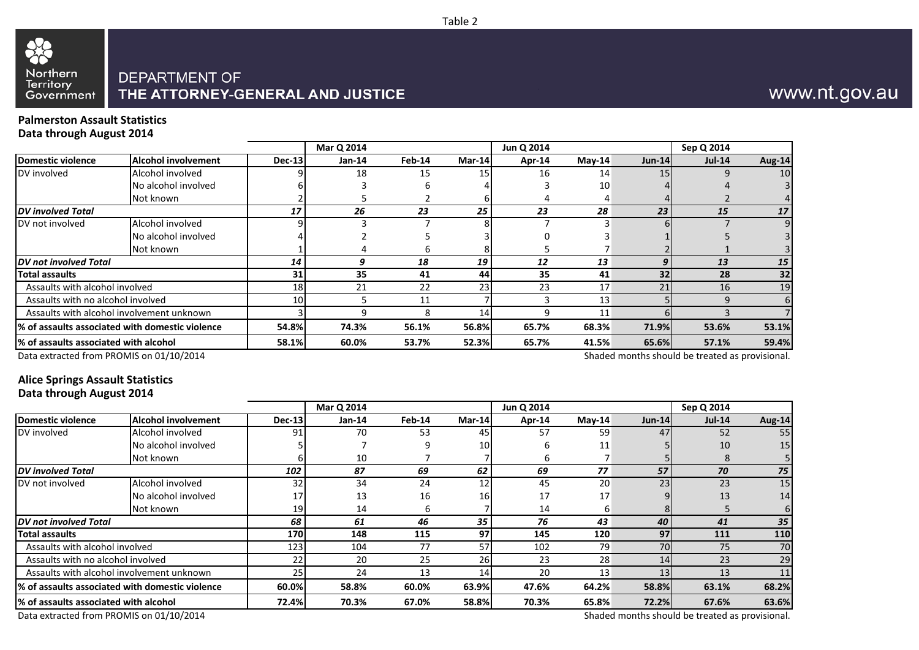## Northern Territory Government

## DEPARTMENT OF THE ATTORNEY-GENERAL AND JUSTICE

## www.nt.gov.au

#### **Palmerston Assault Statistics Data through August 2014**

|                                       |                                                 |                 | Mar Q 2014 |        |          | Jun Q 2014 |          |                                                                 | Sep Q 2014 |               |
|---------------------------------------|-------------------------------------------------|-----------------|------------|--------|----------|------------|----------|-----------------------------------------------------------------|------------|---------------|
| <b>Domestic violence</b>              | <b>Alcohol involvement</b>                      | <b>Dec-13</b>   | $Jan-14$   | Feb-14 | $Mar-14$ | Apr-14     | $May-14$ | $Jun-14$                                                        | $Jul-14$   | <b>Aug-14</b> |
| DV involved                           | Alcohol involved                                |                 | 18         | 15     | 15       | 16         | 14       | 15                                                              |            | 10            |
|                                       | No alcohol involved                             |                 |            |        |          |            | 10       |                                                                 |            |               |
|                                       | Not known                                       |                 |            |        |          |            |          |                                                                 |            |               |
| <b>DV</b> involved Total              |                                                 | 17              | 26         | 23     | 25       | 23         | 28       | 23                                                              | 15         | 17            |
| DV not involved                       | Alcohol involved                                |                 |            |        |          |            |          |                                                                 |            |               |
|                                       | No alcohol involved                             |                 |            |        |          |            |          |                                                                 |            |               |
|                                       | Not known                                       |                 |            |        |          |            |          |                                                                 |            |               |
| DV not involved Total                 |                                                 | 14              | q          | 18     | 19       | 12         | 13       |                                                                 | 13         | 15            |
| Total assaults                        |                                                 | 31              | 35         | 41     | 44       | 35         | 41       | 32                                                              | 28         | 32            |
| Assaults with alcohol involved        |                                                 | 18 <sup>1</sup> | 21         | 22     | 23       | 23         | 17       | 21                                                              | 16         | 19            |
| Assaults with no alcohol involved     |                                                 | 10 <sup>1</sup> |            | 11     |          |            | 13       |                                                                 | 9          | 6             |
|                                       | Assaults with alcohol involvement unknown       |                 |            | 8      | 14       | q          | 11       |                                                                 |            |               |
|                                       | % of assaults associated with domestic violence | 54.8%           | 74.3%      | 56.1%  | 56.8%    | 65.7%      | 68.3%    | 71.9%                                                           | 53.6%      | 53.1%         |
| % of assaults associated with alcohol |                                                 | 58.1%           | 60.0%      | 53.7%  | 52.3%    | 65.7%      | 41.5%    | 65.6%                                                           | 57.1%      | 59.4%         |
|                                       |                                                 |                 |            |        |          |            |          | $\mathbf{1}$ and $\mathbf{1}$ and $\mathbf{1}$ and $\mathbf{1}$ |            |               |

Data extracted from PROMIS on 01/10/2014

Shaded months should be treated as provisional.

### **Alice Springs Assault Statistics Data through August 2014**

|                                        |                                                  |                 | Mar Q 2014 |        |                 | Jun Q 2014 |          |          | Sep Q 2014 |        |
|----------------------------------------|--------------------------------------------------|-----------------|------------|--------|-----------------|------------|----------|----------|------------|--------|
| Domestic violence                      | Alcohol involvement                              | <b>Dec-13</b>   | $Jan-14$   | Feb-14 | Mar-14          | Apr-14     | $May-14$ | $Jun-14$ | $Jul-14$   | Aug-14 |
| DV involved                            | Alcohol involved                                 | 91              | 70         | 53     | 45              | 57         | 59       | 47       | 52         | 55     |
|                                        | No alcohol involved                              |                 |            | q      | 10 <sup>1</sup> | h          | 11       |          | 10         | 15     |
|                                        | Not known                                        |                 | 10         |        |                 |            |          |          | 8          |        |
| <b>DV</b> involved Total               |                                                  | 102             | 87         | 69     | 62              | 69         | 77       | 57       | 70         | 75     |
| <b>IDV</b> not involved                | Alcohol involved                                 | 32              | 34         | 24     | 12              | 45         | 20       | 23       | 23         | 15     |
|                                        | No alcohol involved                              | 17              | 13         | 16     | 16 <sub>l</sub> | 17         | 17       |          | 13         | 14     |
|                                        | Not known                                        | 19              | 14         | 6      |                 | 14         |          |          |            |        |
| <b>DV</b> not involved Total           |                                                  | 68              | 61         | 46     | 35              | 76         | 43       | 40       | 41         | 35     |
| <b>Total assaults</b>                  |                                                  | 170             | 148        | 115    | 97              | 145        | 120      | 97       | 111        | 110    |
| Assaults with alcohol involved         |                                                  | 123             | 104        | 77     | 57              | 102        | 79       | 70       | 75         | 70     |
| Assaults with no alcohol involved      |                                                  | 22              | 20         | 25     | 26              | 23         | 28       | 14       | 23         | 29     |
|                                        | Assaults with alcohol involvement unknown        | 25 <sub>1</sub> | 24         | 13     | 14              | 20         | 13       | 13       | 13         | 11     |
|                                        | 1% of assaults associated with domestic violence | 60.0%           | 58.8%      | 60.0%  | 63.9%           | 47.6%      | 64.2%    | 58.8%    | 63.1%      | 68.2%  |
| 1% of assaults associated with alcohol |                                                  | 72.4%           | 70.3%      | 67.0%  | 58.8%           | 70.3%      | 65.8%    | 72.2%    | 67.6%      | 63.6%  |

Data extracted from PROMIS on 01/10/2014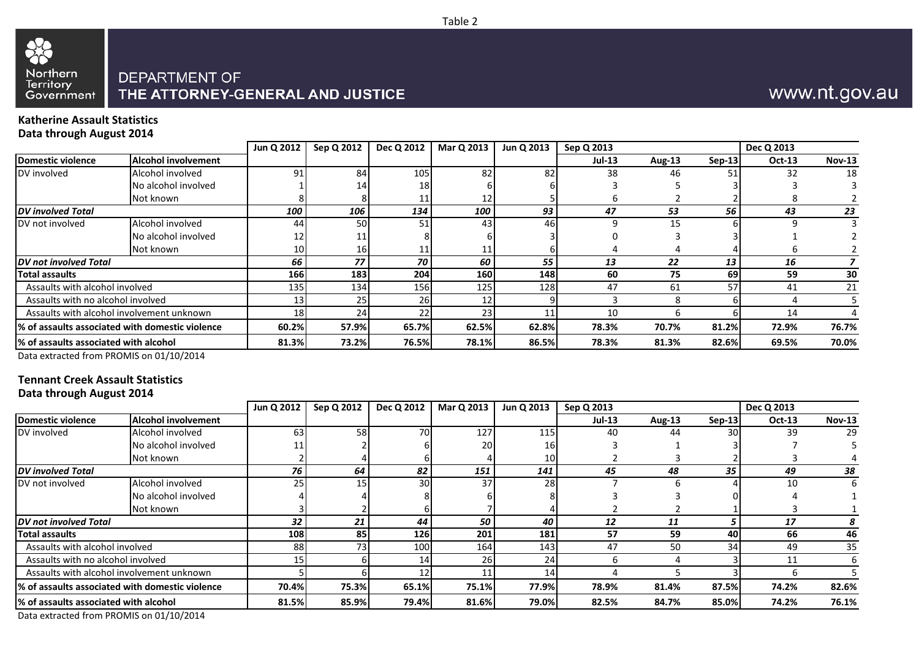

## www.nt.gov.au

#### **Katherine Assault Statistics Data through August 2014**

|                                                 |                            | Jun Q 2012      | Sep Q 2012 | Dec Q 2012 | Mar Q 2013 | Jun Q 2013 | Sep Q 2013 |        |          | Dec Q 2013    |               |
|-------------------------------------------------|----------------------------|-----------------|------------|------------|------------|------------|------------|--------|----------|---------------|---------------|
| Domestic violence                               | <b>Alcohol involvement</b> |                 |            |            |            |            | $Jul-13$   | Aug-13 | $Sen-13$ | <b>Oct-13</b> | <b>Nov-13</b> |
| DV involved                                     | Alcohol involved           | 91              | 84         | 105        | 82         | 82         | 38         | 46     |          | 32            | 18            |
|                                                 | No alcohol involved        |                 | 14         | 18         |            |            |            |        |          |               |               |
|                                                 | Not known                  |                 |            | 11         |            |            |            |        |          |               |               |
| <b>DV</b> involved Total                        |                            | 100             | 106        | 134        | 100        | 93         | 47         | 53     | 56       | 43            | 23            |
| DV not involved                                 | Alcohol involved           | 44              | 50         | 51         | 43         | 46         |            | 15     |          |               |               |
|                                                 | No alcohol involved        | 12              |            |            |            |            |            |        |          |               |               |
|                                                 | Not known                  | 10 <sup>1</sup> | 16         |            |            |            |            |        |          |               |               |
| DV not involved Total                           |                            | 66              | 77         | 70         | 60         | 55         | 13         | 22     | 13       | 16            |               |
| <b>Total assaults</b>                           |                            | <b>166</b>      | 183        | 204        | 160        | 148        | 60         | 75     | 69       | 59            | 30            |
| Assaults with alcohol involved                  |                            | 135             | 134        | 156        | 125        | 128        | 47         | 61     | 57       | 41            | 21            |
| Assaults with no alcohol involved               |                            | 13 <sub>l</sub> | 25         | <b>26</b>  |            |            |            |        |          |               |               |
| Assaults with alcohol involvement unknown       |                            | 18 <sup>1</sup> | 24         | 22         |            |            | 10         |        |          | 14            |               |
| % of assaults associated with domestic violence |                            | 60.2%           | 57.9%      | 65.7%      | 62.5%      | 62.8%      | 78.3%      | 70.7%  | 81.2%    | 72.9%         | 76.7%         |
| 1% of assaults associated with alcohol          |                            | 81.3%           | 73.2%      | 76.5%      | 78.1%      | 86.5%      | 78.3%      | 81.3%  | 82.6%    | 69.5%         | 70.0%         |

Data extracted from PROMIS on 01/10/2014

#### **Tennant Creek Assault Statistics Data through August 2014**

|                                                  |                                           | Jun Q 2012 | Sep Q 2012 | Dec Q 2012      | Mar Q 2013 | Jun Q 2013 | Sep Q 2013    |               |          | Dec Q 2013 |               |
|--------------------------------------------------|-------------------------------------------|------------|------------|-----------------|------------|------------|---------------|---------------|----------|------------|---------------|
| Domestic violence                                | <b>Alcohol involvement</b>                |            |            |                 |            |            | <b>Jul-13</b> | <b>Aug-13</b> | $Sep-13$ | Oct-13     | <b>Nov-13</b> |
| DV involved                                      | Alcohol involved                          | 63I        | 58         | 70 <sup>I</sup> | 127        | 115        | 40            | 44            | 30       | 39         | 29            |
|                                                  | No alcohol involved                       |            |            |                 | 201        | 16         |               |               |          |            |               |
|                                                  | Not known                                 |            |            |                 |            | 10         |               |               |          |            |               |
| <b>DV</b> involved Total                         |                                           | 76         | 64         | 82              | 151        | 141        | 45            | 48            | 35       | 49         | 38            |
| DV not involved                                  | Alcohol involved                          | 25I        | 15         | 30 <sup>1</sup> | 37         | 28         |               | h             |          | 10         | b             |
|                                                  | No alcohol involved                       |            |            |                 |            |            |               |               |          |            |               |
|                                                  | Not known                                 |            |            |                 |            |            |               |               |          |            |               |
| DV not involved Total                            |                                           | 32         | 21         | 44              | 50         | 40         | 12            | 11            |          | 17         |               |
| <b>Total assaults</b>                            |                                           | 108        | 85         | 126             | 201        | 181        | 57            | 59            | 40       | 66         | 46            |
| Assaults with alcohol involved                   |                                           | 88         | 73         | 100             | 164        | 143        | 47            | 50            | 34       | 49         | 35            |
| Assaults with no alcohol involved                |                                           |            |            | 14              | 26         | 24         |               |               |          | 11         |               |
|                                                  | Assaults with alcohol involvement unknown |            |            | 12              |            | 14         |               |               |          |            |               |
| 1% of assaults associated with domestic violence |                                           | 70.4%      | 75.3%      | 65.1%           | 75.1%      | 77.9%      | 78.9%         | 81.4%         | 87.5%    | 74.2%      | 82.6%         |
| % of assaults associated with alcohol            |                                           | 81.5%      | 85.9%      | 79.4%           | 81.6%      | 79.0%      | 82.5%         | 84.7%         | 85.0%    | 74.2%      | 76.1%         |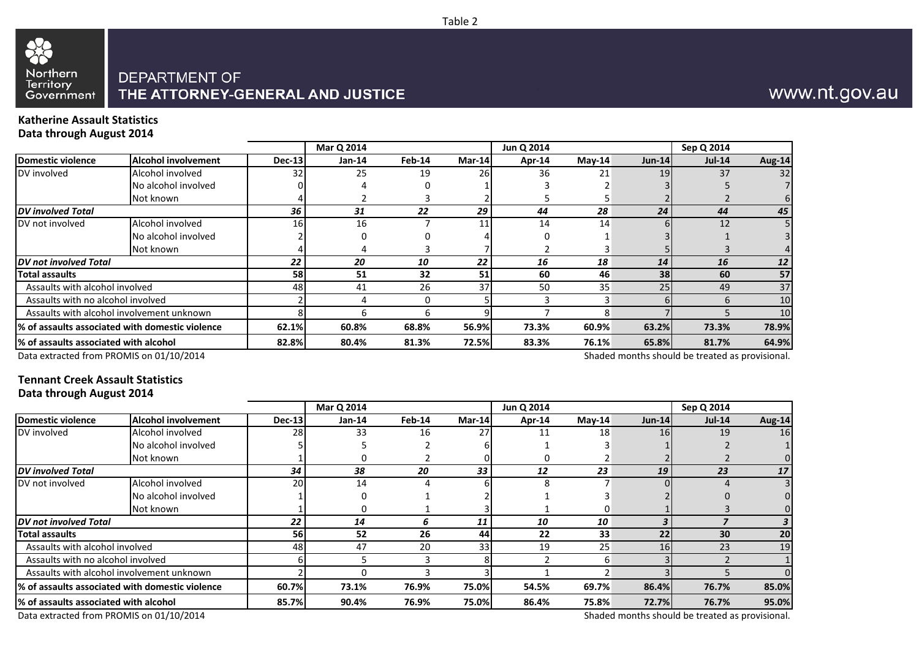# Northern Territory<br>Government

## DEPARTMENT OF THE ATTORNEY-GENERAL AND JUSTICE

## www.nt.gov.au

#### **Katherine Assault Statistics Data through August 2014**

|                                       |                                                 |               | Mar Q 2014 |        |        | Jun Q 2014 |          |                          | Sep Q 2014    |        |
|---------------------------------------|-------------------------------------------------|---------------|------------|--------|--------|------------|----------|--------------------------|---------------|--------|
| <b>Domestic violence</b>              | <b>Alcohol involvement</b>                      | <b>Dec-13</b> | $Jan-14$   | Feb-14 | Mar-14 | Apr-14     | $Mav-14$ | $Jun-14$                 | <b>Jul-14</b> | Aug-14 |
| DV involved                           | Alcohol involved                                | 32            | 25         | 19     | 26     | 36         | 21       | 19 <sup>l</sup>          | 37            | 32     |
|                                       | No alcohol involved                             |               |            |        |        |            |          |                          |               |        |
|                                       | Not known                                       |               |            |        |        |            |          |                          |               |        |
| <b>DV</b> involved Total              |                                                 | 36            | 31         | 22     | 29     | 44         | 28       | 24                       | 44            | 45     |
| DV not involved                       | Alcohol involved                                | 16            | 16         |        |        | 14         | 14       |                          | 12            |        |
|                                       | No alcohol involved                             |               |            |        |        |            |          |                          |               |        |
|                                       | Not known                                       |               |            |        |        |            |          |                          |               |        |
| DV not involved Total                 |                                                 | 22            | 20         | 10     | 22     | 16         | 18       | 14                       | 16            |        |
| Total assaults                        |                                                 | 58            | 51         | 32     | 51     | 60         | 46       | 38                       | 60            | 57     |
| Assaults with alcohol involved        |                                                 | 48            | 41         | 26     | 37     | 50         | 35       | 25                       | 49            | 37     |
| Assaults with no alcohol involved     |                                                 |               |            |        |        |            |          |                          | <sub>b</sub>  | 10     |
|                                       | Assaults with alcohol involvement unknown       |               |            | 6      |        |            |          |                          |               | 10     |
|                                       | % of assaults associated with domestic violence | 62.1%         | 60.8%      | 68.8%  | 56.9%  | 73.3%      | 60.9%    | 63.2%                    | 73.3%         | 78.9%  |
| % of assaults associated with alcohol |                                                 | 82.8%         | 80.4%      | 81.3%  | 72.5%  | 83.3%      | 76.1%    | 65.8%                    | 81.7%         | 64.9%  |
|                                       |                                                 |               |            |        |        |            |          | $-1$ $-1$ $-1$ $-1$ $-1$ |               |        |

Data extracted from PROMIS on 01/10/2014

Shaded months should be treated as provisional.

### **Tennant Creek Assault Statistics Data through August 2014**

|                                       |                                                 |               | Mar Q 2014 |               |        | Jun Q 2014 |          |           | Sep Q 2014 |        |
|---------------------------------------|-------------------------------------------------|---------------|------------|---------------|--------|------------|----------|-----------|------------|--------|
| Domestic violence                     | Alcohol involvement                             | <b>Dec-13</b> | $Jan-14$   | <b>Feb-14</b> | Mar-14 | Apr-14     | $May-14$ | $Jun-14$  | $Jul-14$   | Aug-14 |
| DV involved                           | Alcohol involved                                | 28            | 33         | 16            | 27     | 11         | 18       | <b>16</b> | 19         | 16     |
|                                       | No alcohol involved                             |               |            |               |        |            |          |           |            |        |
|                                       | Not known                                       |               |            |               |        |            |          |           |            |        |
| <b>DV</b> involved Total              |                                                 | 34            | 38         | 20            | 33     | 12         | 23       | 19        | 23         |        |
| DV not involved                       | Alcohol involved                                | <b>20</b>     | 14         |               |        |            |          |           |            |        |
|                                       | No alcohol involved                             |               |            |               |        |            |          |           |            |        |
|                                       | Not known                                       |               |            |               |        |            |          |           |            |        |
| DV not involved Total                 |                                                 | 22            | 14         |               | 11     | 10         | 10       |           |            |        |
| <b>Total assaults</b>                 |                                                 | 56            | 52         | 26            | 44     | 22         | 33       | 22        | 30         | 20     |
| Assaults with alcohol involved        |                                                 | 48            | 47         | 20            | 33     | 19         | 25       | 16        | 23         | 19     |
| Assaults with no alcohol involved     |                                                 |               |            |               |        |            | h        |           |            |        |
|                                       | Assaults with alcohol involvement unknown       |               |            |               |        |            |          |           |            |        |
|                                       | % of assaults associated with domestic violence | 60.7%         | 73.1%      | 76.9%         | 75.0%  | 54.5%      | 69.7%    | 86.4%     | 76.7%      | 85.0%  |
| % of assaults associated with alcohol |                                                 | 85.7%         | 90.4%      | 76.9%         | 75.0%  | 86.4%      | 75.8%    | 72.7%     | 76.7%      | 95.0%  |

Data extracted from PROMIS on 01/10/2014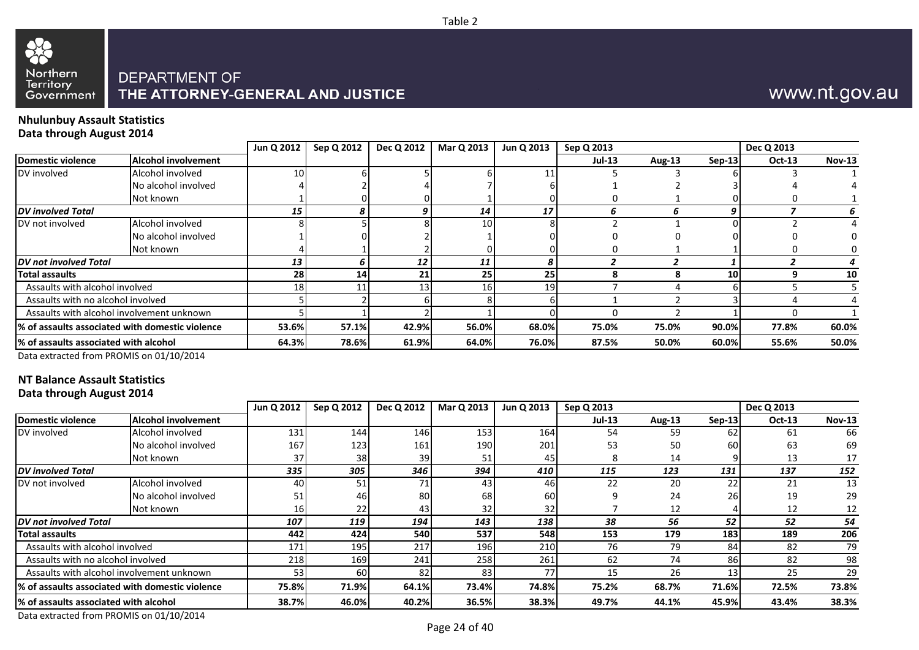

## www.nt.gov.au

#### **Nhulunbuy Assault Statistics Data through August 2014**

|                                                 |                            | Jun Q 2012      | Sep Q 2012 | Dec Q 2012 | Mar Q 2013 | Jun Q 2013      | Sep Q 2013    |               |           | Dec Q 2013    |               |
|-------------------------------------------------|----------------------------|-----------------|------------|------------|------------|-----------------|---------------|---------------|-----------|---------------|---------------|
| Domestic violence                               | <b>Alcohol involvement</b> |                 |            |            |            |                 | <b>Jul-13</b> | <b>Aug-13</b> | $Sep-13$  | <b>Oct-13</b> | <b>Nov-13</b> |
| DV involved                                     | Alcohol involved           | 10 <sub>1</sub> |            |            |            |                 |               |               |           |               |               |
|                                                 | No alcohol involved        |                 |            |            |            |                 |               |               |           |               |               |
|                                                 | Not known                  |                 |            |            |            |                 |               |               |           |               |               |
| <b>DV</b> involved Total                        |                            | 15              |            | g          | 14         | 17              |               |               |           |               | 6             |
| DV not involved                                 | Alcohol involved           |                 |            |            | 10         |                 |               |               |           |               |               |
|                                                 | No alcohol involved        |                 |            |            |            |                 |               |               |           |               |               |
|                                                 | Not known                  |                 |            |            |            |                 |               |               |           |               |               |
| DV not involved Total                           |                            | 13              |            | 12         | 11         |                 |               |               |           |               |               |
| <b>Total assaults</b>                           |                            | 28              | 14         | 21         | 25         | 25              |               |               | <b>10</b> |               | 10            |
| Assaults with alcohol involved                  |                            | 18              |            | 13         | 16         | 19 <sup>l</sup> |               |               |           |               |               |
| Assaults with no alcohol involved               |                            |                 |            |            |            |                 |               |               |           |               |               |
| Assaults with alcohol involvement unknown       |                            |                 |            |            |            |                 |               |               |           |               |               |
| % of assaults associated with domestic violence |                            | 53.6%           | 57.1%      | 42.9%      | 56.0%      | 68.0%           | 75.0%         | 75.0%         | 90.0%     | 77.8%         | 60.0%         |
| % of assaults associated with alcohol           |                            | 64.3%           | 78.6%      | 61.9%      | 64.0%      | 76.0%           | 87.5%         | 50.0%         | 60.0%     | 55.6%         | 50.0%         |

Data extracted from PROMIS on 01/10/2014

## **NT Balance Assault Statistics**

|  | Data through August 2014 |  |  |
|--|--------------------------|--|--|
|--|--------------------------|--|--|

|                                                  |                                           | Jun Q 2012 | Sep Q 2012 | Dec Q 2012 | Mar Q 2013 | Jun Q 2013   | Sep Q 2013    |        |          | Dec Q 2013 |               |
|--------------------------------------------------|-------------------------------------------|------------|------------|------------|------------|--------------|---------------|--------|----------|------------|---------------|
| Domestic violence                                | <b>Alcohol involvement</b>                |            |            |            |            |              | <b>Jul-13</b> | Aug-13 | $Sep-13$ | Oct-13     | <b>Nov-13</b> |
| DV involved                                      | Alcohol involved                          | 131        | 144        | 146        | 153        | 164          | 54            | 59     | 62       | -61        | 66            |
|                                                  | No alcohol involved                       | 167        | 123        | 161        | 190        | 201          | 53            | 50     | 60       | 63         | 69            |
|                                                  | Not known                                 | 37         | 38         | 39         |            | 45           |               | 14     |          | 13         | 17            |
| <b>DV</b> involved Total                         |                                           | 335        | 305        | 346        | 394        | 410          | 115           | 123    | 131      | 137        | 152           |
| DV not involved                                  | Alcohol involved                          | 40         | 51         | 71         | 43         | 46           | 22            | 20     | 22       | 21         | 13            |
|                                                  | No alcohol involved                       |            | 46         | 80         | 68         | 60           |               | 24     | 26       | 19         | 29            |
|                                                  | Not known                                 | 16I        | 22         | 43         | 32         | 32           |               | 12     |          | 12         | 12            |
| <b>IDV not involved Total</b>                    |                                           | 107        | 119        | 194        | 143        | 138          | 38            | 56     | 52       | 52         | 54            |
| Total assaults                                   |                                           | 442        | 424        | 540        | 537        | 548          | 153           | 179    | 183      | 189        | 206           |
| Assaults with alcohol involved                   |                                           | 171        | 195        | 217        | 196        | 210          | 76            | 79     | 84       | 82         | 79            |
| Assaults with no alcohol involved                |                                           | 218        | 169        | 241        | 258        | 261          | 62            | 74     | 86       | 82         | 98            |
|                                                  | Assaults with alcohol involvement unknown | 53         | 60         | 82         | 83         | 77           | 15            | 26     | 13       | 25         | 29            |
| 1% of assaults associated with domestic violence |                                           | 75.8%      | 71.9%      | 64.1%      | 73.4%      | <b>74.8%</b> | 75.2%         | 68.7%  | 71.6%    | 72.5%      | 73.8%         |
| 1% of assaults associated with alcohol           |                                           | 38.7%      | 46.0%      | 40.2%      | 36.5%      | 38.3%        | 49.7%         | 44.1%  | 45.9%    | 43.4%      | 38.3%         |

Data extracted from PROMIS on 01/10/2014

Table 2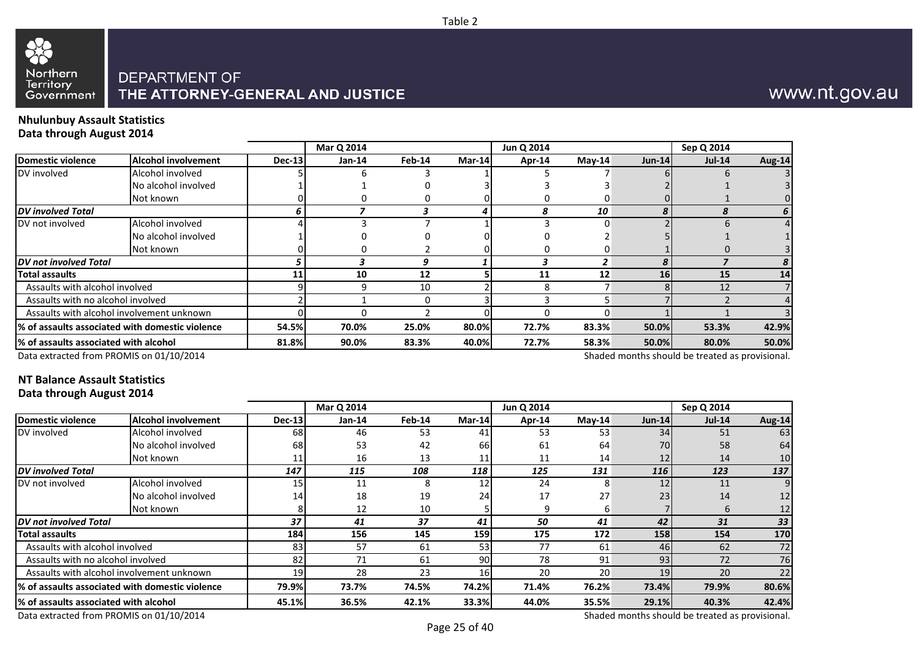

## www.nt.gov.au

#### **Nhulunbuy Assault Statistics Data through August 2014**

|                                       |                                                 |        | Mar Q 2014 |          |               | Jun Q 2014 |          |          | Sep Q 2014    |               |
|---------------------------------------|-------------------------------------------------|--------|------------|----------|---------------|------------|----------|----------|---------------|---------------|
| Domestic violence                     | <b>Alcohol involvement</b>                      | Dec-13 | $Jan-14$   | Feb-14   | <b>Mar-14</b> | Apr-14     | $May-14$ | $Jun-14$ | <b>Jul-14</b> | <b>Aug-14</b> |
| DV involved                           | Alcohol involved                                |        |            |          |               |            |          |          |               |               |
|                                       | No alcohol involved                             |        |            |          |               |            |          |          |               |               |
|                                       | Not known                                       |        |            |          |               |            |          |          |               |               |
| <b>DV</b> involved Total              |                                                 |        |            |          |               |            | 10       |          |               |               |
| DV not involved                       | Alcohol involved                                |        |            |          |               |            |          |          |               |               |
|                                       | No alcohol involved                             |        |            |          |               |            |          |          |               |               |
|                                       | Not known                                       |        |            |          |               |            |          |          |               |               |
| <b>DV</b> not involved Total          |                                                 |        |            |          |               |            | 2        |          |               |               |
| <b>Total assaults</b>                 |                                                 | 11     | 10         | 12       |               | 11         | 12       | 16       | 15            | 14            |
| Assaults with alcohol involved        |                                                 |        |            | 10       |               |            |          |          | 12            |               |
| Assaults with no alcohol involved     |                                                 |        |            | $\Omega$ |               |            |          |          |               |               |
|                                       | Assaults with alcohol involvement unknown       |        |            |          |               |            |          |          |               |               |
|                                       | % of assaults associated with domestic violence | 54.5%  | 70.0%      | 25.0%    | 80.0%         | 72.7%      | 83.3%    | 50.0%    | 53.3%         | 42.9%         |
| % of assaults associated with alcohol |                                                 | 81.8%  | 90.0%      | 83.3%    | 40.0%         | 72.7%      | 58.3%    | 50.0%    | 80.0%         | 50.0%         |
|                                       |                                                 |        |            |          |               |            |          |          |               |               |

Table 2

Data extracted from PROMIS on 01/10/2014

Shaded months should be treated as provisional.

### **NT Balance Assault Statistics Data through August 2014**

|                                        |                                                  |        | Mar Q 2014 |        |                 | Jun Q 2014 |           |            | Sep Q 2014 |        |
|----------------------------------------|--------------------------------------------------|--------|------------|--------|-----------------|------------|-----------|------------|------------|--------|
| <b>IDomestic violence</b>              | <b>Alcohol involvement</b>                       | Dec-13 | $Jan-14$   | Feb-14 | Mar-14          | Apr-14     | $M$ ay-14 | $Jun-14$   | $Jul-14$   | Aug-14 |
| DV involved                            | Alcohol involved                                 | 68     | 46         | 53     | 41              | 53         | 53        | 34         | 51         | 63     |
|                                        | No alcohol involved                              | 68     | 53         | 42     | 66              | 61         | 64        | 70I        | 58         | 64     |
|                                        | Not known                                        |        | 16         | 13     | 11              | 11         | 14        | 12         | 14         | 10     |
| <b>DV</b> involved Total               |                                                  | 147    | 115        | 108    | 118             | 125        | 131       | <b>116</b> | 123        | 137    |
| DV not involved                        | Alcohol involved                                 | 15     | 11         | 8      | 12              | 24         | 8         | 12         | 11         |        |
|                                        | No alcohol involved                              | 14     | 18         | 19     | 24              | 17         | 27        | 23         | 14         | 12     |
|                                        | Not known                                        |        | 12         | 10     |                 | q          |           |            | 6          | 12     |
| <b>DV</b> not involved Total           |                                                  | 37     | 41         | 37     | 41              | 50         | 41        | 42         | 31         | 33     |
| Total assaults                         |                                                  | 184    | 156        | 145    | 159             | 175        | 172       | 158        | 154        | 170    |
| Assaults with alcohol involved         |                                                  | 83     | 57         | 61     | 53              | 77         | 61        | 46         | 62         | 72     |
| Assaults with no alcohol involved      |                                                  | 82     | 71         | 61     | 90 <sub>l</sub> | 78         | 91        | 93         | 72         | 76     |
|                                        | Assaults with alcohol involvement unknown        | 19     | 28         | 23     | 161             | 20         | 20        | 19         | 20         | 22     |
|                                        | l% of assaults associated with domestic violence | 79.9%  | 73.7%      | 74.5%  | 74.2%           | 71.4%      | 76.2%     | 73.4%      | 79.9%      | 80.6%  |
| l% of assaults associated with alcohol |                                                  | 45.1%  | 36.5%      | 42.1%  | 33.3%           | 44.0%      | 35.5%     | 29.1%      | 40.3%      | 42.4%  |

Data extracted from PROMIS on 01/10/2014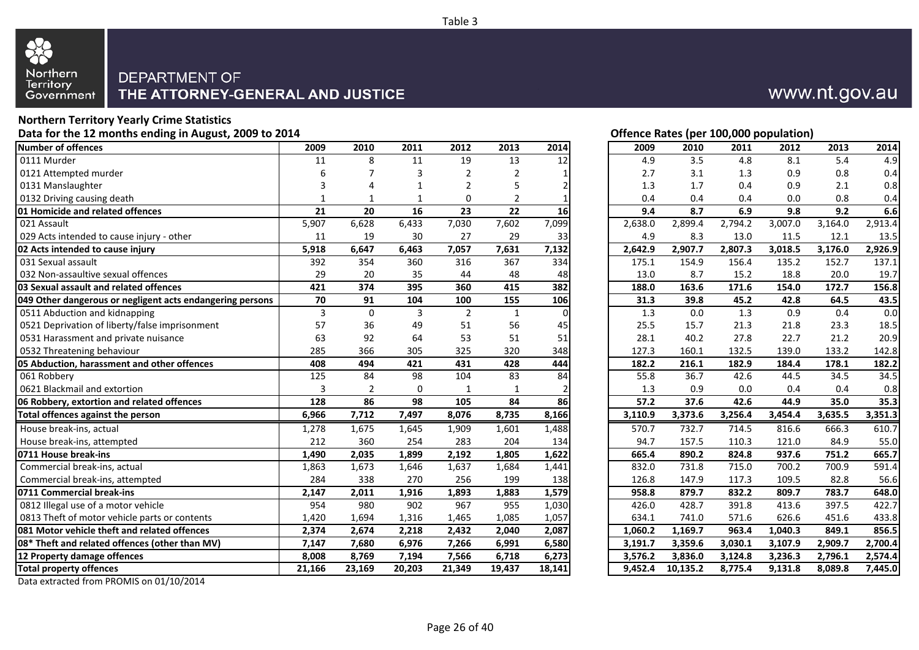

#### **Northern Territory Yearly Crime Statistics** Data for the 12 months ending in August, 2009 to 2014 **Data for the 12 months ending in August, 2009 to 2014 Contract Contract Contract Contract Contract Contract Contract Contract Contract Contract Contract Contract Con**

|                                                           |                 |              |                 |                   |                |                |         | $V^{\text{rel}}$ | sayaaa kabi | . ,     |         |         |
|-----------------------------------------------------------|-----------------|--------------|-----------------|-------------------|----------------|----------------|---------|------------------|-------------|---------|---------|---------|
| <b>Number of offences</b>                                 | 2009            | 2010         | 2011            | 2012              | 2013           | 2014           | 2009    | 2010             | 2011        | 2012    | 2013    | 2014    |
| 0111 Murder                                               | 11              | 8            | 11              | 19                | 13             | 12             | 4.9     | 3.5              | 4.8         | 8.1     | 5.4     | 4.9     |
| 0121 Attempted murder                                     | 6               |              | 3               |                   | 2              |                | 2.7     | 3.1              | 1.3         | 0.9     | 0.8     | 0.4     |
| 0131 Manslaughter                                         | 3               | 4            | $\mathbf 1$     | $\mathcal{P}$     | 5              |                | 1.3     | 1.7              | 0.4         | 0.9     | 2.1     | 0.8     |
| 0132 Driving causing death                                | 1               | $\mathbf{1}$ | $\mathbf{1}$    | 0                 | $\overline{2}$ | 1              | 0.4     | 0.4              | 0.4         | 0.0     | 0.8     | 0.4     |
| 01 Homicide and related offences                          | 21              | 20           | 16              | 23                | 22             | 16             | 9.4     | 8.7              | 6.9         | 9.8     | 9.2     | 6.6     |
| 021 Assault                                               | 5,907           | 6,628        | 6,433           | 7,030             | 7,602          | 7,099          | 2,638.0 | 2,899.4          | 2,794.2     | 3,007.0 | 3,164.0 | 2,913.4 |
| 029 Acts intended to cause injury - other                 | 11              | 19           | 30              | 27                | 29             | 33             | 4.9     | 8.3              | 13.0        | 11.5    | 12.1    | 13.5    |
| 02 Acts intended to cause injury                          | 5,918           | 6,647        | 6,463           | 7,057             | 7,631          | 7,132          | 2,642.9 | 2,907.7          | 2,807.3     | 3,018.5 | 3,176.0 | 2,926.9 |
| 031 Sexual assault                                        | 392             | 354          | 360             | 316               | 367            | 334            | 175.1   | 154.9            | 156.4       | 135.2   | 152.7   | 137.1   |
| 032 Non-assaultive sexual offences                        | 29              | 20           | 35              | 44                | 48             | 48             | 13.0    | 8.7              | 15.2        | 18.8    | 20.0    | 19.7    |
| 03 Sexual assault and related offences                    | 421             | 374          | 395             | 360               | 415            | 382            | 188.0   | 163.6            | 171.6       | 154.0   | 172.7   | 156.8   |
| 049 Other dangerous or negligent acts endangering persons | 70              | 91           | 104             | 100               | 155            | 106            | 31.3    | 39.8             | 45.2        | 42.8    | 64.5    | 43.5    |
| 0511 Abduction and kidnapping                             | 3               | $\mathbf 0$  | 3               | $\overline{2}$    | $\mathbf{1}$   | $\Omega$       | 1.3     | 0.0              | 1.3         | 0.9     | 0.4     | 0.0     |
| 0521 Deprivation of liberty/false imprisonment            | 57              | 36           | 49              | 51                | 56             | 45             | 25.5    | 15.7             | 21.3        | 21.8    | 23.3    | 18.5    |
| 0531 Harassment and private nuisance                      | 63              | 92           | 64              | 53                | 51             | 51             | 28.1    | 40.2             | 27.8        | 22.7    | 21.2    | 20.9    |
| 0532 Threatening behaviour                                | 285             | 366          | 305             | 325               | 320            | 348            | 127.3   | 160.1            | 132.5       | 139.0   | 133.2   | 142.8   |
| 05 Abduction, harassment and other offences               | 408             | 494          | 421             | 431               | 428            | 444            | 182.2   | 216.1            | 182.9       | 184.4   | 178.1   | 182.2   |
| 061 Robbery                                               | 125             | 84           | 98              | 104               | 83             | 84             | 55.8    | 36.7             | 42.6        | 44.5    | 34.5    | 34.5    |
| 0621 Blackmail and extortion                              | 3               | 2            | $\mathbf 0$     | $\mathbf{1}$      | $\mathbf{1}$   | $\overline{2}$ | 1.3     | 0.9              | 0.0         | 0.4     | 0.4     | 0.8     |
| 06 Robbery, extortion and related offences                | $\frac{128}{ }$ | 86           | $\overline{98}$ | $\frac{105}{105}$ | 84             | 86             | 57.2    | 37.6             | 42.6        | 44.9    | 35.0    | 35.3    |
| Total offences against the person                         | 6,966           | 7,712        | 7,497           | 8,076             | 8,735          | 8,166          | 3,110.9 | 3,373.6          | 3,256.4     | 3,454.4 | 3,635.5 | 3,351.3 |
| House break-ins, actual                                   | 1,278           | 1,675        | 1,645           | 1,909             | 1,601          | 1,488          | 570.7   | 732.7            | 714.5       | 816.6   | 666.3   | 610.7   |
| House break-ins, attempted                                | 212             | 360          | 254             | 283               | 204            | 134            | 94.7    | 157.5            | 110.3       | 121.0   | 84.9    | 55.0    |
| 0711 House break-ins                                      | 1,490           | 2,035        | 1,899           | 2,192             | 1,805          | 1,622          | 665.4   | 890.2            | 824.8       | 937.6   | 751.2   | 665.7   |
| Commercial break-ins, actual                              | 1,863           | 1,673        | 1,646           | 1,637             | 1,684          | 1,441          | 832.0   | 731.8            | 715.0       | 700.2   | 700.9   | 591.4   |
| Commercial break-ins, attempted                           | 284             | 338          | 270             | 256               | 199            | 138            | 126.8   | 147.9            | 117.3       | 109.5   | 82.8    | 56.6    |
| 0711 Commercial break-ins                                 | 2,147           | 2,011        | 1,916           | 1,893             | 1,883          | 1,579          | 958.8   | 879.7            | 832.2       | 809.7   | 783.7   | 648.0   |
| 0812 Illegal use of a motor vehicle                       | 954             | 980          | 902             | 967               | 955            | 1,030          | 426.0   | 428.7            | 391.8       | 413.6   | 397.5   | 422.7   |
| 0813 Theft of motor vehicle parts or contents             | 1,420           | 1,694        | 1,316           | 1,465             | 1,085          | 1,057          | 634.1   | 741.0            | 571.6       | 626.6   | 451.6   | 433.8   |
| 081 Motor vehicle theft and related offences              | 2,374           | 2,674        | 2,218           | 2,432             | 2,040          | 2,087          | 1,060.2 | 1,169.7          | 963.4       | 1,040.3 | 849.1   | 856.5   |
| 08* Theft and related offences (other than MV)            | 7,147           | 7,680        | 6,976           | 7,266             | 6,991          | 6,580          | 3,191.7 | 3,359.6          | 3,030.1     | 3,107.9 | 2,909.7 | 2,700.4 |
| 12 Property damage offences                               | 8,008           | 8,769        | 7,194           | 7,566             | 6,718          | 6,273          | 3,576.2 | 3,836.0          | 3,124.8     | 3,236.3 | 2,796.1 | 2,574.4 |
| <b>Total property offences</b>                            | 21,166          | 23,169       | 20,203          | 21,349            | 19,437         | 18,141         | 9,452.4 | 10,135.2         | 8,775.4     | 9,131.8 | 8,089.8 | 7,445.0 |
|                                                           |                 |              |                 |                   |                |                |         |                  |             |         |         |         |

Data extracted from PROMIS on 01/10/2014

## www.nt.gov.au

| 2009    | 2010     | 2011    | 2012    | 2013    | 2014                 |
|---------|----------|---------|---------|---------|----------------------|
| 4.9     | 3.5      | 4.8     | 8.1     | 5.4     | 4.9                  |
| 2.7     | 3.1      | 1.3     | 0.9     | 0.8     | 0.4                  |
| 1.3     | 1.7      | 0.4     | 0.9     | 2.1     | 0.8                  |
| 0.4     | 0.4      | 0.4     | 0.0     | 0.8     | 0.4                  |
| 9.4     | 8.7      | 6.9     | 9.8     | 9.2     | 6.6                  |
| 2,638.0 | 2,899.4  | 2,794.2 | 3,007.0 | 3,164.0 | 2,913.4              |
| 4.9     | 8.3      | 13.0    | 11.5    | 12.1    | 13.5                 |
| 2,642.9 | 2,907.7  | 2,807.3 | 3,018.5 | 3,176.0 | 2,926.9              |
| 175.1   | 154.9    | 156.4   | 135.2   | 152.7   | 137.1                |
| 13.0    | 8.7      | 15.2    | 18.8    | 20.0    | 19.7                 |
| 188.0   | 163.6    | 171.6   | 154.0   | 172.7   | 156.8                |
| 31.3    | 39.8     | 45.2    | 42.8    | 64.5    | 43.5                 |
| 1.3     | 0.0      | 1.3     | 0.9     | 0.4     | 0.0                  |
| 25.5    | 15.7     | 21.3    | 21.8    | 23.3    | 18.5                 |
| 28.1    | 40.2     | 27.8    | 22.7    | 21.2    | 20.9                 |
| 127.3   | 160.1    | 132.5   | 139.0   | 133.2   | 142.8                |
| 182.2   | 216.1    | 182.9   | 184.4   | 178.1   | 182.2                |
| 55.8    | 36.7     | 42.6    | 44.5    | 34.5    | 34.5                 |
| 1.3     | 0.9      | 0.0     | 0.4     | 0.4     | 0.8                  |
| 57.2    | 37.6     | 42.6    | 44.9    | 35.0    | 35.3                 |
| 3,110.9 | 3,373.6  | 3,256.4 | 3,454.4 | 3,635.5 | 3,351.3              |
| 570.7   | 732.7    | 714.5   | 816.6   | 666.3   | 610.7                |
| 94.7    | 157.5    | 110.3   | 121.0   | 84.9    | 55.0                 |
| 665.4   | 890.2    | 824.8   | 937.6   | 751.2   | 665.7                |
| 832.0   | 731.8    | 715.0   | 700.2   | 700.9   | 591.4                |
| 126.8   | 147.9    | 117.3   | 109.5   | 82.8    | 56.6                 |
| 958.8   | 879.7    | 832.2   | 809.7   | 783.7   | 648.0                |
| 426.0   | 428.7    | 391.8   | 413.6   | 397.5   | 422.7                |
| 634.1   | 741.0    | 571.6   | 626.6   | 451.6   | 433.8                |
| 1,060.2 | 1,169.7  | 963.4   | 1,040.3 | 849.1   | 856.5                |
| 3,191.7 | 3,359.6  | 3,030.1 | 3,107.9 | 2,909.7 | $2,700.\overline{4}$ |
| 3,576.2 | 3,836.0  | 3,124.8 | 3,236.3 | 2,796.1 | 2,574.4              |
| 9,452.4 | 10,135.2 | 8,775.4 | 9,131.8 | 8,089.8 | 7,445.0              |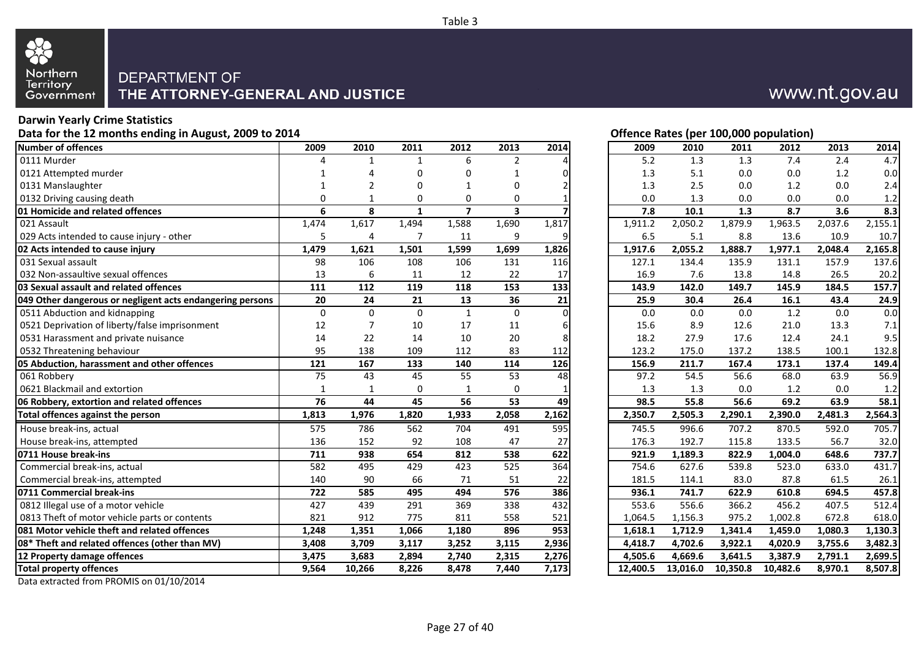

## **Darwin Yearly Crime Statistics**

Data for the 12 months ending in August, 2009 to 2014 **Data for the U.S. Community Construction** Deputation Detection of the 12 months ending in August, 2009 to 2014 **Number of offences 2009 2010 2011 2012 2013 2014 2009 2010 2011 2012 2013 2014** 0111 Murder 4 1 1 6 2 4 5.2 1.3 1.3 7.4 2.4 4.7 0121 Attempted murder 1 4 0 0 1 0 1.3 5.1 0.0 0.0 1.2 0.0 0131 Manslaughter 1 2 0 1 0 2 1.3 2.5 0.0 1.2 0.0 2.4 0132 Driving causing death 0 1 0 0 0 1 0.0 1.3 0.0 0.0 0.0 1.2 **01 Homicide and related offences 6 8 1 7 3 7 7.8 10.1 1.3 8.7 3.6 8.3** 021 Assault 1,474 1,617 1,494 1,588 1,690 1,817 1,911.2 2,050.2 1,879.9 1,963.5 2,037.6 2,155.1 029 Acts intended to cause injury - other 5 4 7 11 9 9 6.5 5.1 8.8 13.6 10.9 10.7 **02 Acts intended to cause injury 1,479 1,621 1,501 1,599 1,699 1,826 1,917.6 2,055.2 1,888.7 1,977.1 2,048.4 2,165.8** 031 Sexual assault 157.9 137.6 (108 106 108 106 131 116 127.1 134.4 135.9 131.1 157.9 137.6 032 Non-assaultive sexual offences 13 13 13 12 12 22 17 **03 Sexual assault and related offences 111 112 119 118 153 133 143.9 142.0 149.7 145.9 184.5 157.7 049 Other dangerous or negligent acts endangering persons 20 24 21 13 36 21 25.9 30.4 26.4 16.1 43.4 24.9** 0511 Abduction and kidnapping and the control of the control of the control of the control of the control of the control of the control of the control of the control of the control of the control of the control of the cont 0521 Deprivation of liberty/false imprisonment 12 12 12 10 17 11 6 0531 Harassment and private nuisance 14 14 122 14 10 20 8 0532 Threatening behaviour 112 112 112 112 112 112 **05 Abduction, harassment and other offences 121 167 133 140 114 126 156.9 211.7 167.4 173.1 137.4 149.4** 061 Robbery 75 43 45 55 53 48 97.2 54.5 56.6 68.0 63.9 56.9 0621 Blackmail and extortion 1 1 0 1 0 1 1.3 1.3 0.0 1.2 0.0 1.2 **06 Robbery, extortion and related offences 76 44 45 56 53 49 98.5 55.8 56.6 69.2 63.9 58.1 Total offences against the person 1,813 1,976 1,820 1,933 2,058 2,162 2,350.7 2,505.3 2,290.1 2,390.0 2,481.3 2,564.3** House break-ins, actual 575 786 562 704 491 595 745.5 996.6 707.2 870.5 592.0 705.7 House break-ins, attempted 136 136 152 92 108 47 27 **0711 House break-ins 711 938 654 812 538 622 921.9 1,189.3 822.9 1,004.0 648.6 737.7** Commercial break-ins, actual 582 495 429 423 525 364 Commercial break-ins, attempted 140 90 66 71 51 22 **0711 Commercial break-ins 722 585 495 494 576 386 936.1 741.7 622.9 610.8 694.5 457.8** 0812 Illegal use of a motor vehicle 427 439 291 369 338 432 0813 Theft of motor vehicle parts or contents and the section of the section of the section of the section of the section of the section of the section of the section of the section of the section of the section of the sec **081 Motor vehicle theft and related offences 1,248 1,351 1,066 1,180 896 953 1,618.1 1,712.9 1,341.4 1,459.0 1,080.3 1,130.3 08\* Theft and related offences (other than MV) 3,408 3,709 3,117 3,252 3,115 2,936 4,418.7 4,702.6 3,922.1 4,020.9 3,755.6 3,482.3 12 Property damage offences 3,475 3,683 2,894 2,740 2,315 2,276 4,505.6 4,669.6 3,641.5 3,387.9 2,791.1 2,699.5 Total property offences 9,564 10,266 8,226 8,478 7,440 7,173 12,400.5 13,016.0 10,350.8 10,482.6 8,970.1 8,507.8**

Data extracted from PROMIS on 01/10/2014

## www.nt.gov.au

| 2009     | 2010     | 2011     | 2012                 | 2013    | 2014    |
|----------|----------|----------|----------------------|---------|---------|
| 5.2      | 1.3      | 1.3      | 7.4                  | 2.4     | 4.7     |
| 1.3      | 5.1      | 0.0      | 0.0                  | 1.2     | 0.0     |
| 1.3      | 2.5      | 0.0      | 1.2                  | 0.0     | 2.4     |
| 0.0      | 1.3      | 0.0      | 0.0                  | 0.0     | 1.2     |
| 7.8      | 10.1     | 1.3      | 8.7                  | 3.6     | 8.3     |
| 1,911.2  | 2,050.2  | 1,879.9  | 1,963.5              | 2,037.6 | 2,155.1 |
| 6.5      | 5.1      | 8.8      | 13.6                 | 10.9    | 10.7    |
| 1,917.6  | 2,055.2  | 1,888.7  | 1,977.1              | 2,048.4 | 2,165.8 |
| 127.1    | 134.4    | 135.9    | 131.1                | 157.9   | 137.6   |
| 16.9     | 7.6      | 13.8     | 14.8                 | 26.5    | 20.2    |
| 143.9    | 142.0    | 149.7    | 145.9                | 184.5   | 157.7   |
| 25.9     | 30.4     | 26.4     | 16.1                 | 43.4    | 24.9    |
| 0.0      | 0.0      | 0.0      | 1.2                  | 0.0     | 0.0     |
| 15.6     | 8.9      | 12.6     | 21.0                 | 13.3    | 7.1     |
| 18.2     | 27.9     | 17.6     | 12.4                 | 24.1    | 9.5     |
| 123.2    | 175.0    | 137.2    | 138.5                | 100.1   | 132.8   |
| 156.9    | 211.7    | 167.4    | 173.1                | 137.4   | 149.4   |
| 97.2     | 54.5     | 56.6     | 68.0                 | 63.9    | 56.9    |
| 1.3      | 1.3      | 0.0      | 1.2                  | 0.0     | 1.2     |
| 98.5     | 55.8     | 56.6     | 69.2                 | 63.9    | 58.1    |
| 2,350.7  | 2,505.3  | 2,290.1  | 2,390.0              | 2,481.3 | 2,564.3 |
| 745.5    | 996.6    | 707.2    | 870.5                | 592.0   | 705.7   |
| 176.3    | 192.7    | 115.8    | 133.5                | 56.7    | 32.0    |
| 921.9    | 1,189.3  | 822.9    | 1,004.0              | 648.6   | 737.7   |
| 754.6    | 627.6    | 539.8    | 523.0                | 633.0   | 431.7   |
| 181.5    | 114.1    | 83.0     | 87.8                 | 61.5    | 26.1    |
| 936.1    | 741.7    | 622.9    | 610.8                | 694.5   | 457.8   |
| 553.6    | 556.6    | 366.2    | 456.2                | 407.5   | 512.4   |
| 1,064.5  | 1,156.3  | 975.2    | 1,002.8              | 672.8   | 618.0   |
| 1,618.1  | 1,712.9  | 1,341.4  | $\overline{1,}459.0$ | 1,080.3 | 1,130.3 |
| 4,418.7  | 4,702.6  | 3,922.1  | 4,020.9              | 3,755.6 | 3,482.3 |
| 4,505.6  | 4,669.6  | 3,641.5  | 3,387.9              | 2,791.1 | 2,699.5 |
| 12,400.5 | 13,016.0 | 10,350.8 | 10,482.6             | 8,970.1 | 8,507.8 |

#### Table 3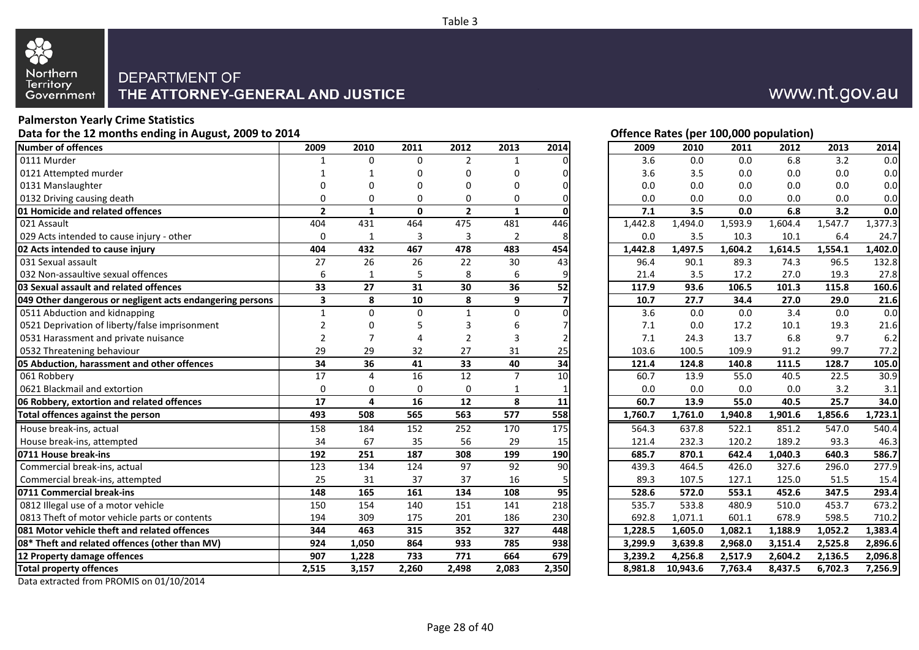

#### **Palmerston Yearly Crime Statistics** Data for the 12 months ending in August, 2009 to 2014 **Data in the U.S. Concrete August** 2009 to 2014 **Development Concrete August** 2009 to 2014

|                                                           |                |                |              |                |                  |                 | $V^{\text{rel}}$<br>--,--- p-p.<br>. , |                      |          |         |         |         |         |
|-----------------------------------------------------------|----------------|----------------|--------------|----------------|------------------|-----------------|----------------------------------------|----------------------|----------|---------|---------|---------|---------|
| Number of offences                                        | 2009           | 2010           | 2011         | 2012           | 2013             | 2014            |                                        | 2009                 | 2010     | 2011    | 2012    | 2013    | 2014    |
| 0111 Murder                                               |                | $\mathbf 0$    | $\mathbf 0$  | $\overline{2}$ | 1                |                 |                                        | 3.6                  | 0.0      | 0.0     | 6.8     | 3.2     | 0.0     |
| 0121 Attempted murder                                     |                |                | 0            | 0              | 0                |                 |                                        | 3.6                  | 3.5      | 0.0     | 0.0     | 0.0     | 0.0     |
| 0131 Manslaughter                                         | $\Omega$       | $\Omega$       | $\Omega$     | 0              | 0                |                 |                                        | 0.0                  | 0.0      | 0.0     | 0.0     | 0.0     | 0.0     |
| 0132 Driving causing death                                | 0              | $\mathbf 0$    | 0            | 0              | 0                | 0               |                                        | 0.0                  | 0.0      | 0.0     | 0.0     | 0.0     | 0.0     |
| 01 Homicide and related offences                          | $\overline{2}$ | $\mathbf{1}$   | $\mathbf{0}$ | $\overline{2}$ | $\mathbf{1}$     | $\mathbf 0$     |                                        | 7.1                  | 3.5      | 0.0     | 6.8     | 3.2     | 0.0     |
| 021 Assault                                               | 404            | 431            | 464          | 475            | 481              | 446             |                                        | $1,442.\overline{8}$ | 1,494.0  | 1,593.9 | 1,604.4 | 1,547.7 | 1,377.3 |
| 029 Acts intended to cause injury - other                 | $\Omega$       | $\mathbf{1}$   | 3            | 3              | $\overline{2}$   | 8               |                                        | 0.0                  | 3.5      | 10.3    | 10.1    | 6.4     | 24.7    |
| 02 Acts intended to cause injury                          | 404            | 432            | 467          | 478            | 483              | 454             |                                        | 1,442.8              | 1,497.5  | ,604.2  | 1,614.5 | 1,554.1 | 1,402.0 |
| 031 Sexual assault                                        | 27             | 26             | 26           | 22             | 30               | 43              |                                        | 96.4                 | 90.1     | 89.3    | 74.3    | 96.5    | 132.8   |
| 032 Non-assaultive sexual offences                        | 6              | 1              | 5            | 8              | 6                | 9               |                                        | 21.4                 | 3.5      | 17.2    | 27.0    | 19.3    | 27.8    |
| 03 Sexual assault and related offences                    | 33             | 27             | 31           | 30             | 36               | $\overline{52}$ |                                        | 117.9                | 93.6     | 106.5   | 101.3   | 115.8   | 160.6   |
| 049 Other dangerous or negligent acts endangering persons | 3              | 8              | 10           | 8              | 9                |                 |                                        | 10.7                 | 27.7     | 34.4    | 27.0    | 29.0    | 21.6    |
| 0511 Abduction and kidnapping                             | $\mathbf{1}$   | $\mathbf 0$    | $\mathbf 0$  | $\mathbf{1}$   | 0                |                 |                                        | 3.6                  | 0.0      | 0.0     | 3.4     | 0.0     | 0.0     |
| 0521 Deprivation of liberty/false imprisonment            | $\overline{2}$ | $\mathbf 0$    | 5            | 3              | 6                |                 |                                        | 7.1                  | 0.0      | 17.2    | 10.1    | 19.3    | 21.6    |
| 0531 Harassment and private nuisance                      | $\overline{2}$ | $\overline{7}$ | 4            | 2              | 3                |                 |                                        | 7.1                  | 24.3     | 13.7    | 6.8     | 9.7     | 6.2     |
| 0532 Threatening behaviour                                | 29             | 29             | 32           | 27             | 31               | 25              |                                        | 103.6                | 100.5    | 109.9   | 91.2    | 99.7    | 77.2    |
| 05 Abduction, harassment and other offences               | 34             | 36             | 41           | 33             | 40               | $\overline{34}$ |                                        | 121.4                | 124.8    | 140.8   | 111.5   | 128.7   | 105.0   |
| 061 Robberv                                               | 17             | $\overline{4}$ | 16           | 12             | $\overline{7}$   | 10              |                                        | 60.7                 | 13.9     | 55.0    | 40.5    | 22.5    | 30.9    |
| 0621 Blackmail and extortion                              | $\Omega$       | $\mathbf 0$    | $\mathbf 0$  | $\mathbf 0$    | 1                | 1               |                                        | 0.0                  | 0.0      | 0.0     | 0.0     | 3.2     | 3.1     |
| 06 Robbery, extortion and related offences                | 17             | $\overline{4}$ | 16           | 12             | 8                | 11              |                                        | 60.7                 | 13.9     | 55.0    | 40.5    | 25.7    | 34.0    |
| Total offences against the person                         | 493            | 508            | 565          | 563            | $\overline{577}$ | 558             |                                        | 1,760.7              | 1,761.0  | 1,940.8 | 1,901.6 | 1,856.6 | 1,723.1 |
| House break-ins, actual                                   | 158            | 184            | 152          | 252            | 170              | 175             |                                        | 564.3                | 637.8    | 522.1   | 851.2   | 547.0   | 540.4   |
| House break-ins, attempted                                | 34             | 67             | 35           | 56             | 29               | 15              |                                        | 121.4                | 232.3    | 120.2   | 189.2   | 93.3    | 46.3    |
| 0711 House break-ins                                      | 192            | 251            | 187          | 308            | 199              | 190             |                                        | 685.7                | 870.1    | 642.4   | 1,040.3 | 640.3   | 586.7   |
| Commercial break-ins, actual                              | 123            | 134            | 124          | 97             | 92               | 90              |                                        | 439.3                | 464.5    | 426.0   | 327.6   | 296.0   | 277.9   |
| Commercial break-ins, attempted                           | 25             | 31             | 37           | 37             | 16               | 5               |                                        | 89.3                 | 107.5    | 127.1   | 125.0   | 51.5    | 15.4    |
| 0711 Commercial break-ins                                 | 148            | 165            | 161          | 134            | 108              | 95              |                                        | 528.6                | 572.0    | 553.1   | 452.6   | 347.5   | 293.4   |
| 0812 Illegal use of a motor vehicle                       | 150            | 154            | 140          | 151            | 141              | 218             |                                        | 535.7                | 533.8    | 480.9   | 510.0   | 453.7   | 673.2   |
| 0813 Theft of motor vehicle parts or contents             | 194            | 309            | 175          | 201            | 186              | 230             |                                        | 692.8                | 1,071.1  | 601.1   | 678.9   | 598.5   | 710.2   |
| 081 Motor vehicle theft and related offences              | 344            | 463            | 315          | 352            | 327              | 448             |                                        | 1,228.5              | 1,605.0  | 1.082.1 | 1,188.9 | 1,052.2 | 1,383.4 |
| 08* Theft and related offences (other than MV)            | 924            | 1,050          | 864          | 933            | 785              | 938             |                                        | 3,299.9              | 3,639.8  | 2,968.0 | 3,151.4 | 2,525.8 | 2,896.6 |
| 12 Property damage offences                               | 907            | 1,228          | 733          | 771            | 664              | 679             |                                        | 3,239.2              | 4,256.8  | 2,517.9 | 2,604.2 | 2,136.5 | 2,096.8 |
| <b>Total property offences</b>                            | 2,515          | 3,157          | 2,260        | 2,498          | 2,083            | 2,350           |                                        | 8,981.8              | 10,943.6 | 7,763.4 | 8,437.5 | 6,702.3 | 7,256.9 |
|                                                           |                |                |              |                |                  |                 |                                        |                      |          |         |         |         |         |



| 2009    | 2010     | 2011    | 2012    | 2013    | 2014    |
|---------|----------|---------|---------|---------|---------|
| 3.6     | 0.0      | 0.0     | 6.8     | 3.2     | 0.0     |
| 3.6     | 3.5      | 0.0     | 0.0     | 0.0     | 0.0     |
| 0.0     | 0.0      | 0.0     | 0.0     | 0.0     | 0.0     |
| 0.0     | 0.0      | 0.0     | 0.0     | 0.0     | 0.0     |
| 7.1     | 3.5      | 0.0     | 6.8     | 3.2     | 0.0     |
| 1,442.8 | 1,494.0  | 1,593.9 | 1,604.4 | 1,547.7 | 1,377.3 |
| 0.0     | 3.5      | 10.3    | 10.1    | 6.4     | 24.7    |
| 1,442.8 | 1,497.5  | 1,604.2 | 1,614.5 | 1,554.1 | 1,402.0 |
| 96.4    | 90.1     | 89.3    | 74.3    | 96.5    | 132.8   |
| 21.4    | 3.5      | 17.2    | 27.0    | 19.3    | 27.8    |
| 117.9   | 93.6     | 106.5   | 101.3   | 115.8   | 160.6   |
| 10.7    | 27.7     | 34.4    | 27.0    | 29.0    | 21.6    |
| 3.6     | 0.0      | 0.0     | 3.4     | 0.0     | 0.0     |
| 7.1     | 0.0      | 17.2    | 10.1    | 19.3    | 21.6    |
| 7.1     | 24.3     | 13.7    | 6.8     | 9.7     | 6.2     |
| 103.6   | 100.5    | 109.9   | 91.2    | 99.7    | 77.2    |
| 121.4   | 124.8    | 140.8   | 111.5   | 128.7   | 105.0   |
| 60.7    | 13.9     | 55.0    | 40.5    | 22.5    | 30.9    |
| 0.0     | 0.0      | 0.0     | 0.0     | 3.2     | 3.1     |
| 60.7    | 13.9     | 55.0    | 40.5    | 25.7    | 34.0    |
| 1,760.7 | 1,761.0  | 1,940.8 | 1,901.6 | 1,856.6 | 1,723.1 |
| 564.3   | 637.8    | 522.1   | 851.2   | 547.0   | 540.4   |
| 121.4   | 232.3    | 120.2   | 189.2   | 93.3    | 46.3    |
| 685.7   | 870.1    | 642.4   | 1,040.3 | 640.3   | 586.7   |
| 439.3   | 464.5    | 426.0   | 327.6   | 296.0   | 277.9   |
| 89.3    | 107.5    | 127.1   | 125.0   | 51.5    | 15.4    |
| 528.6   | 572.0    | 553.1   | 452.6   | 347.5   | 293.4   |
| 535.7   | 533.8    | 480.9   | 510.0   | 453.7   | 673.2   |
| 692.8   | 1,071.1  | 601.1   | 678.9   | 598.5   | 710.2   |
| 1,228.5 | 1,605.0  | 1,082.1 | 1,188.9 | 1,052.2 | 1,383.4 |
| 3,299.9 | 3,639.8  | 2,968.0 | 3,151.4 | 2,525.8 | 2,896.6 |
| 3,239.2 | 4,256.8  | 2,517.9 | 2,604.2 | 2,136.5 | 2,096.8 |
| 8,981.8 | 10,943.6 | 7,763.4 | 8,437.5 | 6,702.3 | 7,256.9 |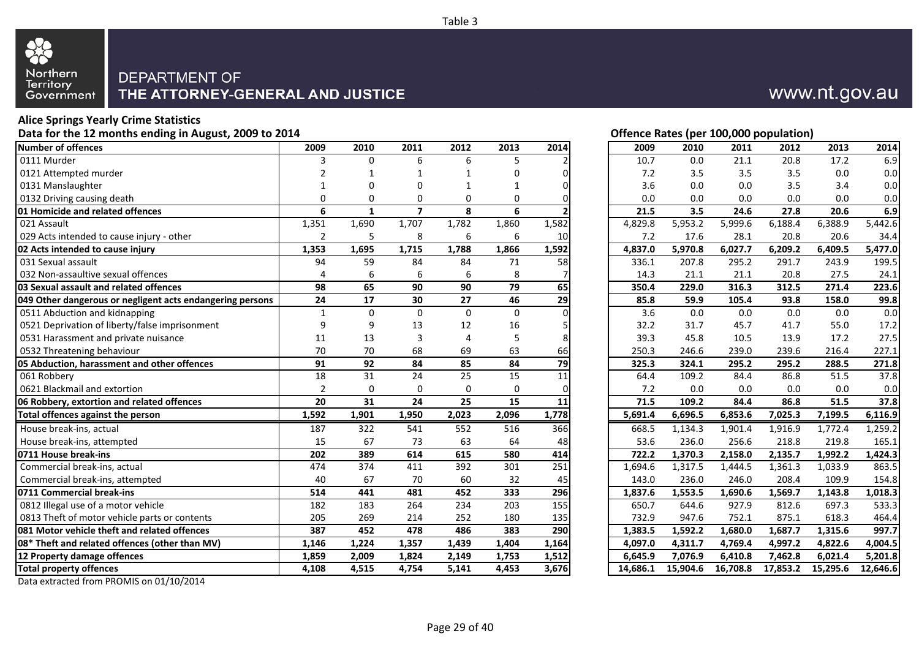

#### **Alice Springs Yearly Crime Statistics** Data for the 12 months ending in August, 2009 to 2014 **Data for the 12 months ending in August, 2009 to 2014 Contract Contract Contract Contract Contract Contract Contract Contract Contract Contract Contract Contract Con**

| $P^{\text{max}}$ for the 12 months change in August, 2009 to 2014 | onence nates (per 100,000 population) |                 |                 |                 |                  |                 |          |          |          |          |          |          |
|-------------------------------------------------------------------|---------------------------------------|-----------------|-----------------|-----------------|------------------|-----------------|----------|----------|----------|----------|----------|----------|
| Number of offences                                                | 2009                                  | 2010            | 2011            | 2012            | 2013             | 2014            | 2009     | 2010     | 2011     | 2012     | 2013     | 2014     |
| 0111 Murder                                                       | 3                                     | $\Omega$        | 6               | 6               | 5                |                 | 10.7     | 0.0      | 21.1     | 20.8     | 17.2     | 6.9      |
| 0121 Attempted murder                                             |                                       |                 |                 |                 | 0                |                 | 7.2      | 3.5      | 3.5      | 3.5      | 0.0      | 0.0      |
| 0131 Manslaughter                                                 |                                       | $\Omega$        | $\Omega$        |                 | 1                |                 | 3.6      | 0.0      | 0.0      | 3.5      | 3.4      | 0.0      |
| 0132 Driving causing death                                        | 0                                     | 0               | 0               | 0               | 0                | $\Omega$        | 0.0      | 0.0      | 0.0      | 0.0      | 0.0      | 0.0      |
| 01 Homicide and related offences                                  | 6                                     | $\mathbf{1}$    | $\overline{7}$  | 8               | 6                |                 | 21.5     | 3.5      | 24.6     | 27.8     | 20.6     | 6.9      |
| 021 Assault                                                       | 1,351                                 | 1,690           | 1,707           | 1,782           | 1,860            | 1,582           | 4,829.8  | 5,953.2  | 5,999.6  | 6,188.4  | 6,388.9  | 5,442.6  |
| 029 Acts intended to cause injury - other                         | $\overline{2}$                        | 5               | 8               | 6               | 6                | 10              | 7.2      | 17.6     | 28.1     | 20.8     | 20.6     | 34.4     |
| 02 Acts intended to cause injury                                  | 1,353                                 | 1,695           | 1,715           | 1,788           | 1,866            | 1,592           | 4,837.0  | 5,970.8  | 6,027.7  | 6,209.2  | 6,409.5  | 5,477.0  |
| 031 Sexual assault                                                | 94                                    | 59              | 84              | 84              | 71               | 58              | 336.1    | 207.8    | 295.2    | 291.7    | 243.9    | 199.5    |
| 032 Non-assaultive sexual offences                                | 4                                     | 6               | 6               | 6               | 8                |                 | 14.3     | 21.1     | 21.1     | 20.8     | 27.5     | 24.1     |
| 03 Sexual assault and related offences                            | 98                                    | 65              | 90              | 90              | 79               | 65              | 350.4    | 229.0    | 316.3    | 312.5    | 271.4    | 223.6    |
| 049 Other dangerous or negligent acts endangering persons         | 24                                    | $\overline{17}$ | 30              | 27              | 46               | $\overline{29}$ | 85.8     | 59.9     | 105.4    | 93.8     | 158.0    | 99.8     |
| 0511 Abduction and kidnapping                                     | $\mathbf 1$                           | $\mathbf 0$     | $\mathbf 0$     | $\mathbf 0$     | $\mathbf 0$      | $\Omega$        | 3.6      | 0.0      | 0.0      | 0.0      | 0.0      | 0.0      |
| 0521 Deprivation of liberty/false imprisonment                    | 9                                     | 9               | 13              | 12              | 16               |                 | 32.2     | 31.7     | 45.7     | 41.7     | 55.0     | 17.2     |
| 0531 Harassment and private nuisance                              | 11                                    | 13              | 3               | $\overline{4}$  | 5                | 8               | 39.3     | 45.8     | 10.5     | 13.9     | 17.2     | 27.5     |
| 0532 Threatening behaviour                                        | 70                                    | 70              | 68              | 69              | 63               | 66              | 250.3    | 246.6    | 239.0    | 239.6    | 216.4    | 227.1    |
| 05 Abduction, harassment and other offences                       | $\overline{91}$                       | $\overline{92}$ | 84              | 85              | $\overline{84}$  | $\overline{79}$ | 325.3    | 324.1    | 295.2    | 295.2    | 288.5    | 271.8    |
| 061 Robbery                                                       | 18                                    | 31              | 24              | 25              | 15               | 11              | 64.4     | 109.2    | 84.4     | 86.8     | 51.5     | 37.8     |
| 0621 Blackmail and extortion                                      | $\overline{2}$                        | 0               | $\mathbf 0$     | $\mathbf 0$     | $\mathbf 0$      | $\Omega$        | 7.2      | 0.0      | 0.0      | 0.0      | 0.0      | 0.0      |
| 06 Robbery, extortion and related offences                        | 20                                    | $\overline{31}$ | $\overline{24}$ | $\overline{25}$ | 15               | $\overline{11}$ | 71.5     | 109.2    | 84.4     | 86.8     | 51.5     | 37.8     |
| Total offences against the person                                 | 1,592                                 | 1,901           | 1,950           | 2,023           | 2,096            | 1,778           | 5,691.4  | 6,696.5  | 6,853.6  | 7,025.3  | 7,199.5  | 6,116.9  |
| House break-ins, actual                                           | 187                                   | 322             | 541             | 552             | 516              | 366             | 668.5    | 1,134.3  | 1,901.4  | 1,916.9  | 1,772.4  | 1,259.2  |
| House break-ins, attempted                                        | 15                                    | 67              | 73              | 63              | 64               | 48              | 53.6     | 236.0    | 256.6    | 218.8    | 219.8    | 165.1    |
| 0711 House break-ins                                              | 202                                   | 389             | 614             | 615             | 580              | 414             | 722.2    | 1,370.3  | 2,158.0  | 2,135.7  | 1,992.2  | 1,424.3  |
| Commercial break-ins, actual                                      | 474                                   | 374             | 411             | 392             | 301              | 251             | 1,694.6  | 1,317.5  | 1,444.5  | 1,361.3  | 1,033.9  | 863.5    |
| Commercial break-ins, attempted                                   | 40                                    | 67              | 70              | 60              | 32               | 45              | 143.0    | 236.0    | 246.0    | 208.4    | 109.9    | 154.8    |
| 0711 Commercial break-ins                                         | 514                                   | 441             | 481             | 452             | 333              | 296             | 1,837.6  | 1,553.5  | 1,690.6  | 1,569.7  | 1,143.8  | 1,018.3  |
| 0812 Illegal use of a motor vehicle                               | 182                                   | $\frac{183}{ }$ | 264             | 234             | $\overline{203}$ | 155             | 650.7    | 644.6    | 927.9    | 812.6    | 697.3    | 533.3    |
| 0813 Theft of motor vehicle parts or contents                     | 205                                   | 269             | 214             | 252             | 180              | 135             | 732.9    | 947.6    | 752.1    | 875.1    | 618.3    | 464.4    |
| 081 Motor vehicle theft and related offences                      | 387                                   | 452             | 478             | 486             | 383              | 290             | 1,383.5  | 1,592.2  | 1,680.0  | 1,687.7  | 1,315.6  | 997.7    |
| 08* Theft and related offences (other than MV)                    | 1,146                                 | 1,224           | 1,357           | 1,439           | 1,404            | 1,164           | 4,097.0  | 4,311.7  | 4,769.4  | 4,997.2  | 4,822.6  | 4,004.5  |
| 12 Property damage offences                                       | 1,859                                 | 2,009           | 1,824           | 2,149           | 1,753            | 1,512           | 6,645.9  | 7,076.9  | 6,410.8  | 7,462.8  | 6,021.4  | 5,201.8  |
| <b>Total property offences</b>                                    | 4,108                                 | 4,515           | 4,754           | 5,141           | 4,453            | 3,676           | 14,686.1 | 15,904.6 | 16,708.8 | 17,853.2 | 15,295.6 | 12,646.6 |
|                                                                   |                                       |                 |                 |                 |                  |                 |          |          |          |          |          |          |

Data extracted from PROMIS on 01/10/2014



| 2009     | 2010         | 2011     | 2012     | 2013                 | 2014     |
|----------|--------------|----------|----------|----------------------|----------|
| 10.7     | 0.0          | 21.1     | 20.8     | 17.2                 | 6.9      |
| 7.2      | 3.5          | 3.5      | 3.5      | 0.0                  | 0.0      |
| 3.6      | 0.0          | 0.0      | 3.5      | 3.4                  | 0.0      |
| 0.0      | 0.0          | 0.0      | 0.0      | 0.0                  | 0.0      |
| 21.5     | 3.5          | 24.6     | 27.8     | 20.6                 | 6.9      |
| 4,829.8  | 5,953.2      | 5,999.6  | 6,188.4  | 6,388.9              | 5,442.6  |
| 7.2      | 17.6         | 28.1     | 20.8     | 20.6                 | 34.4     |
| 4,837.0  | 5,970.8      | 6,027.7  | 6,209.2  | 6,409.5              | 5,477.0  |
| 336.1    | 207.8        | 295.2    | 291.7    | 243.9                | 199.5    |
| 14.3     | 21.1         | 21.1     | 20.8     | 27.5                 | 24.1     |
| 350.4    | 229.0        | 316.3    | 312.5    | 271.4                | 223.6    |
| 85.8     | 59.9         | 105.4    | 93.8     | 158.0                | 99.8     |
| 3.6      | 0.0          | 0.0      | 0.0      | 0.0                  | 0.0      |
| 32.2     | 31.7         | 45.7     | 41.7     | 55.0                 | 17.2     |
| 39.3     | 45.8         | 10.5     | 13.9     | 17.2                 | 27.5     |
| 250.3    | 246.6        | 239.0    | 239.6    | 216.4                | 227.1    |
| 325.3    | 324.1        | 295.2    | 295.2    | 288.5                | 271.8    |
| 64.4     | 109.2        | 84.4     | 86.8     | 51.5                 | 37.8     |
| 7.2      | 0.0          | 0.0      | 0.0      | 0.0                  | 0.0      |
| 71.5     | 109.2        | 84.4     | 86.8     | 51.5                 | 37.8     |
| 5,691.4  | 6,696.5      | 6,853.6  | 7,025.3  | 7,199.5              | 6,116.9  |
| 668.5    | 1,134.3      | 1,901.4  | 1,916.9  | 1,772.4              | 1,259.2  |
| 53.6     | 236.0        | 256.6    | 218.8    | 219.8                | 165.1    |
| 722.2    | 1,370.3      | 2,158.0  | 2,135.7  | $\overline{1,}992.2$ | 1,424.3  |
| 1,694.6  | 1,317.5      | 1,444.5  | 1,361.3  | 1,033.9              | 863.5    |
| 143.0    | 236.0        | 246.0    | 208.4    | 109.9                | 154.8    |
| 1,837.6  | 1,553.5      | 1,690.6  | 1,569.7  | 1,143.8              | 1,018.3  |
| 650.7    | 644.6        | 927.9    | 812.6    | 697.3                | 533.3    |
| 732.9    | 947.6        | 752.1    | 875.1    | 618.3                | 464.4    |
| 1,383.5  | 1,592.2      | 1,680.0  | 1,687.7  | 1,315.6              | 997.7    |
| 4,097.0  | 4,311.7      | 4,769.4  | 4,997.2  | 4,822.6              | 4,004.5  |
| 6,645.9  | 7,076.9      | 6,410.8  | 7,462.8  | 6,021.4              | 5,201.8  |
| 14 686 1 | 15. QO 4. 6. | 16 708 R | 17 853 2 | 15 295 F             | 12 646 6 |

Table 3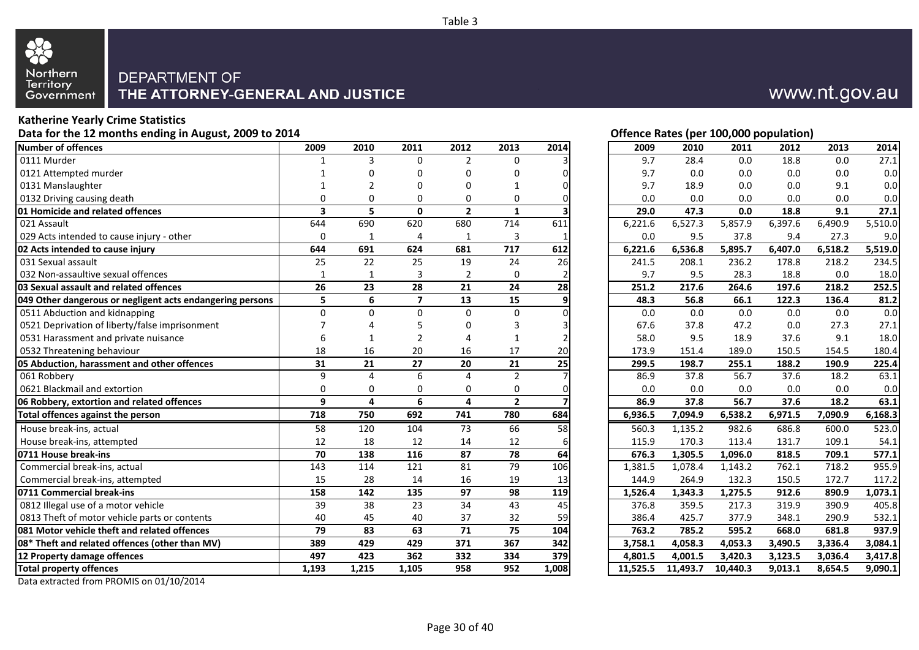

#### **Katherine Yearly Crime Statistics** Data for the 12 months ending in August, 2009 to 2014 **Data for the 12 months ending in August, 2009 to 2014 Contract Contract Contract Contract Contract Contract Contract Contract Contract Contract Contract Contract Con**

| <b>Pata for the 12 months change in August, 2005 to 2014</b> |                         |                 |                         |                |                 |                         | Onenee nates (per 100,000 population) |                      |          |         |         |         |
|--------------------------------------------------------------|-------------------------|-----------------|-------------------------|----------------|-----------------|-------------------------|---------------------------------------|----------------------|----------|---------|---------|---------|
| Number of offences                                           | 2009                    | 2010            | 2011                    | 2012           | 2013            | 2014                    | 2009                                  | 2010                 | 2011     | 2012    | 2013    | 2014    |
| 0111 Murder                                                  |                         | 3               | 0                       | $\overline{2}$ | 0               |                         | 9.7                                   | 28.4                 | 0.0      | 18.8    | 0.0     | 27.1    |
| 0121 Attempted murder                                        |                         |                 | O                       | 0              | $\Omega$        |                         | 9.7                                   | 0.0                  | 0.0      | 0.0     | 0.0     | 0.0     |
| 0131 Manslaughter                                            |                         | $\mathcal{P}$   | 0                       | 0              | 1               |                         | 9.7                                   | 18.9                 | 0.0      | 0.0     | 9.1     | 0.0     |
| 0132 Driving causing death                                   | $\mathbf{0}$            | $\mathbf 0$     | 0                       | $\mathbf 0$    | $\mathbf 0$     | $\Omega$                | 0.0                                   | 0.0                  | 0.0      | 0.0     | 0.0     | 0.0     |
| <b>01 Homicide and related offences</b>                      | $\overline{\mathbf{3}}$ | 5               | $\mathbf 0$             | $\overline{2}$ | $\mathbf{1}$    | $\overline{\mathbf{3}}$ | 29.0                                  | 47.3                 | 0.0      | 18.8    | 9.1     | 27.1    |
| 021 Assault                                                  | 644                     | 690             | 620                     | 680            | 714             | 611                     | 6,221.6                               | $6,527.\overline{3}$ | 5,857.9  | 6,397.6 | 6,490.9 | 5,510.0 |
| 029 Acts intended to cause injury - other                    | $\Omega$                | $\mathbf{1}$    | 4                       | 1              | 3               |                         | 0.0                                   | 9.5                  | 37.8     | 9.4     | 27.3    | 9.0     |
| 02 Acts intended to cause injury                             | 644                     | 691             | 624                     | 681            | 717             | 612                     | 6,221.6                               | 6,536.8              | 5,895.7  | 6,407.0 | 6,518.2 | 5,519.0 |
| 031 Sexual assault                                           | 25                      | 22              | 25                      | 19             | 24              | 26                      | 241.5                                 | 208.1                | 236.2    | 178.8   | 218.2   | 234.5   |
| 032 Non-assaultive sexual offences                           | $\mathbf{1}$            | 1               | 3                       | 2              | 0               |                         | 9.7                                   | 9.5                  | 28.3     | 18.8    | 0.0     | 18.0    |
| 03 Sexual assault and related offences                       | 26                      | 23              | 28                      | 21             | 24              | 28                      | 251.2                                 | 217.6                | 264.6    | 197.6   | 218.2   | 252.5   |
| 049 Other dangerous or negligent acts endangering persons    | 5                       | 6               | $\overline{\mathbf{z}}$ | 13             | 15              | 9                       | 48.3                                  | 56.8                 | 66.1     | 122.3   | 136.4   | 81.2    |
| 0511 Abduction and kidnapping                                | $\Omega$                | $\Omega$        | 0                       | $\mathbf 0$    | $\pmb{0}$       | $\Omega$                | 0.0                                   | 0.0                  | 0.0      | 0.0     | 0.0     | 0.0     |
| 0521 Deprivation of liberty/false imprisonment               | 7                       |                 | 5                       | 0              | 3               |                         | 67.6                                  | 37.8                 | 47.2     | 0.0     | 27.3    | 27.1    |
| 0531 Harassment and private nuisance                         | 6                       | $\mathbf{1}$    | $\overline{2}$          |                | $\mathbf{1}$    |                         | 58.0                                  | 9.5                  | 18.9     | 37.6    | 9.1     | 18.0    |
| 0532 Threatening behaviour                                   | 18                      | 16              | 20                      | 16             | 17              | 20                      | 173.9                                 | 151.4                | 189.0    | 150.5   | 154.5   | 180.4   |
| 05 Abduction, harassment and other offences                  | 31                      | 21              | 27                      | 20             | 21              | $\overline{25}$         | 299.5                                 | 198.7                | 255.1    | 188.2   | 190.9   | 225.4   |
| 061 Robbery                                                  | $\mathbf{q}$            | 4               | 6                       | $\Delta$       | $\overline{2}$  |                         | 86.9                                  | 37.8                 | 56.7     | 37.6    | 18.2    | 63.1    |
| 0621 Blackmail and extortion                                 | $\mathbf 0$             | 0               | 0                       | 0              | 0               |                         | 0.0                                   | 0.0                  | 0.0      | 0.0     | 0.0     | 0.0     |
| 06 Robbery, extortion and related offences                   | 9                       | $\overline{4}$  | 6                       | $\overline{a}$ | $\mathbf{2}$    |                         | 86.9                                  | 37.8                 | 56.7     | 37.6    | 18.2    | 63.1    |
| Total offences against the person                            | 718                     | 750             | 692                     | 741            | 780             | 684                     | 6,936.5                               | 7,094.9              | 6,538.2  | 6,971.5 | 7,090.9 | 6,168.3 |
| House break-ins, actual                                      | 58                      | 120             | 104                     | 73             | 66              | 58                      | 560.3                                 | 1,135.2              | 982.6    | 686.8   | 600.0   | 523.0   |
| House break-ins, attempted                                   | 12                      | 18              | 12                      | 14             | 12              | 6                       | 115.9                                 | 170.3                | 113.4    | 131.7   | 109.1   | 54.1    |
| 0711 House break-ins                                         | $\overline{70}$         | $\frac{138}{ }$ | $\frac{116}{116}$       | 87             | 78              | 64                      | 676.3                                 | $1,305.\overline{5}$ | 1,096.0  | 818.5   | 709.1   | 577.1   |
| Commercial break-ins, actual                                 | 143                     | 114             | 121                     | 81             | 79              | 106                     | 1,381.5                               | 1,078.4              | 1,143.2  | 762.1   | 718.2   | 955.9   |
| Commercial break-ins, attempted                              | 15                      | 28              | 14                      | 16             | 19              | 13                      | 144.9                                 | 264.9                | 132.3    | 150.5   | 172.7   | 117.2   |
| 0711 Commercial break-ins                                    | 158                     | $\frac{142}{ }$ | 135                     | 97             | $\overline{98}$ | 119                     | 1,526.4                               | 1,343.3              | 1,275.5  | 912.6   | 890.9   | 1,073.1 |
| 0812 Illegal use of a motor vehicle                          | $\overline{39}$         | 38              | $\overline{23}$         | 34             | $\overline{43}$ | 45                      | 376.8                                 | 359.5                | 217.3    | 319.9   | 390.9   | 405.8   |
| 0813 Theft of motor vehicle parts or contents                | 40                      | 45              | 40                      | 37             | 32              | 59                      | 386.4                                 | 425.7                | 377.9    | 348.1   | 290.9   | 532.1   |
| 081 Motor vehicle theft and related offences                 | 79                      | 83              | 63                      | 71             | 75              | 104                     | 763.2                                 | 785.2                | 595.2    | 668.0   | 681.8   | 937.9   |
| 08* Theft and related offences (other than MV)               | 389                     | 429             | 429                     | 371            | 367             | 342                     | 3,758.1                               | 4,058.3              | 4,053.3  | 3,490.5 | 3,336.4 | 3,084.1 |
| 12 Property damage offences                                  | 497                     | 423             | 362                     | 332            | 334             | 379                     | 4,801.5                               | 4,001.5              | 3,420.3  | 3,123.5 | 3,036.4 | 3,417.8 |
| <b>Total property offences</b>                               | 1,193                   | 1,215           | 1,105                   | 958            | 952             | 1,008                   | 11,525.5                              | 11,493.7             | 10,440.3 | 9,013.1 | 8,654.5 | 9,090.1 |
|                                                              |                         |                 |                         |                |                 |                         |                                       |                      |          |         |         |         |



| 2009     | 2010     | 2011     | 2012    | 2013    | 2014    |
|----------|----------|----------|---------|---------|---------|
| 9.7      | 28.4     | 0.0      | 18.8    | 0.0     | 27.1    |
| 9.7      | 0.0      | 0.0      | 0.0     | 0.0     | 0.0     |
| 9.7      | 18.9     | 0.0      | 0.0     | 9.1     | 0.0     |
| 0.0      | 0.0      | 0.0      | 0.0     | 0.0     | 0.0     |
| 29.0     | 47.3     | 0.0      | 18.8    | 9.1     | 27.1    |
| 6,221.6  | 6,527.3  | 5,857.9  | 6,397.6 | 6,490.9 | 5,510.0 |
| 0.0      | 9.5      | 37.8     | 9.4     | 27.3    | 9.0     |
| 6,221.6  | 6,536.8  | 5,895.7  | 6,407.0 | 6,518.2 | 5,519.0 |
| 241.5    | 208.1    | 236.2    | 178.8   | 218.2   | 234.5   |
| 9.7      | 9.5      | 28.3     | 18.8    | 0.0     | 18.0    |
| 251.2    | 217.6    | 264.6    | 197.6   | 218.2   | 252.5   |
| 48.3     | 56.8     | 66.1     | 122.3   | 136.4   | 81.2    |
| 0.0      | 0.0      | 0.0      | 0.0     | 0.0     | 0.0     |
| 67.6     | 37.8     | 47.2     | 0.0     | 27.3    | 27.1    |
| 58.0     | 9.5      | 18.9     | 37.6    | 9.1     | 18.0    |
| 173.9    | 151.4    | 189.0    | 150.5   | 154.5   | 180.4   |
| 299.5    | 198.7    | 255.1    | 188.2   | 190.9   | 225.4   |
| 86.9     | 37.8     | 56.7     | 37.6    | 18.2    | 63.1    |
| 0.0      | 0.0      | 0.0      | 0.0     | 0.0     | 0.0     |
| 86.9     | 37.8     | 56.7     | 37.6    | 18.2    | 63.1    |
| 6,936.5  | 7,094.9  | 6,538.2  | 6,971.5 | 7,090.9 | 6,168.3 |
| 560.3    | 1,135.2  | 982.6    | 686.8   | 600.0   | 523.0   |
| 115.9    | 170.3    | 113.4    | 131.7   | 109.1   | 54.1    |
| 676.3    | 1,305.5  | 1,096.0  | 818.5   | 709.1   | 577.1   |
| 1,381.5  | 1,078.4  | 1,143.2  | 762.1   | 718.2   | 955.9   |
| 144.9    | 264.9    | 132.3    | 150.5   | 172.7   | 117.2   |
| 1,526.4  | 1,343.3  | 1,275.5  | 912.6   | 890.9   | 1,073.1 |
| 376.8    | 359.5    | 217.3    | 319.9   | 390.9   | 405.8   |
| 386.4    | 425.7    | 377.9    | 348.1   | 290.9   | 532.1   |
| 763.2    | 785.2    | 595.2    | 668.0   | 681.8   | 937.9   |
| 3,758.1  | 4,058.3  | 4,053.3  | 3,490.5 | 3,336.4 | 3,084.1 |
| 4,801.5  | 4,001.5  | 3,420.3  | 3,123.5 | 3,036.4 | 3,417.8 |
| 11.525.5 | 11.493.7 | 10.440.3 | 9.013.1 | 8.654.5 | 9.090.1 |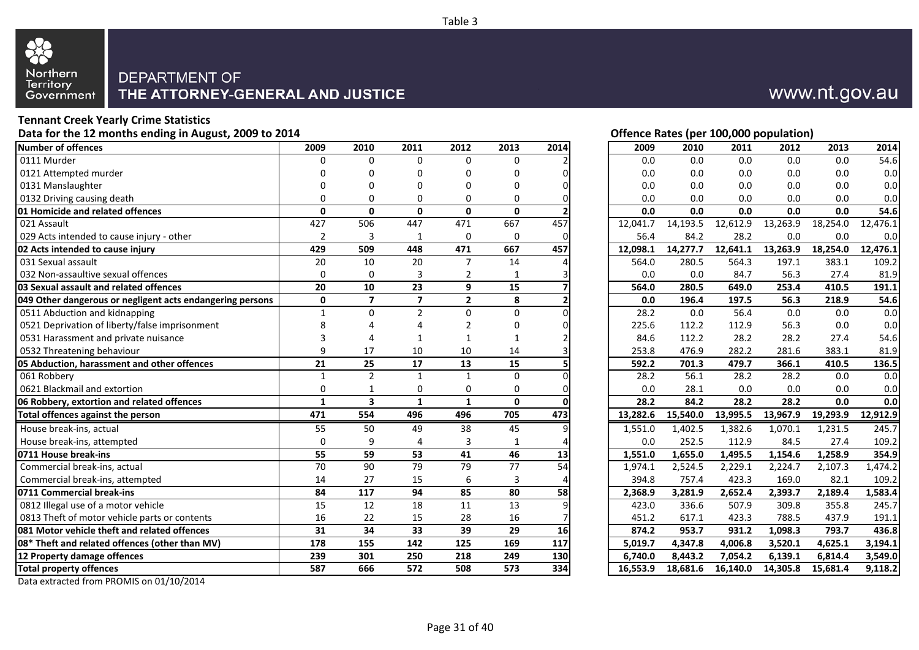

## **Tennant Creek Yearly Crime Statistics**

|                                                           |                 |                         |                  |                  |                 |                   | $\mathbf{r}$<br>--,---<br>. |          |          |          |          |          |          |
|-----------------------------------------------------------|-----------------|-------------------------|------------------|------------------|-----------------|-------------------|-----------------------------|----------|----------|----------|----------|----------|----------|
| Number of offences                                        | 2009            | 2010                    | 2011             | 2012             | 2013            | 2014              |                             | 2009     | 2010     | 2011     | 2012     | 2013     | 2014     |
| $0111$ Murder                                             | $\Omega$        | $\mathbf 0$             | 0                | $\mathbf 0$      | 0               |                   |                             | 0.0      | 0.0      | 0.0      | 0.0      | 0.0      | 54.6     |
| 0121 Attempted murder                                     | 0               | $\Omega$                | 0                |                  |                 |                   |                             | 0.0      | 0.0      | 0.0      | 0.0      | 0.0      | 0.0      |
| 0131 Manslaughter                                         | U               | O                       | U                |                  | U               |                   |                             | 0.0      | 0.0      | 0.0      | 0.0      | 0.0      | 0.0      |
| 0132 Driving causing death                                | 0               | 0                       | 0                | 0                | 0               |                   |                             | 0.0      | 0.0      | 0.0      | 0.0      | 0.0      | 0.0      |
| 01 Homicide and related offences                          | $\mathbf{0}$    | $\mathbf{0}$            | $\mathbf 0$      | $\mathbf 0$      | $\mathbf{0}$    |                   |                             | 0.0      | 0.0      | 0.0      | 0.0      | 0.0      | 54.6     |
| 021 Assault                                               | 427             | 506                     | 447              | 471              | 667             | 457               |                             | 12,041.7 | 14,193.5 | 12,612.9 | 13,263.9 | 18,254.0 | 12,476.1 |
| 029 Acts intended to cause injury - other                 | $\overline{2}$  | $\overline{3}$          | 1                | $\boldsymbol{0}$ | 0               | $\Omega$          |                             | 56.4     | 84.2     | 28.2     | 0.0      | 0.0      | 0.0      |
| 02 Acts intended to cause injury                          | 429             | 509                     | 448              | 471              | 667             | 457               |                             | 12,098.1 | 14,277.7 | 12,641.1 | 13,263.9 | 18,254.0 | 12,476.1 |
| 031 Sexual assault                                        | 20              | 10                      | 20               | $\overline{7}$   | 14              |                   |                             | 564.0    | 280.5    | 564.3    | 197.1    | 383.1    | 109.2    |
| 032 Non-assaultive sexual offences                        | $\mathbf 0$     | $\mathbf 0$             | 3                | $\overline{2}$   | $\mathbf{1}$    |                   |                             | 0.0      | 0.0      | 84.7     | 56.3     | 27.4     | 81.9     |
| 03 Sexual assault and related offences                    | 20              | 10                      | 23               | $\mathbf{9}$     | 15              |                   |                             | 564.0    | 280.5    | 649.0    | 253.4    | 410.5    | 191.1    |
| 049 Other dangerous or negligent acts endangering persons | 0               | $\overline{7}$          | $\overline{7}$   | $\overline{2}$   | 8               |                   |                             | 0.0      | 196.4    | 197.5    | 56.3     | 218.9    | 54.6     |
| 0511 Abduction and kidnapping                             | $\mathbf{1}$    | $\mathbf 0$             | $\overline{2}$   | $\mathbf 0$      | 0               |                   |                             | 28.2     | 0.0      | 56.4     | 0.0      | 0.0      | 0.0      |
| 0521 Deprivation of liberty/false imprisonment            | 8               |                         |                  |                  | 0               |                   |                             | 225.6    | 112.2    | 112.9    | 56.3     | 0.0      | 0.0      |
| 0531 Harassment and private nuisance                      | 3               | 4                       | 1                |                  | 1               |                   |                             | 84.6     | 112.2    | 28.2     | 28.2     | 27.4     | 54.6     |
| 0532 Threatening behaviour                                | 9               | 17                      | 10               | 10               | 14              |                   |                             | 253.8    | 476.9    | 282.2    | 281.6    | 383.1    | 81.9     |
| 05 Abduction, harassment and other offences               | 21              | 25                      | 17               | 13               | 15              |                   |                             | 592.2    | 701.3    | 479.7    | 366.1    | 410.5    | 136.5    |
| 061 Robbery                                               | $\mathbf{1}$    | $\overline{2}$          | $\mathbf{1}$     | $\mathbf{1}$     | 0               |                   |                             | 28.2     | 56.1     | 28.2     | 28.2     | 0.0      | 0.0      |
| 0621 Blackmail and extortion                              | $\Omega$        | $\mathbf{1}$            | 0                | $\mathbf 0$      | 0               |                   |                             | 0.0      | 28.1     | 0.0      | 0.0      | 0.0      | 0.0      |
| 06 Robbery, extortion and related offences                | $\mathbf{1}$    | $\overline{\mathbf{3}}$ | $\mathbf{1}$     | $\mathbf{1}$     | $\mathbf{0}$    | $\Omega$          |                             | 28.2     | 84.2     | 28.2     | 28.2     | 0.0      | 0.0      |
| Total offences against the person                         | 471             | 554                     | 496              | 496              | 705             | 473               |                             | 13,282.6 | 15,540.0 | 13,995.5 | 13,967.9 | 19,293.9 | 12,912.9 |
| House break-ins, actual                                   | 55              | 50                      | 49               | 38               | 45              |                   |                             | 1,551.0  | 1,402.5  | 1,382.6  | 1,070.1  | 1,231.5  | 245.7    |
| House break-ins, attempted                                | $\Omega$        | 9                       | 4                | 3                | $\mathbf{1}$    |                   |                             | 0.0      | 252.5    | 112.9    | 84.5     | 27.4     | 109.2    |
| 0711 House break-ins                                      | 55              | 59                      | 53               | 41               | 46              | 13                |                             | 1,551.0  | 1,655.0  | 1,495.5  | 1,154.6  | 1,258.9  | 354.9    |
| Commercial break-ins, actual                              | $\overline{70}$ | 90                      | 79               | 79               | 77              | 54                |                             | 1,974.1  | 2,524.5  | 2,229.1  | 2,224.7  | 2,107.3  | 1,474.2  |
| Commercial break-ins, attempted                           | 14              | 27                      | 15               | 6                | 3               |                   |                             | 394.8    | 757.4    | 423.3    | 169.0    | 82.1     | 109.2    |
| 0711 Commercial break-ins                                 | 84              | 117                     | $\overline{94}$  | 85               | $\overline{80}$ | $\overline{58}$   |                             | 2,368.9  | 3,281.9  | 2,652.4  | 2,393.7  | 2,189.4  | 1,583.4  |
| 0812 Illegal use of a motor vehicle                       | 15              | $\overline{12}$         | $\overline{18}$  | $\overline{11}$  | $\overline{13}$ | 9                 |                             | 423.0    | 336.6    | 507.9    | 309.8    | 355.8    | 245.7    |
| 0813 Theft of motor vehicle parts or contents             | 16              | 22                      | 15               | 28               | 16              |                   |                             | 451.2    | 617.1    | 423.3    | 788.5    | 437.9    | 191.1    |
| 081 Motor vehicle theft and related offences              | 31              | 34                      | $\overline{33}$  | 39               | $\overline{29}$ | $\overline{16}$   |                             | 874.2    | 953.7    | 931.2    | 1,098.3  | 793.7    | 436.8    |
| 08* Theft and related offences (other than MV)            | 178             | 155                     | $\frac{142}{x}$  | 125              | 169             | $\frac{117}{117}$ |                             | 5,019.7  | 4,347.8  | 4,006.8  | 3,520.1  | 4,625.1  | 3,194.1  |
| 12 Property damage offences                               | 239             | 301                     | 250              | 218              | 249             | 130               |                             | 6,740.0  | 8,443.2  | 7,054.2  | 6,139.1  | 6,814.4  | 3,549.0  |
| <b>Total property offences</b>                            | 587             | 666                     | $\overline{572}$ | 508              | 573             | 334               |                             | 16,553.9 | 18,681.6 | 16,140.0 | 14,305.8 | 15,681.4 | 9,118.2  |
|                                                           |                 |                         |                  |                  |                 |                   |                             |          |          |          |          |          |          |

Data extracted from PROMIS on 01/10/2014

## www.nt.gov.au

## Data for the 12 months ending in August, 2009 to 2014 **Data for the 12 months ending in August, 2009 to 2014 Contract Contract Contract Contract Contract Contract Contract Contract Contract Contract Contract Contract Con**

| 2009     | 2010     | 2011     | 2012     | 2013     | 2014     |
|----------|----------|----------|----------|----------|----------|
| 0.0      | 0.0      | 0.0      | 0.0      | 0.0      | 54.6     |
| 0.0      | 0.0      | 0.0      | 0.0      | 0.0      | 0.0      |
| 0.0      | 0.0      | 0.0      | 0.0      | 0.0      | 0.0      |
| 0.0      | 0.0      | 0.0      | 0.0      | 0.0      | 0.0      |
| 0.0      | 0.0      | 0.0      | 0.0      | 0.0      | 54.6     |
| 12,041.7 | 14,193.5 | 12,612.9 | 13,263.9 | 18,254.0 | 12,476.1 |
| 56.4     | 84.2     | 28.2     | 0.0      | 0.0      | 0.0      |
| 12,098.1 | 14,277.7 | 12,641.1 | 13,263.9 | 18,254.0 | 12,476.1 |
| 564.0    | 280.5    | 564.3    | 197.1    | 383.1    | 109.2    |
| 0.0      | 0.0      | 84.7     | 56.3     | 27.4     | 81.9     |
| 564.0    | 280.5    | 649.0    | 253.4    | 410.5    | 191.1    |
| 0.0      | 196.4    | 197.5    | 56.3     | 218.9    | 54.6     |
| 28.2     | 0.0      | 56.4     | 0.0      | 0.0      | 0.0      |
| 225.6    | 112.2    | 112.9    | 56.3     | 0.0      | 0.0      |
| 84.6     | 112.2    | 28.2     | 28.2     | 27.4     | 54.6     |
| 253.8    | 476.9    | 282.2    | 281.6    | 383.1    | 81.9     |
| 592.2    | 701.3    | 479.7    | 366.1    | 410.5    | 136.5    |
| 28.2     | 56.1     | 28.2     | 28.2     | 0.0      | 0.0      |
| 0.0      | 28.1     | 0.0      | 0.0      | 0.0      | 0.0      |
| 28.2     | 84.2     | 28.2     | 28.2     | 0.0      | 0.0      |
| 13,282.6 | 15,540.0 | 13,995.5 | 13,967.9 | 19,293.9 | 12,912.9 |
| 1,551.0  | 1,402.5  | 1,382.6  | 1,070.1  | 1,231.5  | 245.7    |
| 0.0      | 252.5    | 112.9    | 84.5     | 27.4     | 109.2    |
| 1,551.0  | 1,655.0  | 1,495.5  | 1,154.6  | 1,258.9  | 354.9    |
| 1,974.1  | 2,524.5  | 2,229.1  | 2,224.7  | 2,107.3  | 1,474.2  |
| 394.8    | 757.4    | 423.3    | 169.0    | 82.1     | 109.2    |
| 2,368.9  | 3,281.9  | 2,652.4  | 2,393.7  | 2,189.4  | 1,583.4  |
| 423.0    | 336.6    | 507.9    | 309.8    | 355.8    | 245.7    |
| 451.2    | 617.1    | 423.3    | 788.5    | 437.9    | 191.1    |
| 874.2    | 953.7    | 931.2    | 1,098.3  | 793.7    | 436.8    |
| 5,019.7  | 4,347.8  | 4,006.8  | 3,520.1  | 4,625.1  | 3,194.1  |
| 6,740.0  | 8,443.2  | 7,054.2  | 6,139.1  | 6,814.4  | 3,549.0  |
| 16,553.9 | 18,681.6 | 16,140.0 | 14,305.8 | 15,681.4 | 9,118.2  |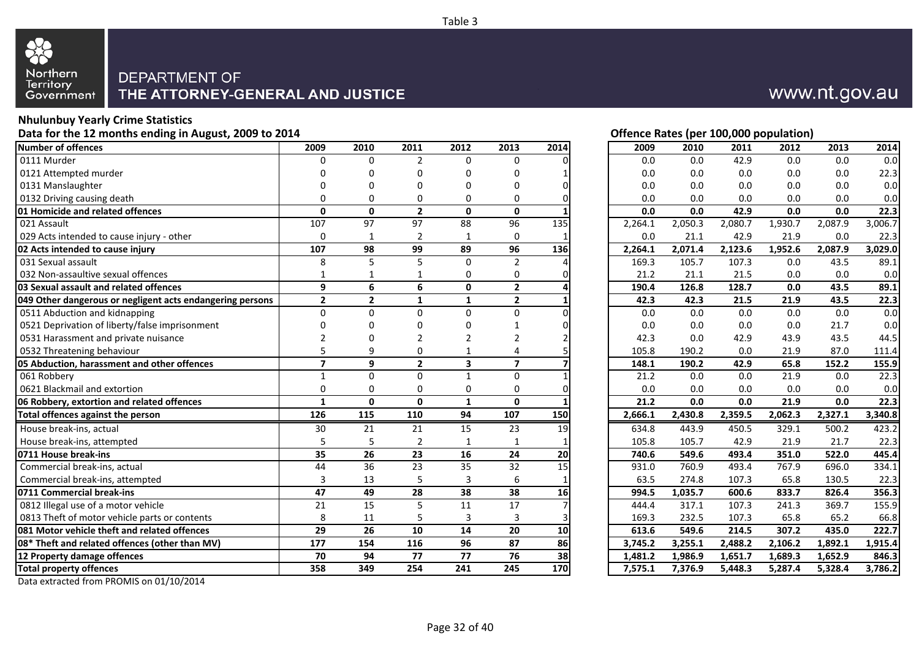

## **Nhulunbuy Yearly Crime Statistics**

**Data for the 12 months ending in August, 2009 to 2014 Offence Rates (per 100,000 population)**

| <b>Number of offences</b>                                 | 2009            | 2010            | 2011            | 2012                    | 2013                    | 2014            | 2009    | 2010    | 2011    | 2012    | 2013    | 2014    |
|-----------------------------------------------------------|-----------------|-----------------|-----------------|-------------------------|-------------------------|-----------------|---------|---------|---------|---------|---------|---------|
| 0111 Murder                                               | O               | 0               | 2               | $\Omega$                | $\Omega$                |                 | 0.0     | 0.0     | 42.9    | 0.0     | 0.0     | 0.0     |
| 0121 Attempted murder                                     |                 | O               | n               | U                       | $\Omega$                |                 | 0.0     | 0.0     | 0.0     | 0.0     | 0.0     | 22.3    |
| 0131 Manslaughter                                         | $\Omega$        | 0               | $\Omega$        | 0                       | $\Omega$                | n               | 0.0     | 0.0     | 0.0     | 0.0     | 0.0     | 0.0     |
| 0132 Driving causing death                                | $\mathbf 0$     | $\mathbf 0$     | 0               | 0                       | $\Omega$                | O               | 0.0     | 0.0     | 0.0     | 0.0     | 0.0     | 0.0     |
| 01 Homicide and related offences                          | $\mathbf{0}$    | $\mathbf{0}$    | $\overline{2}$  | $\mathbf{0}$            | $\mathbf{0}$            |                 | 0.0     | 0.0     | 42.9    | 0.0     | 0.0     | 22.3    |
| 021 Assault                                               | 107             | $\overline{97}$ | $\overline{97}$ | $\overline{88}$         | 96                      | $\frac{135}{2}$ | 2,264.1 | 2,050.3 | 2,080.7 | 1,930.7 | 2,087.9 | 3,006.7 |
| 029 Acts intended to cause injury - other                 | $\Omega$        | $\mathbf{1}$    | 2               | 1                       | $\mathbf 0$             |                 | 0.0     | 21.1    | 42.9    | 21.9    | 0.0     | 22.3    |
| 02 Acts intended to cause injury                          | 107             | $\overline{98}$ | 99              | 89                      | $\overline{96}$         | 136             | 2,264.1 | 2,071.4 | 2,123.6 | 1,952.6 | 2,087.9 | 3,029.0 |
| 031 Sexual assault                                        | 8               | 5               | 5               | $\mathbf 0$             | $\overline{2}$          |                 | 169.3   | 105.7   | 107.3   | 0.0     | 43.5    | 89.1    |
| 032 Non-assaultive sexual offences                        |                 | $\mathbf{1}$    |                 | 0                       | $\Omega$                |                 | 21.2    | 21.1    | 21.5    | 0.0     | 0.0     | 0.0     |
| 03 Sexual assault and related offences                    | 9               | 6               | 6               | $\mathbf 0$             | $\mathbf{2}$            |                 | 190.4   | 126.8   | 128.7   | 0.0     | 43.5    | 89.1    |
| 049 Other dangerous or negligent acts endangering persons | $\overline{2}$  | $\mathbf{2}$    | $\mathbf{1}$    | $\mathbf{1}$            | $\mathbf{2}$            |                 | 42.3    | 42.3    | 21.5    | 21.9    | 43.5    | 22.3    |
| 0511 Abduction and kidnapping                             | $\Omega$        | $\Omega$        | $\Omega$        | $\Omega$                | $\mathbf 0$             | $\Omega$        | 0.0     | 0.0     | 0.0     | 0.0     | 0.0     | 0.0     |
| 0521 Deprivation of liberty/false imprisonment            | $\Omega$        | $\Omega$        | $\Omega$        | O                       |                         | n               | 0.0     | 0.0     | 0.0     | 0.0     | 21.7    | 0.0     |
| 0531 Harassment and private nuisance                      | $\overline{2}$  | 0               | $\overline{2}$  | 2                       | 2                       |                 | 42.3    | 0.0     | 42.9    | 43.9    | 43.5    | 44.5    |
| 0532 Threatening behaviour                                | 5               | 9               | 0               | 1                       | 4                       |                 | 105.8   | 190.2   | 0.0     | 21.9    | 87.0    | 111.4   |
| 05 Abduction, harassment and other offences               | $\overline{7}$  | 9               | $\mathbf{2}$    | $\overline{\mathbf{3}}$ | $\overline{\mathbf{z}}$ |                 | 148.1   | 190.2   | 42.9    | 65.8    | 152.2   | 155.9   |
| 061 Robbery                                               | $\mathbf{1}$    | $\Omega$        | $\mathbf 0$     | $\mathbf{1}$            | $\Omega$                |                 | 21.2    | 0.0     | 0.0     | 21.9    | 0.0     | 22.3    |
| 0621 Blackmail and extortion                              | $\mathbf 0$     | $\mathbf 0$     | $\mathbf 0$     | 0                       | $\Omega$                | $\Omega$        | 0.0     | 0.0     | 0.0     | 0.0     | 0.0     | 0.0     |
| 06 Robbery, extortion and related offences                | $\mathbf{1}$    | $\mathbf{0}$    | $\mathbf{0}$    | $\mathbf{1}$            | $\mathbf{0}$            |                 | 21.2    | 0.0     | 0.0     | 21.9    | 0.0     | 22.3    |
| Total offences against the person                         | 126             | 115             | 110             | 94                      | 107                     | 150             | 2,666.1 | 2,430.8 | 2,359.5 | 2,062.3 | 2,327.1 | 3,340.8 |
| House break-ins, actual                                   | 30              | 21              | 21              | 15                      | 23                      | 19              | 634.8   | 443.9   | 450.5   | 329.1   | 500.2   | 423.2   |
| House break-ins, attempted                                | 5               | 5               | 2               | 1                       | $\mathbf{1}$            |                 | 105.8   | 105.7   | 42.9    | 21.9    | 21.7    | 22.3    |
| 0711 House break-ins                                      | $\overline{35}$ | $\overline{26}$ | $\overline{23}$ | 16                      | $\overline{24}$         | 20              | 740.6   | 549.6   | 493.4   | 351.0   | 522.0   | 445.4   |
| Commercial break-ins, actual                              | 44              | 36              | $\overline{23}$ | 35                      | $\overline{32}$         | $\overline{15}$ | 931.0   | 760.9   | 493.4   | 767.9   | 696.0   | 334.1   |
| Commercial break-ins, attempted                           | $\overline{3}$  | 13              | 5               | 3                       | 6                       |                 | 63.5    | 274.8   | 107.3   | 65.8    | 130.5   | 22.3    |
| 0711 Commercial break-ins                                 | 47              | 49              | 28              | 38                      | 38                      | 16              | 994.5   | 1,035.7 | 600.6   | 833.7   | 826.4   | 356.3   |
| 0812 Illegal use of a motor vehicle                       | 21              | 15              | 5               | 11                      | 17                      |                 | 444.4   | 317.1   | 107.3   | 241.3   | 369.7   | 155.9   |
| 0813 Theft of motor vehicle parts or contents             | 8               | 11              | 5               | $\overline{3}$          | 3                       |                 | 169.3   | 232.5   | 107.3   | 65.8    | 65.2    | 66.8    |
| 081 Motor vehicle theft and related offences              | 29              | $\overline{26}$ | 10              | 14                      | $\overline{20}$         | 10              | 613.6   | 549.6   | 214.5   | 307.2   | 435.0   | 222.7   |
| 08* Theft and related offences (other than MV)            | 177             | 154             | 116             | 96                      | $\overline{87}$         | 86              | 3,745.2 | 3,255.1 | 2,488.2 | 2,106.2 | 1,892.1 | 1,915.4 |
| 12 Property damage offences                               | 70              | 94              | 77              | 77                      | 76                      | 38              | 1,481.2 | 1,986.9 | 1,651.7 | 1,689.3 | 1,652.9 | 846.3   |
| <b>Total property offences</b>                            | 358             | 349             | 254             | 241                     | 245                     | 170             | 7,575.1 | 7,376.9 | 5.448.3 | 5,287.4 | 5.328.4 | 3,786.2 |

Data extracted from PROMIS on 01/10/2014

## www.nt.gov.au

Table 3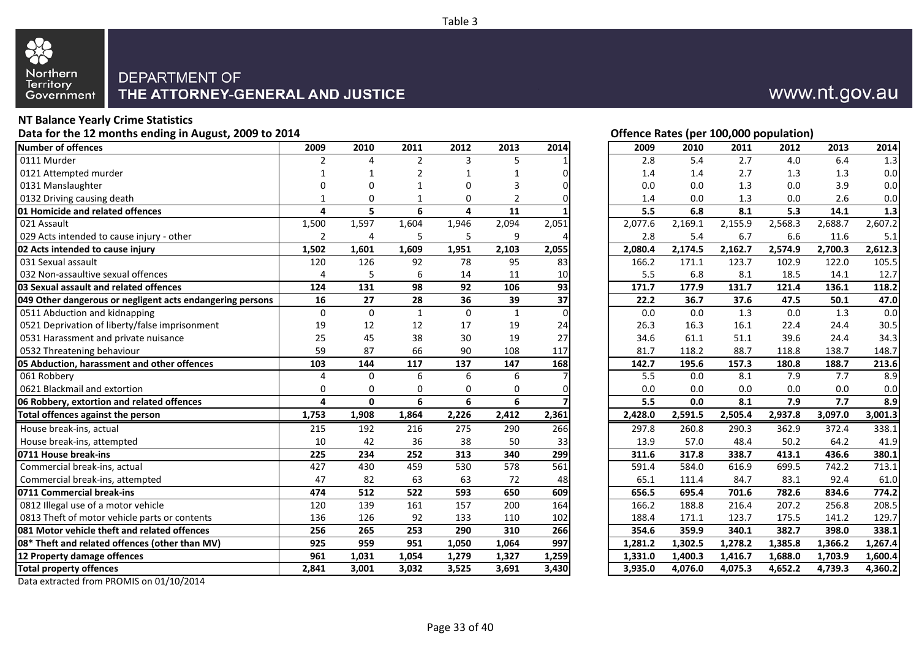

## **NT Balance Yearly Crime Statistics**

Data for the 12 months ending in August, 2009 to 2014 **Data for the U.S. Community Construction** Deputation Detection of the 12 months ending in August, 2009 to 2014 **Number of offences 2009 2010 2011 2012 2013 2014 2009 2010 2011 2012 2013 2014** 0111 Murder 2 4 2 3 5 1 2.8 5.4 2.7 4.0 6.4 1.3 0121 Attempted murder 1 1 2 1 1 0 1.4 1.4 2.7 1.3 1.3 0.0 0131 Manslaughter 0 0 1 0 3 0 0.0 0.0 1.3 0.0 3.9 0.0 0132 Driving causing death  $1 \t 1 \t 0 \t 1 \t 0 \t 2 \t 0$ **01 Homicide and related offences 4 5 6 4 11 1 5.5 6.8 8.1 5.3 14.1 1.3** 021 Assault 1,500 1,597 1,604 1,946 2,094 2,051 2,077.6 2,169.1 2,155.9 2,568.3 2,688.7 2,607.2 029 Acts intended to cause injury - other 2 4 5 5.4 6.7 6.8 5.4 ft and 3.8 ft and 3.8 ft and 3.8 ft and 3.8 ft and 3.8 ft and 3.8 ft and 3.8 ft and 3.8 ft and 3.8 ft and 3.8 ft and 3.8 ft and 3.8 ft and 3.8 ft and 3.8 ft a **02 Acts intended to cause injury 1,502 1,601 1,609 1,951 2,103 2,055 2,080.4 2,174.5 2,162.7 2,574.9 2,700.3 2,612.3** 031 Sexual assault 120 126 92 78 95 83 166.2 171.1 123.7 102.9 122.0 105.5 032 Non-assaultive sexual offences and the control of the 4 control of 5 control 6 to 11 control 10 **03 Sexual assault and related offences 124 131 98 92 106 93 171.7 177.9 131.7 121.4 136.1 118.2 049 Other dangerous or negligent acts endangering persons 16 27 28 36 39 37 22.2 36.7 37.6 47.5 50.1 47.0** 0511 Abduction and kidnapping and the control of the control of the control of the control of the control of the control of the control of the control of the control of the control of the control of the control of the cont 0521 Deprivation of liberty/false imprisonment 19 19 12 12 17 19 24<br>19 17 19 27 17 19 27 0531 Harassment and private nuisance 25 125 38 30 19 0532 Threatening behaviour 117 **59** 87 66 90 108 117 **05 Abduction, harassment and other offences 103 144 117 137 147 168 142.7 195.6 157.3 180.8 188.7 213.6** 061 Robbery 4 0 6 6 6 7 5.5 0.0 8.1 7.9 7.7 8.9 0621 Blackmail and extortion 0 0 0 0 0 0 0.0 0.0 0.0 0.0 0.0 0.0 **06 Robbery, extortion and related offences 4 0 6 6 6 7 5.5 0.0 8.1 7.9 7.7 8.9 Total offences against the person 1,753 1,908 1,864 2,226 2,412 2,361 2,428.0 2,591.5 2,505.4 2,937.8 3,097.0 3,001.3** House break-ins, actual 2215 192 216 275 290 266 | 297.8 260.8 290.3 362.9 372.4 338.1 House break-ins, attempted 10 10 42 36 38 50 33 **0711 House break-ins 225 234 252 313 340 299 311.6 317.8 338.7 413.1 436.6 380.1** Commercial break-ins, actual 1992. **427** 430 459 530 578 561 Commercial break-ins, attempted 1 and 1 and 1 and 1 and 1 and 1 and 1 and 1 and 1 and 1 and 1 and 1 and 1 and 1 **0711 Commercial break-ins 474 512 522 593 650 609 656.5 695.4 701.6 782.6 834.6 774.2** 0812 Illegal use of a motor vehicle 120 120 139 161 157 200 164 0813 Theft of motor vehicle parts or contents 136 126 126 92 133 110 102 **081 Motor vehicle theft and related offences 256 265 253 290 310 266 354.6 359.9 340.1 382.7 398.0 338.1 08\* Theft and related offences (other than MV) 925 959 951 1,050 1,064 997 1,281.2 1,302.5 1,278.2 1,385.8 1,366.2 1,267.4 12 Property damage offences 961 1,031 1,054 1,279 1,327 1,259 1,331.0 1,400.3 1,416.7 1,688.0 1,703.9 1,600.4 Total property offences 2,841 3,001 3,032 3,525 3,691 3,430 3,935.0 4,076.0 4,075.3 4,652.2 4,739.3 4,360.2**

## www.nt.gov.au

| 2009    | 2010    | 2011    | 2012    | 2013    | 2014    |
|---------|---------|---------|---------|---------|---------|
| 2.8     | 5.4     | 2.7     | 4.0     | 6.4     | 1.3     |
| 1.4     | 1.4     | 2.7     | 1.3     | 1.3     | 0.0     |
| 0.0     | 0.0     | 1.3     | 0.0     | 3.9     | 0.0     |
| 1.4     | 0.0     | 1.3     | 0.0     | 2.6     | 0.0     |
| 5.5     | 6.8     | 8.1     | 5.3     | 14.1    | 1.3     |
| 2,077.6 | 2,169.1 | 2,155.9 | 2,568.3 | 2,688.7 | 2,607.2 |
| 2.8     | 5.4     | 6.7     | 6.6     | 11.6    | 5.1     |
| 2,080.4 | 2,174.5 | 2,162.7 | 2,574.9 | 2,700.3 | 2,612.3 |
| 166.2   | 171.1   | 123.7   | 102.9   | 122.0   | 105.5   |
| 5.5     | 6.8     | 8.1     | 18.5    | 14.1    | 12.7    |
| 171.7   | 177.9   | 131.7   | 121.4   | 136.1   | 118.2   |
| 22.2    | 36.7    | 37.6    | 47.5    | 50.1    | 47.0    |
| 0.0     | 0.0     | 1.3     | 0.0     | 1.3     | 0.0     |
| 26.3    | 16.3    | 16.1    | 22.4    | 24.4    | 30.5    |
| 34.6    | 61.1    | 51.1    | 39.6    | 24.4    | 34.3    |
| 81.7    | 118.2   | 88.7    | 118.8   | 138.7   | 148.7   |
| 142.7   | 195.6   | 157.3   | 180.8   | 188.7   | 213.6   |
| 5.5     | 0.0     | 8.1     | 7.9     | 7.7     | 8.9     |
| 0.0     | 0.0     | 0.0     | 0.0     | 0.0     | 0.0     |
| 5.5     | 0.0     | 8.1     | 7.9     | 7.7     | 8.9     |
| 2,428.0 | 2,591.5 | 2,505.4 | 2,937.8 | 3,097.0 | 3,001.3 |
| 297.8   | 260.8   | 290.3   | 362.9   | 372.4   | 338.1   |
| 13.9    | 57.0    | 48.4    | 50.2    | 64.2    | 41.9    |
| 311.6   | 317.8   | 338.7   | 413.1   | 436.6   | 380.1   |
| 591.4   | 584.0   | 616.9   | 699.5   | 742.2   | 713.1   |
| 65.1    | 111.4   | 84.7    | 83.1    | 92.4    | 61.0    |
| 656.5   | 695.4   | 701.6   | 782.6   | 834.6   | 774.2   |
| 166.2   | 188.8   | 216.4   | 207.2   | 256.8   | 208.5   |
| 188.4   | 171.1   | 123.7   | 175.5   | 141.2   | 129.7   |
| 354.6   | 359.9   | 340.1   | 382.7   | 398.0   | 338.1   |
| 1,281.2 | 1,302.5 | 1,278.2 | 1,385.8 | 1,366.2 | 1,267.4 |
| 1,331.0 | 1,400.3 | 1,416.7 | 1,688.0 | 1,703.9 | 1,600.4 |
| 3,935.0 | 4,076.0 | 4,075.3 | 4,652.2 | 4,739.3 | 4,360.2 |

Data extracted from PROMIS on 01/10/2014

Table 3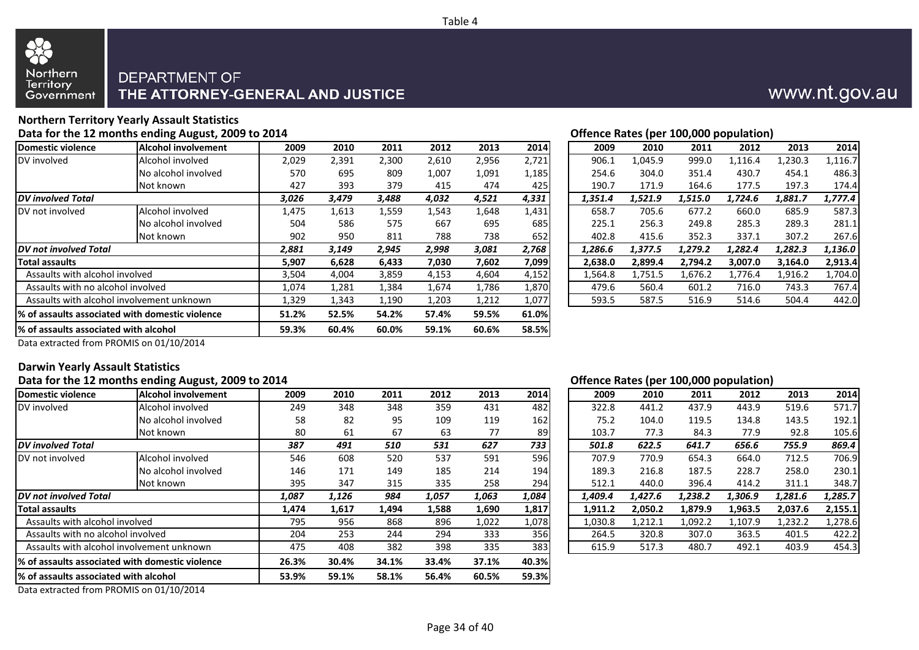



#### **Northern Territory Yearly Assault Statistics** Data for the 12 months ending August, 2009 to 2014 **Data for the 12 months ending August, 2009 to 2014 Contract Contract Contract Contract Contract Contract Contract Contract Contract Contract Contract Contract Contract**

|                                       |                                                  |       |       |       |       |       |       |         |         |         | . .     |         |         |
|---------------------------------------|--------------------------------------------------|-------|-------|-------|-------|-------|-------|---------|---------|---------|---------|---------|---------|
| Domestic violence                     | <b>Alcohol involvement</b>                       | 2009  | 2010  | 2011  | 2012  | 2013  | 2014  | 2009    | 2010    | 2011    | 2012    | 2013    | 2014    |
| DV involved                           | Alcohol involved                                 | 2,029 | 2,391 | 2,300 | 2,610 | 2,956 | 2,721 | 906.1   | 1.045.9 | 999.0   | .116.4  | 1,230.3 | 1,116.7 |
|                                       | No alcohol involved                              | 570   | 695   | 809   | 1,007 | 1,091 | 1,185 | 254.6   | 304.0   | 351.4   | 430.7   | 454.1   | 486.3   |
|                                       | Not known                                        | 427   | 393   | 379   | 415   | 474   | 425   | 190.7   | 171.9   | 164.6   | 177.5   | 197.3   | 174.4   |
| <b>IDV</b> involved Total             |                                                  | 3,026 | 3,479 | 3,488 | 4,032 | 4,521 | 4,331 | 1,351.4 | 1,521.9 | 1,515.0 | 1,724.6 | 1,881.7 | 1,777.4 |
| DV not involved                       | Alcohol involved                                 | 1,475 | 1,613 | 1,559 | 1,543 | 1,648 | 1,431 | 658.7   | 705.6   | 677.2   | 660.0   | 685.9   | 587.3   |
|                                       | No alcohol involved                              | 504   | 586   | 575   | 667   | 695   | 685   | 225.1   | 256.3   | 249.8   | 285.3   | 289.3   | 281.1   |
|                                       | Not known                                        | 902   | 950   | 811   | 788   | 738   | 652   | 402.8   | 415.6   | 352.3   | 337.1   | 307.2   | 267.6   |
| <b>IDV</b> not involved Total         |                                                  | 2,881 | 3,149 | 2,945 | 2,998 | 3,081 | 2,768 | 1,286.6 | 1,377.5 | 1,279.2 | 1,282.4 | 1,282.3 | 1,136.0 |
| Total assaults                        |                                                  | 5,907 | 6,628 | 6,433 | 7,030 | 7,602 | 7,099 | 2,638.0 | 2,899.4 | 2,794.2 | 3,007.0 | 3,164.0 | 2,913.4 |
| Assaults with alcohol involved        |                                                  | 3,504 | 4,004 | 3,859 | 4,153 | 4,604 | 4,152 | 1,564.8 | 1,751.5 | 1,676.2 | 1,776.4 | 1,916.2 | 1,704.0 |
| Assaults with no alcohol involved     |                                                  | 1,074 | 1,281 | 1,384 | 1,674 | 1,786 | 1,870 | 479.6   | 560.4   | 601.2   | 716.0   | 743.3   | 767.4   |
|                                       | Assaults with alcohol involvement unknown        | 1,329 | 1,343 | 1,190 | 1,203 | 1,212 | 1,077 | 593.5   | 587.5   | 516.9   | 514.6   | 504.4   | 442.0   |
|                                       | 1% of assaults associated with domestic violence | 51.2% | 52.5% | 54.2% | 57.4% | 59.5% | 61.0% |         |         |         |         |         |         |
| % of assaults associated with alcohol |                                                  | 59.3% | 60.4% | 60.0% | 59.1% | 60.6% | 58.5% |         |         |         |         |         |         |

| 2009    | 2010    | 2011    | 2012    | 2013    | 2014    |
|---------|---------|---------|---------|---------|---------|
| 906.1   | 1,045.9 | 999.0   | 1,116.4 | 1,230.3 | 1,116.7 |
| 254.6   | 304.0   | 351.4   | 430.7   | 454.1   | 486.3   |
| 190.7   | 171.9   | 164.6   | 177.5   | 197.3   | 174.4   |
| 1,351.4 | 1,521.9 | 1,515.0 | 1,724.6 | 1,881.7 | 1,777.4 |
| 658.7   | 705.6   | 677.2   | 660.0   | 685.9   | 587.3   |
| 225.1   | 256.3   | 249.8   | 285.3   | 289.3   | 281.1   |
| 402.8   | 415.6   | 352.3   | 337.1   | 307.2   | 267.6   |
| 1,286.6 | 1,377.5 | 1,279.2 | 1,282.4 | 1,282.3 | 1,136.0 |
| 2,638.0 | 2,899.4 | 2,794.2 | 3,007.0 | 3,164.0 | 2,913.4 |
| 1,564.8 | 1,751.5 | 1,676.2 | 1,776.4 | 1,916.2 | 1,704.0 |
| 479.6   | 560.4   | 601.2   | 716.0   | 743.3   | 767.4   |
| 593.5   | 587.5   | 516.9   | 514.6   | 504.4   | 442.0   |

Data extracted from PROMIS on 01/10/2014

#### **Darwin Yearly Assault Statistics**

#### Data for the 12 months ending August, 2009 to 2014 **Data for the 12 months ending August, 2009 to 2014 Contract Contract Contract Contract Contract Contract Contract Contract Contract Contract Contract Contract Contract**

|                                       |                                                  |       |       |       |       |       |       |         |         |         | . .     |         |         |
|---------------------------------------|--------------------------------------------------|-------|-------|-------|-------|-------|-------|---------|---------|---------|---------|---------|---------|
| Domestic violence                     | <b>Alcohol involvement</b>                       | 2009  | 2010  | 2011  | 2012  | 2013  | 2014  | 2009    | 2010    | 2011    | 2012    | 2013    | 2014    |
| DV involved                           | Alcohol involved                                 | 249   | 348   | 348   | 359   | 431   | 482   | 322.8   | 441.2   | 437.9   | 443.9   | 519.6   | 571.7   |
|                                       | No alcohol involved                              | 58    | 82    | 95    | 109   | 119   | 162   | 75.2    | 104.0   | 119.5   | 134.8   | 143.5   | 192.1   |
|                                       | Not known                                        | 80    | 61    | 67    | 63    | 77    | 89    | 103.7   | 77.3    | 84.3    | 77.9    | 92.8    | 105.6   |
| <b>DV</b> involved Total              |                                                  | 387   | 491   | 510   | 531   | 627   | 733   | 501.8   | 622.5   | 641.7   | 656.6   | 755.9   | 869.4   |
| DV not involved                       | Alcohol involved                                 | 546   | 608   | 520   | 537   | 591   | 596   | 707.9   | 770.9   | 654.3   | 664.0   | 712.5   | 706.9   |
|                                       | No alcohol involved                              | 146   | 171   | 149   | 185   | 214   | 194   | 189.3   | 216.8   | 187.5   | 228.7   | 258.0   | 230.1   |
|                                       | Not known                                        | 395   | 347   | 315   | 335   | 258   | 294   | 512.1   | 440.0   | 396.4   | 414.2   | 311.1   | 348.7   |
| <b>DV</b> not involved Total          |                                                  | 1,087 | 1,126 | 984   | 1,057 | 1,063 | 1,084 | 1,409.4 | 1,427.6 | 1,238.2 | 1,306.9 | 1,281.6 | 1,285.7 |
| Total assaults                        |                                                  | 1,474 | 1,617 | 1,494 | 1,588 | 1,690 | 1,817 | 1,911.2 | 2,050.2 | 1,879.9 | 1,963.5 | 2,037.6 | 2,155.1 |
| Assaults with alcohol involved        |                                                  | 795   | 956   | 868   | 896   | 1,022 | 1,078 | 1,030.8 | 1,212.1 | 1,092.2 | 1,107.9 | 1,232.2 | .,278.6 |
| Assaults with no alcohol involved     |                                                  | 204   | 253   | 244   | 294   | 333   | 356   | 264.5   | 320.8   | 307.0   | 363.5   | 401.5   | 422.2   |
|                                       | Assaults with alcohol involvement unknown        | 475   | 408   | 382   | 398   | 335   | 383   | 615.9   | 517.3   | 480.7   | 492.1   | 403.9   | 454.3   |
|                                       | 1% of assaults associated with domestic violence | 26.3% | 30.4% | 34.1% | 33.4% | 37.1% | 40.3% |         |         |         |         |         |         |
| % of assaults associated with alcohol |                                                  | 53.9% | 59.1% | 58.1% | 56.4% | 60.5% | 59.3% |         |         |         |         |         |         |
|                                       |                                                  |       |       |       |       |       |       |         |         |         |         |         |         |

| 2009    | 2010    | 2011    | 2012    | 2013    | 2014    |
|---------|---------|---------|---------|---------|---------|
| 322.8   | 441.2   | 437.9   | 443.9   | 519.6   | 571.7   |
| 75.2    | 104.0   | 119.5   | 134.8   | 143.5   | 192.1   |
| 103.7   | 77.3    | 84.3    | 77.9    | 92.8    | 105.6   |
| 501.8   | 622.5   | 641.7   | 656.6   | 755.9   | 869.4   |
| 707.9   | 770.9   | 654.3   | 664.0   | 712.5   | 706.9   |
| 189.3   | 216.8   | 187.5   | 228.7   | 258.0   | 230.1   |
| 512.1   | 440.0   | 396.4   | 414.2   | 311.1   | 348.7   |
| 1,409.4 | 1,427.6 | 1,238.2 | 1,306.9 | 1,281.6 | 1,285.7 |
| 1,911.2 | 2,050.2 | 1,879.9 | 1,963.5 | 2,037.6 | 2,155.1 |
| 1,030.8 | 1,212.1 | 1,092.2 | 1,107.9 | 1,232.2 | 1,278.6 |
| 264.5   | 320.8   | 307.0   | 363.5   | 401.5   | 422.2   |
| 615.9   | 517.3   | 480.7   | 492.1   | 403.9   | 454.3   |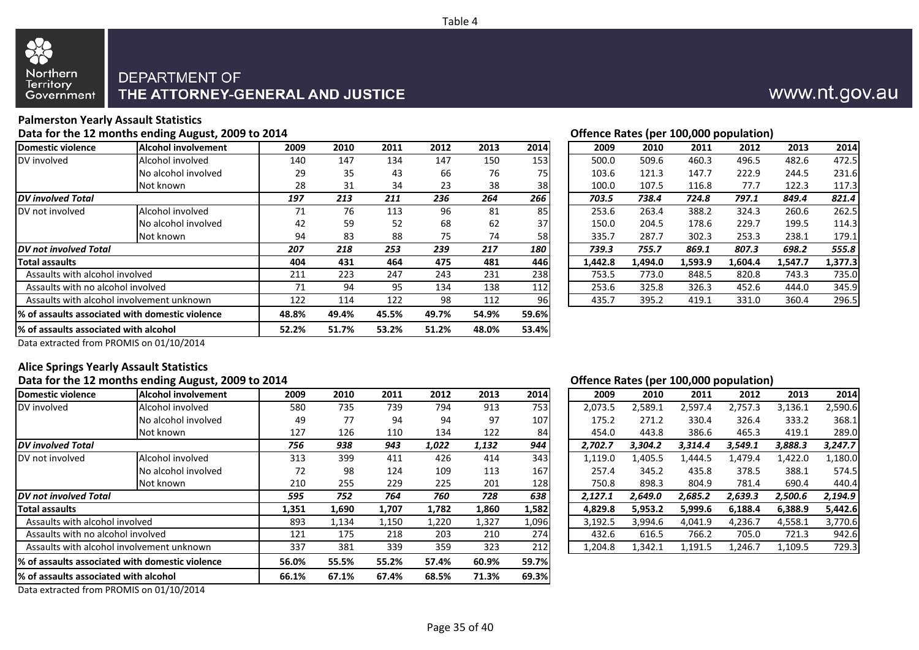

## DEPARTMENT OF THE ATTORNEY-GENERAL AND JUSTICE

### **Palmerston Yearly Assault Statistics**

### Data for the 12 months ending August, 2009 to 2014 **Data for the 12 months ending August, 2009 to 2014 Contract Contract Contract Contract Contract Contract Contract Contract Contract Contract Contract Contract Contract**

| Domestic violence                     | <b>Alcohol involvement</b>                       | 2009  | 2010  | 2011  | 2012  | 2013  | 2014  | 2009    | 2010    | 2011    | 2012    | 2013    | 2014    |
|---------------------------------------|--------------------------------------------------|-------|-------|-------|-------|-------|-------|---------|---------|---------|---------|---------|---------|
| DV involved                           | Alcohol involved                                 | 140   | 147   | 134   | 147   | 150   | 153   | 500.0   | 509.6   | 460.3   | 496.5   | 482.6   | 472.5   |
|                                       | No alcohol involved                              | 29    | 35    | 43    | 66    | 76    | 75    | 103.6   | 121.3   | 147.7   | 222.9   | 244.5   | 231.6   |
|                                       | Not known                                        | 28    | 31    | 34    | 23    | 38    | 38    | 100.0   | 107.5   | 116.8   | 77.7    | 122.3   | 117.3   |
| <b>DV</b> involved Total              |                                                  | 197   | 213   | 211   | 236   | 264   | 266   | 703.5   | 738.4   | 724.8   | 797.1   | 849.4   | 821.4   |
| DV not involved                       | Alcohol involved                                 | 71    | 76    | 113   | 96    | 81    | 85    | 253.6   | 263.4   | 388.2   | 324.3   | 260.6   | 262.5   |
|                                       | No alcohol involved                              | 42    | 59    | 52    | 68    | 62    | 37    | 150.0   | 204.5   | 178.6   | 229.7   | 199.5   | 114.3   |
|                                       | Not known                                        | 94    | 83    | 88    | 75    | 74    | 58    | 335.7   | 287.7   | 302.3   | 253.3   | 238.1   | 179.1   |
| <b>IDV</b> not involved Total         |                                                  | 207   | 218   | 253   | 239   | 217   | 180   | 739.3   | 755.7   | 869.1   | 807.3   | 698.2   | 555.8   |
| <b>Total assaults</b>                 |                                                  | 404   | 431   | 464   | 475   | 481   | 446   | 1,442.8 | 1,494.0 | 1,593.9 | 1,604.4 | 1,547.7 | 1,377.3 |
| Assaults with alcohol involved        |                                                  | 211   | 223   | 247   | 243   | 231   | 238   | 753.5   | 773.0   | 848.5   | 820.8   | 743.3   | 735.0   |
| Assaults with no alcohol involved     |                                                  | 71    | 94    | 95    | 134   | 138   | 112   | 253.6   | 325.8   | 326.3   | 452.6   | 444.0   | 345.9   |
|                                       | Assaults with alcohol involvement unknown        | 122   | 114   | 122   | 98    | 112   | 96    | 435.7   | 395.2   | 419.1   | 331.0   | 360.4   | 296.5   |
|                                       | 1% of assaults associated with domestic violence | 48.8% | 49.4% | 45.5% | 49.7% | 54.9% | 59.6% |         |         |         |         |         |         |
| % of assaults associated with alcohol |                                                  | 52.2% | 51.7% | 53.2% | 51.2% | 48.0% | 53.4% |         |         |         |         |         |         |
|                                       |                                                  |       |       |       |       |       |       |         |         |         |         |         |         |

| 2009    | 2010    | 2011    | 2012    | 2013    | 2014    |
|---------|---------|---------|---------|---------|---------|
| 500.0   | 509.6   | 460.3   | 496.5   | 482.6   | 472.5   |
| 103.6   | 121.3   | 147.7   | 222.9   | 244.5   | 231.6   |
| 100.0   | 107.5   | 116.8   | 77.7    | 122.3   | 117.3   |
| 703.5   | 738.4   | 724.8   | 797.1   | 849.4   | 821.4   |
| 253.6   | 263.4   | 388.2   | 324.3   | 260.6   | 262.5   |
| 150.0   | 204.5   | 178.6   | 229.7   | 199.5   | 114.3   |
| 335.7   | 287.7   | 302.3   | 253.3   | 238.1   | 179.1   |
| 739.3   | 755.7   | 869.1   | 807.3   | 698.2   | 555.8   |
| 1.442.8 | 1.494.0 | 1,593.9 | 1.604.4 | 1,547.7 | 1,377.3 |
| 753.5   | 773.0   | 848.5   | 820.8   | 743.3   | 735.0   |
| 253.6   | 325.8   | 326.3   | 452.6   | 444.0   | 345.9   |
| 435.7   | 395.2   | 419.1   | 331.0   | 360.4   | 296.5   |
|         |         |         |         |         |         |

www.nt.gov.au

Data extracted from PROMIS on 01/10/2014

#### **Alice Springs Yearly Assault Statistics**

### Data for the 12 months ending August, 2009 to 2014 **Data for the 12 months ending August, 2009 to 2014 Contract Contract Contract Contract Contract Contract Contract Contract Contract Contract Contract Contract Contract**

|                                                                                                                                                                                                                                |                                                 |       |       |       |       |       |       |         |       |         |         | . .     |         |         |
|--------------------------------------------------------------------------------------------------------------------------------------------------------------------------------------------------------------------------------|-------------------------------------------------|-------|-------|-------|-------|-------|-------|---------|-------|---------|---------|---------|---------|---------|
| Domestic violence                                                                                                                                                                                                              | <b>Alcohol involvement</b>                      | 2009  | 2010  | 2011  | 2012  | 2013  | 2014  |         | 2009  | 2010    | 2011    | 2012    | 2013    | 2014    |
| DV involved                                                                                                                                                                                                                    | Alcohol involved                                | 580   | 735   | 739   | 794   | 913   | 753   | 2,073.5 |       | 2,589.1 | 2,597.4 | 2,757.3 | 3,136.1 | 2,590.6 |
|                                                                                                                                                                                                                                | No alcohol involved                             | 49    | 77    | 94    | 94    | 97    | 107   |         | 175.2 | 271.2   | 330.4   | 326.4   | 333.2   | 368.1   |
|                                                                                                                                                                                                                                | Not known                                       | 127   | 126   | 110   | 134   | 122   | 84    |         | 454.0 | 443.8   | 386.6   | 465.3   | 419.1   | 289.0   |
| <b>DV</b> involved Total                                                                                                                                                                                                       |                                                 | 756   | 938   | 943   | 1,022 | 1,132 | 944   | 2,702.7 |       | 3,304.2 | 3,314.4 | 3,549.1 | 3,888.3 | 3,247.7 |
| DV not involved                                                                                                                                                                                                                | Alcohol involved                                | 313   | 399   | 411   | 426   | 414   | 343   | 1,119.0 |       | 1,405.5 | 1,444.5 | 1,479.4 | 1,422.0 | 1,180.0 |
|                                                                                                                                                                                                                                | No alcohol involved                             | 72    | 98    | 124   | 109   | 113   | 167   |         | 257.4 | 345.2   | 435.8   | 378.5   | 388.1   | 574.5   |
|                                                                                                                                                                                                                                | Not known                                       | 210   | 255   | 229   | 225   | 201   | 128   |         | 750.8 | 898.3   | 804.9   | 781.4   | 690.4   | 440.4   |
| <b>IDV not involved Total</b>                                                                                                                                                                                                  |                                                 | 595   | 752   | 764   | 760   | 728   | 638   | 2.127.1 |       | 2,649.0 | 2,685.2 | 2,639.3 | 2,500.6 | 2,194.9 |
| <b>Total assaults</b>                                                                                                                                                                                                          |                                                 | 1,351 | 1,690 | 1,707 | 1,782 | 1,860 | 1,582 | 4,829.8 |       | 5,953.2 | 5,999.6 | 6,188.4 | 6,388.9 | 5,442.6 |
| Assaults with alcohol involved                                                                                                                                                                                                 |                                                 | 893   | 1,134 | 1,150 | 1,220 | 1,327 | 1,096 | 3,192.5 |       | 3,994.6 | 4,041.9 | 4,236.7 | 4,558.1 | 3,770.6 |
| Assaults with no alcohol involved                                                                                                                                                                                              |                                                 | 121   | 175   | 218   | 203   | 210   | 274   |         | 432.6 | 616.5   | 766.2   | 705.0   | 721.3   | 942.6   |
|                                                                                                                                                                                                                                | Assaults with alcohol involvement unknown       | 337   | 381   | 339   | 359   | 323   | 212   | 1,204.8 |       | 1,342.1 | 1,191.5 | 1,246.7 | 1,109.5 | 729.3   |
|                                                                                                                                                                                                                                | % of assaults associated with domestic violence | 56.0% | 55.5% | 55.2% | 57.4% | 60.9% | 59.7% |         |       |         |         |         |         |         |
| % of assaults associated with alcohol                                                                                                                                                                                          |                                                 | 66.1% | 67.1% | 67.4% | 68.5% | 71.3% | 69.3% |         |       |         |         |         |         |         |
| $\sim$ . The contract of the set of the set of the set of the set of the set of the set of the set of the set of the set of the set of the set of the set of the set of the set of the set of the set of the set of the set of |                                                 |       |       |       |       |       |       |         |       |         |         |         |         |         |

| 2009    | 2010    | 2011    | 2012    | 2013    | 2014    |
|---------|---------|---------|---------|---------|---------|
| 2,073.5 | 2,589.1 | 2,597.4 | 2,757.3 | 3,136.1 | 2,590.6 |
| 175.2   | 271.2   | 330.4   | 326.4   | 333.2   | 368.1   |
| 454.0   | 443.8   | 386.6   | 465.3   | 419.1   | 289.0   |
| 2,702.7 | 3,304.2 | 3,314.4 | 3,549.1 | 3,888.3 | 3,247.7 |
| 1,119.0 | 1,405.5 | 1,444.5 | 1,479.4 | 1,422.0 | 1,180.0 |
| 257.4   | 345.2   | 435.8   | 378.5   | 388.1   | 574.5   |
| 750.8   | 898.3   | 804.9   | 781.4   | 690.4   | 440.4   |
| 2,127.1 | 2,649.0 | 2,685.2 | 2,639.3 | 2,500.6 | 2,194.9 |
| 4,829.8 | 5,953.2 | 5,999.6 | 6,188.4 | 6,388.9 | 5,442.6 |
| 3,192.5 | 3,994.6 | 4,041.9 | 4,236.7 | 4,558.1 | 3,770.6 |
| 432.6   | 616.5   | 766.2   | 705.0   | 721.3   | 942.6   |
| 1,204.8 | 1,342.1 | 1,191.5 | 1,246.7 | 1,109.5 | 729.3   |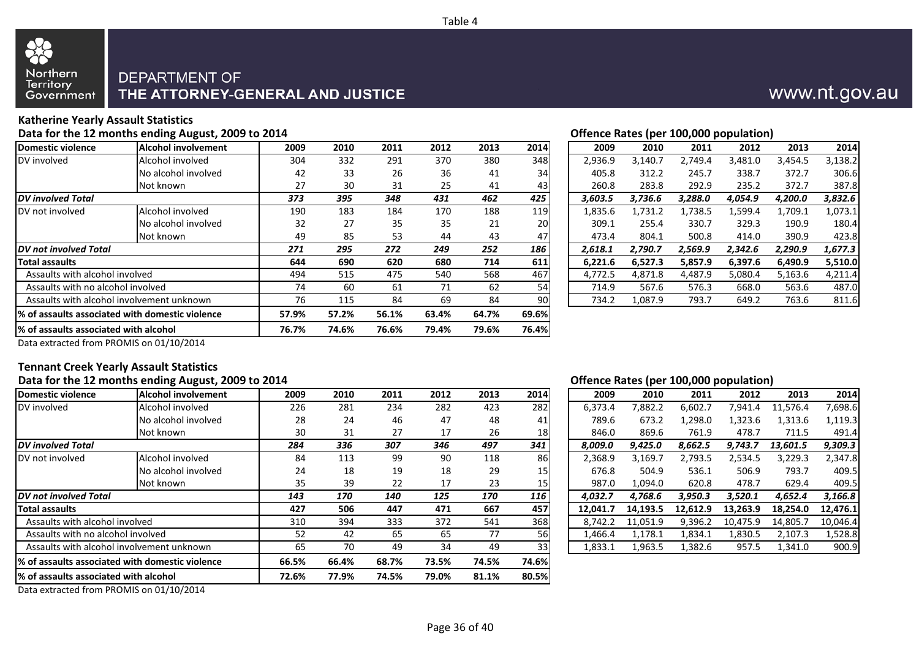

## DEPARTMENT OF THE ATTORNEY-GENERAL AND JUSTICE

## **Katherine Yearly Assault Statistics**

Data for the 12 months ending August, 2009 to 2014 **Data for the 12 months ending August, 2009 to 2014 Contract Contract Contract Contract Contract Contract Contract Contract Contract Contract Contract Contract Contract** 

| Domestic violence                     | <b>Alcohol involvement</b>                       | 2009  | 2010  | 2011  | 2012  | 2013  | 2014      | 2009    | 2010    | 2011    | 2012    | 2013    | 2014    |
|---------------------------------------|--------------------------------------------------|-------|-------|-------|-------|-------|-----------|---------|---------|---------|---------|---------|---------|
| DV involved                           | Alcohol involved                                 | 304   | 332   | 291   | 370   | 380   | 348       | 2,936.9 | 3,140.7 | 2,749.4 | 3,481.0 | 3,454.5 | 3,138.2 |
|                                       | No alcohol involved                              | 42    | 33    | 26    | 36    | 41    | 34        | 405.8   | 312.2   | 245.7   | 338.7   | 372.7   | 306.6   |
|                                       | Not known                                        | 27    | 30    | 31    | 25    | 41    | 43        | 260.8   | 283.8   | 292.9   | 235.2   | 372.7   | 387.8   |
| <b>DV</b> involved Total              |                                                  | 373   | 395   | 348   | 431   | 462   | 425       | 3,603.5 | 3,736.6 | 3,288.0 | 4,054.9 | 4,200.0 | 3,832.6 |
| DV not involved                       | Alcohol involved                                 | 190   | 183   | 184   | 170   | 188   | 119       | 1,835.6 | 1,731.2 | 1,738.5 | 1,599.4 | 1,709.1 | 1,073.1 |
|                                       | No alcohol involved                              | 32    | 27    | 35    | 35    | 21    | <b>20</b> | 309.1   | 255.4   | 330.7   | 329.3   | 190.9   | 180.4   |
|                                       | Not known                                        | 49    | 85    | 53    | 44    | 43    | 47        | 473.4   | 804.1   | 500.8   | 414.0   | 390.9   | 423.8   |
| <b>IDV not involved Total</b>         |                                                  | 271   | 295   | 272   | 249   | 252   | 186       | 2,618.1 | 2,790.7 | 2,569.9 | 2,342.6 | 2,290.9 | 1,677.3 |
| <b>Total assaults</b>                 |                                                  | 644   | 690   | 620   | 680   | 714   | 611       | 6,221.6 | 6,527.3 | 5,857.9 | 6,397.6 | 6,490.9 | 5,510.0 |
| Assaults with alcohol involved        |                                                  | 494   | 515   | 475   | 540   | 568   | 467       | 4.772.5 | 4,871.8 | 4,487.9 | 5,080.4 | 5,163.6 | 4,211.4 |
| Assaults with no alcohol involved     |                                                  | 74    | 60    | 61    | 71    | 62    | 54        | 714.9   | 567.6   | 576.3   | 668.0   | 563.6   | 487.0   |
|                                       | Assaults with alcohol involvement unknown        | 76    | 115   | 84    | 69    | 84    | 90        | 734.2   | 1,087.9 | 793.7   | 649.2   | 763.6   | 811.6   |
|                                       | 1% of assaults associated with domestic violence | 57.9% | 57.2% | 56.1% | 63.4% | 64.7% | 69.6%     |         |         |         |         |         |         |
| % of assaults associated with alcohol |                                                  | 76.7% | 74.6% | 76.6% | 79.4% | 79.6% | 76.4%     |         |         |         |         |         |         |
|                                       |                                                  |       |       |       |       |       |           |         |         |         |         |         |         |

| 2009    | 2010    | 2011    | 2012    | 2013    | 2014    |
|---------|---------|---------|---------|---------|---------|
| 2,936.9 | 3,140.7 | 2,749.4 | 3,481.0 | 3,454.5 | 3,138.2 |
| 405.8   | 312.2   | 245.7   | 338.7   | 372.7   | 306.6   |
| 260.8   | 283.8   | 292.9   | 235.2   | 372.7   | 387.8   |
| 3,603.5 | 3,736.6 | 3,288.0 | 4,054.9 | 4,200.0 | 3,832.6 |
| 1,835.6 | 1,731.2 | 1,738.5 | 1,599.4 | 1,709.1 | 1,073.1 |
| 309.1   | 255.4   | 330.7   | 329.3   | 190.9   | 180.4   |
| 473.4   | 804.1   | 500.8   | 414.0   | 390.9   | 423.8   |
| 2,618.1 | 2,790.7 | 2,569.9 | 2,342.6 | 2,290.9 | 1,677.3 |
| 6,221.6 | 6,527.3 | 5,857.9 | 6,397.6 | 6,490.9 | 5,510.0 |
| 4,772.5 | 4,871.8 | 4,487.9 | 5,080.4 | 5,163.6 | 4,211.4 |
| 714.9   | 567.6   | 576.3   | 668.0   | 563.6   | 487.0   |
| 734.2   | 1,087.9 | 793.7   | 649.2   | 763.6   | 811.6   |
|         |         |         |         |         |         |

www.nt.gov.au

Data extracted from PROMIS on 01/10/2014

#### **Tennant Creek Yearly Assault Statistics**

#### Data for the 12 months ending August, 2009 to 2014 **Data for the 12 months ending August, 2009 to 2014 Contract Contract Contract Contract Contract Contract Contract Contract Contract Contract Contract Contract Contract**

| Domestic violence                                                                                                                                                                                                              | <b>Alcohol involvement</b>                       | 2009  | 2010  | 2011  | 2012  | 2013  | 2014            |          | 2009    | 2010     | 2011     | 2012     | 2013     | 2014     |
|--------------------------------------------------------------------------------------------------------------------------------------------------------------------------------------------------------------------------------|--------------------------------------------------|-------|-------|-------|-------|-------|-----------------|----------|---------|----------|----------|----------|----------|----------|
| DV involved                                                                                                                                                                                                                    | Alcohol involved                                 | 226   | 281   | 234   | 282   | 423   | 282             |          | 6,373.4 | 7,882.2  | 6,602.7  | 7,941.4  | 11,576.4 | 7,698.6  |
|                                                                                                                                                                                                                                | No alcohol involved                              | 28    | 24    | 46    | 47    | 48    | 41              |          | 789.6   | 673.2    | 1,298.0  | 1,323.6  | 1,313.6  | 119.3    |
|                                                                                                                                                                                                                                | Not known                                        | 30    | 31    | 27    | 17    | 26    | 18 <sub>l</sub> |          | 846.0   | 869.6    | 761.9    | 478.7    | 711.5    | 491.4    |
| <b>DV</b> involved Total                                                                                                                                                                                                       |                                                  | 284   | 336   | 307   | 346   | 497   | 341             | 8,009.0  |         | 9,425.0  | 8,662.5  | 9,743.7  | 13,601.5 | 9,309.3  |
| DV not involved                                                                                                                                                                                                                | Alcohol involved                                 | 84    | 113   | 99    | 90    | 118   | 86              |          | 2,368.9 | 3,169.7  | 2,793.5  | 2,534.5  | 3,229.3  | 2,347.8  |
|                                                                                                                                                                                                                                | No alcohol involved                              | 24    | 18    | 19    | 18    | 29    | 15              |          | 676.8   | 504.9    | 536.1    | 506.9    | 793.7    | 409.5    |
|                                                                                                                                                                                                                                | Not known                                        | 35    | 39    | 22    | 17    | 23    | 15 <sub>l</sub> |          | 987.0   | 1,094.0  | 620.8    | 478.7    | 629.4    | 409.5    |
| DV not involved Total                                                                                                                                                                                                          |                                                  | 143   | 170   | 140   | 125   | 170   | 116             | 4.032.7  |         | 4,768.6  | 3,950.3  | 3,520.1  | 4,652.4  | 3,166.8  |
| <b>Total assaults</b>                                                                                                                                                                                                          |                                                  | 427   | 506   | 447   | 471   | 667   | 457             | 12,041.7 |         | 14,193.5 | 12,612.9 | 13,263.9 | 18,254.0 | 12,476.1 |
| Assaults with alcohol involved                                                                                                                                                                                                 |                                                  | 310   | 394   | 333   | 372   | 541   | 368             |          | 8,742.2 | 11.051.9 | 9,396.2  | 10,475.9 | 14,805.7 | 10,046.4 |
| Assaults with no alcohol involved                                                                                                                                                                                              |                                                  | 52    | 42    | 65    | 65    | 77    | <b>56</b>       |          | 1,466.4 | 1,178.1  | 1,834.1  | 1,830.5  | 2,107.3  | 1,528.8  |
|                                                                                                                                                                                                                                | Assaults with alcohol involvement unknown        | 65    | 70    | 49    | 34    | 49    | 33              |          | 1,833.1 | 1,963.5  | 1,382.6  | 957.5    | 1,341.0  | 900.9    |
|                                                                                                                                                                                                                                | 1% of assaults associated with domestic violence | 66.5% | 66.4% | 68.7% | 73.5% | 74.5% | 74.6%           |          |         |          |          |          |          |          |
| 1% of assaults associated with alcohol                                                                                                                                                                                         |                                                  | 72.6% | 77.9% | 74.5% | 79.0% | 81.1% | 80.5%           |          |         |          |          |          |          |          |
| $\sim$ . The contract of the set of the set of the set of the set of the set of the set of the set of the set of the set of the set of the set of the set of the set of the set of the set of the set of the set of the set of |                                                  |       |       |       |       |       |                 |          |         |          |          |          |          |          |

| 2009     | 2010     | 2011     | 2012     | 2013     | 2014     |
|----------|----------|----------|----------|----------|----------|
| 6,373.4  | 7,882.2  | 6,602.7  | 7,941.4  | 11,576.4 | 7,698.6  |
| 789.6    | 673.2    | 1,298.0  | 1,323.6  | 1,313.6  | 1,119.3  |
| 846.0    | 869.6    | 761.9    | 478.7    | 711.5    | 491.4    |
| 8,009.0  | 9,425.0  | 8,662.5  | 9,743.7  | 13,601.5 | 9,309.3  |
| 2,368.9  | 3,169.7  | 2,793.5  | 2,534.5  | 3,229.3  | 2,347.8  |
| 676.8    | 504.9    | 536.1    | 506.9    | 793.7    | 409.5    |
| 987.0    | 1,094.0  | 620.8    | 478.7    | 629.4    | 409.5    |
| 4,032.7  | 4,768.6  | 3,950.3  | 3,520.1  | 4,652.4  | 3,166.8  |
| 12,041.7 | 14,193.5 | 12,612.9 | 13,263.9 | 18,254.0 | 12,476.1 |
| 8,742.2  | 11,051.9 | 9,396.2  | 10,475.9 | 14,805.7 | 10,046.4 |
| 1,466.4  | 1,178.1  | 1,834.1  | 1,830.5  | 2,107.3  | 1,528.8  |
| 1,833.1  | 1,963.5  | 1,382.6  | 957.5    | 1,341.0  | 900.9    |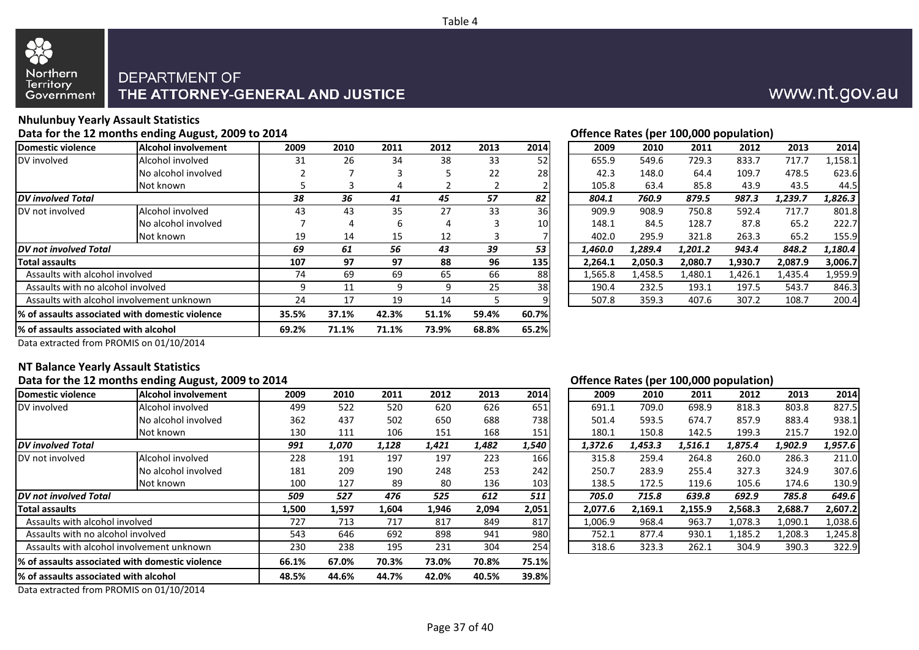

## DEPARTMENT OF THE ATTORNEY-GENERAL AND JUSTICE

### **Nhulunbuy Yearly Assault Statistics**

|                                                  | Offence Rates (per 100,000 population)                                                                                                                                                      |                                                             |       |       |       |                 |         |         |         |         |         |         |
|--------------------------------------------------|---------------------------------------------------------------------------------------------------------------------------------------------------------------------------------------------|-------------------------------------------------------------|-------|-------|-------|-----------------|---------|---------|---------|---------|---------|---------|
| Alcohol involvement                              | 2009                                                                                                                                                                                        | 2010                                                        | 2011  | 2012  | 2013  | 2014            | 2009    | 2010    | 2011    | 2012    | 2013    | 2014    |
| Alcohol involved                                 | 31                                                                                                                                                                                          | 26                                                          | 34    | 38    | 33    | 52              | 655.9   | 549.6   | 729.3   | 833.7   | 717.7   | 1,158.1 |
| No alcohol involved                              |                                                                                                                                                                                             |                                                             |       | 5     | 22    | <b>28</b>       | 42.3    | 148.0   | 64.4    | 109.7   | 478.5   | 623.6   |
| Not known                                        |                                                                                                                                                                                             |                                                             |       |       |       |                 | 105.8   | 63.4    | 85.8    | 43.9    | 43.5    | 44.5    |
|                                                  | 38                                                                                                                                                                                          | 36                                                          | 41    | 45    | 57    | 82              | 804.1   | 760.9   | 879.5   | 987.3   | 1,239.7 | 1,826.3 |
| Alcohol involved                                 | 43                                                                                                                                                                                          | 43                                                          | 35    | 27    | 33    | 36              | 909.9   | 908.9   | 750.8   | 592.4   | 717.7   | 801.8   |
| No alcohol involved                              |                                                                                                                                                                                             |                                                             | 6     | 4     |       | 10 <sup>1</sup> | 148.1   | 84.5    | 128.7   | 87.8    | 65.2    | 222.7   |
| Not known                                        | 19                                                                                                                                                                                          | 14                                                          | 15    | 12    |       |                 | 402.0   | 295.9   | 321.8   | 263.3   | 65.2    | 155.9   |
|                                                  | 69                                                                                                                                                                                          | 61                                                          | 56    | 43    | 39    | 53              | 1,460.0 | 1,289.4 | 1,201.2 | 943.4   | 848.2   | 1,180.4 |
|                                                  | 107                                                                                                                                                                                         | 97                                                          | 97    | 88    | 96    | 135             | 2,264.1 | 2,050.3 | 2,080.7 | 1,930.7 | 2,087.9 | 3,006.7 |
|                                                  | 74                                                                                                                                                                                          | 69                                                          | 69    | 65    | 66    | 88              | 1,565.8 | 1,458.5 | 1,480.1 | 1,426.1 | 1,435.4 | 1,959.9 |
|                                                  | 9                                                                                                                                                                                           | 11                                                          | 9     | 9     | 25    | 38              | 190.4   | 232.5   | 193.1   | 197.5   | 543.7   | 846.3   |
|                                                  | 24                                                                                                                                                                                          | 17                                                          | 19    | 14    |       |                 | 507.8   | 359.3   | 407.6   | 307.2   | 108.7   | 200.4   |
| 1% of assaults associated with domestic violence |                                                                                                                                                                                             | 37.1%                                                       | 42.3% | 51.1% | 59.4% | 60.7%           |         |         |         |         |         |         |
|                                                  | 69.2%                                                                                                                                                                                       | 71.1%                                                       | 71.1% | 73.9% | 68.8% | 65.2%           |         |         |         |         |         |         |
|                                                  | <b>IDV</b> not involved Total<br>Assaults with alcohol involved<br>Assaults with no alcohol involved<br>Assaults with alcohol involvement unknown<br>1% of assaults associated with alcohol | Data for the 12 months ending August, 2009 to 2014<br>35.5% |       |       |       |                 |         |         |         |         |         |         |

| 2009    | 2010    | 2011    | 2012    | 2013    | 2014    |
|---------|---------|---------|---------|---------|---------|
| 655.9   | 549.6   | 729.3   | 833.7   | 717.7   | 1,158.1 |
| 42.3    | 148.0   | 64.4    | 109.7   | 478.5   | 623.6   |
| 105.8   | 63.4    | 85.8    | 43.9    | 43.5    | 44.5    |
| 804.1   | 760.9   | 879.5   | 987.3   | 1,239.7 | 1,826.3 |
| 909.9   | 908.9   | 750.8   | 592.4   | 717.7   | 801.8   |
| 148.1   | 84.5    | 128.7   | 87.8    | 65.2    | 222.7   |
| 402.0   | 295.9   | 321.8   | 263.3   | 65.2    | 155.9   |
| 1,460.0 | 1,289.4 | 1,201.2 | 943.4   | 848.2   | 1,180.4 |
| 2,264.1 | 2,050.3 | 2,080.7 | 1,930.7 | 2,087.9 | 3,006.7 |
| 1,565.8 | 1,458.5 | 1,480.1 | 1,426.1 | 1,435.4 | 1,959.9 |
| 190.4   | 232.5   | 193.1   | 197.5   | 543.7   | 846.3   |
| 507.8   | 359.3   | 407.6   | 307.2   | 108.7   | 200.4   |
|         |         |         |         |         |         |

www.nt.gov.au

Data extracted from PROMIS on 01/10/2014

#### **NT Balance Yearly Assault Statistics**

#### Data for the 12 months ending August, 2009 to 2014 **Data for the 12 months ending August, 2009 to 2014 Contract Contract Contract Contract Contract Contract Contract Contract Contract Contract Contract Contract Contract**

| Domestic violence                                | <b>Alcohol involvement</b> | 2009  | 2010  | 2011  | 2012  | 2013  | 2014  | 2009    | 2010    | 2011    | 2012    | 2013    | 2014    |
|--------------------------------------------------|----------------------------|-------|-------|-------|-------|-------|-------|---------|---------|---------|---------|---------|---------|
| DV involved                                      | Alcohol involved           | 499   | 522   | 520   | 620   | 626   | 651   | 691.1   | 709.0   | 698.9   | 818.3   | 803.8   | 827.5   |
|                                                  | No alcohol involved        | 362   | 437   | 502   | 650   | 688   | 738   | 501.4   | 593.5   | 674.7   | 857.9   | 883.4   | 938.1   |
|                                                  | Not known                  | 130   | 111   | 106   | 151   | 168   | 151   | 180.1   | 150.8   | 142.5   | 199.3   | 215.7   | 192.0   |
| <b>DV</b> involved Total                         |                            | 991   | 1,070 | 1,128 | 1,421 | 1,482 | 1,540 | 1,372.6 | 1,453.3 | 1,516.1 | 1,875.4 | 1,902.9 | 1,957.6 |
| DV not involved                                  | Alcohol involved           | 228   | 191   | 197   | 197   | 223   | 166   | 315.8   | 259.4   | 264.8   | 260.0   | 286.3   | 211.0   |
|                                                  | No alcohol involved        | 181   | 209   | 190   | 248   | 253   | 242   | 250.7   | 283.9   | 255.4   | 327.3   | 324.9   | 307.6   |
|                                                  | Not known                  | 100   | 127   | 89    | 80    | 136   | 103   | 138.5   | 172.5   | 119.6   | 105.6   | 174.6   | 130.9   |
| <b>IDV not involved Total</b>                    |                            | 509   | 527   | 476   | 525   | 612   | 511   | 705.0   | 715.8   | 639.8   | 692.9   | 785.8   | 649.6   |
| <b>Total assaults</b>                            |                            | 1,500 | 1,597 | 1,604 | 1,946 | 2,094 | 2,051 | 2,077.6 | 2,169.1 | 2,155.9 | 2,568.3 | 2,688.7 | 2,607.2 |
| Assaults with alcohol involved                   |                            | 727   | 713   | 717   | 817   | 849   | 817   | 1,006.9 | 968.4   | 963.7   | 1,078.3 | 1,090.1 | 1,038.6 |
| Assaults with no alcohol involved                |                            | 543   | 646   | 692   | 898   | 941   | 980   | 752.1   | 877.4   | 930.1   | 1,185.2 | 1,208.3 | .,245.8 |
| Assaults with alcohol involvement unknown        |                            | 230   | 238   | 195   | 231   | 304   | 254   | 318.6   | 323.3   | 262.1   | 304.9   | 390.3   | 322.9   |
| 1% of assaults associated with domestic violence |                            | 66.1% | 67.0% | 70.3% | 73.0% | 70.8% | 75.1% |         |         |         |         |         |         |
| % of assaults associated with alcohol            |                            | 48.5% | 44.6% | 44.7% | 42.0% | 40.5% | 39.8% |         |         |         |         |         |         |
|                                                  |                            |       |       |       |       |       |       |         |         |         |         |         |         |

| 2009    | 2010    | 2011    | 2012    | 2013    | 2014    |
|---------|---------|---------|---------|---------|---------|
| 691.1   | 709.0   | 698.9   | 818.3   | 803.8   | 827.5   |
| 501.4   | 593.5   | 674.7   | 857.9   | 883.4   | 938.1   |
| 180.1   | 150.8   | 142.5   | 199.3   | 215.7   | 192.0   |
| 1,372.6 | 1,453.3 | 1,516.1 | 1,875.4 | 1,902.9 | 1,957.6 |
| 315.8   | 259.4   | 264.8   | 260.0   | 286.3   | 211.0   |
| 250.7   | 283.9   | 255.4   | 327.3   | 324.9   | 307.6   |
| 138.5   | 172.5   | 119.6   | 105.6   | 174.6   | 130.9   |
| 705.0   | 715.8   | 639.8   | 692.9   | 785.8   | 649.6   |
| 2,077.6 | 2,169.1 | 2,155.9 | 2,568.3 | 2,688.7 | 2,607.2 |
| 1,006.9 | 968.4   | 963.7   | 1,078.3 | 1,090.1 | 1,038.6 |
| 752.1   | 877.4   | 930.1   | 1,185.2 | 1,208.3 | 1,245.8 |
| 318.6   | 323.3   | 262.1   | 304.9   | 390.3   | 322.9   |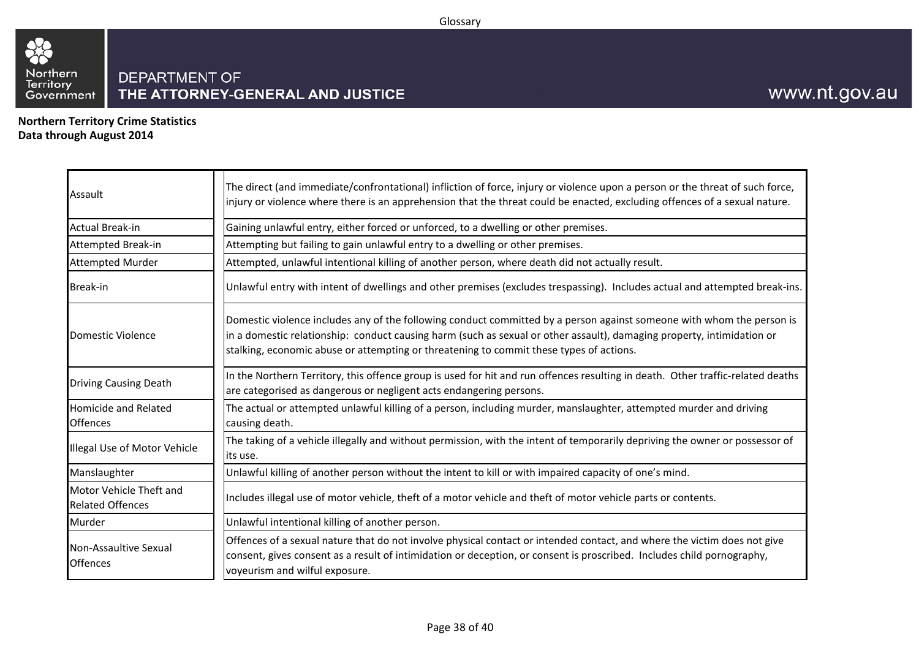#### Glossary



<span id="page-37-0"></span>**Northern Territory Crime Statistics Data through August 2014**

| Assault                                            | The direct (and immediate/confrontational) infliction of force, injury or violence upon a person or the threat of such force,<br>injury or violence where there is an apprehension that the threat could be enacted, excluding offences of a sexual nature.                                                                                |
|----------------------------------------------------|--------------------------------------------------------------------------------------------------------------------------------------------------------------------------------------------------------------------------------------------------------------------------------------------------------------------------------------------|
| Actual Break-in                                    | Gaining unlawful entry, either forced or unforced, to a dwelling or other premises.                                                                                                                                                                                                                                                        |
| Attempted Break-in                                 | Attempting but failing to gain unlawful entry to a dwelling or other premises.                                                                                                                                                                                                                                                             |
| <b>Attempted Murder</b>                            | Attempted, unlawful intentional killing of another person, where death did not actually result.                                                                                                                                                                                                                                            |
| Break-in                                           | Unlawful entry with intent of dwellings and other premises (excludes trespassing). Includes actual and attempted break-ins.                                                                                                                                                                                                                |
| Domestic Violence                                  | Domestic violence includes any of the following conduct committed by a person against someone with whom the person is<br>in a domestic relationship: conduct causing harm (such as sexual or other assault), damaging property, intimidation or<br>stalking, economic abuse or attempting or threatening to commit these types of actions. |
| Driving Causing Death                              | In the Northern Territory, this offence group is used for hit and run offences resulting in death. Other traffic-related deaths<br>are categorised as dangerous or negligent acts endangering persons.                                                                                                                                     |
| <b>Homicide and Related</b><br><b>Offences</b>     | The actual or attempted unlawful killing of a person, including murder, manslaughter, attempted murder and driving<br>causing death.                                                                                                                                                                                                       |
| Illegal Use of Motor Vehicle                       | The taking of a vehicle illegally and without permission, with the intent of temporarily depriving the owner or possessor of<br>its use.                                                                                                                                                                                                   |
| Manslaughter                                       | Unlawful killing of another person without the intent to kill or with impaired capacity of one's mind.                                                                                                                                                                                                                                     |
| Motor Vehicle Theft and<br><b>Related Offences</b> | Includes illegal use of motor vehicle, theft of a motor vehicle and theft of motor vehicle parts or contents.                                                                                                                                                                                                                              |
| Murder                                             | Unlawful intentional killing of another person.                                                                                                                                                                                                                                                                                            |
| Non-Assaultive Sexual<br><b>Offences</b>           | Offences of a sexual nature that do not involve physical contact or intended contact, and where the victim does not give<br>consent, gives consent as a result of intimidation or deception, or consent is proscribed. Includes child pornography,<br>voyeurism and wilful exposure.                                                       |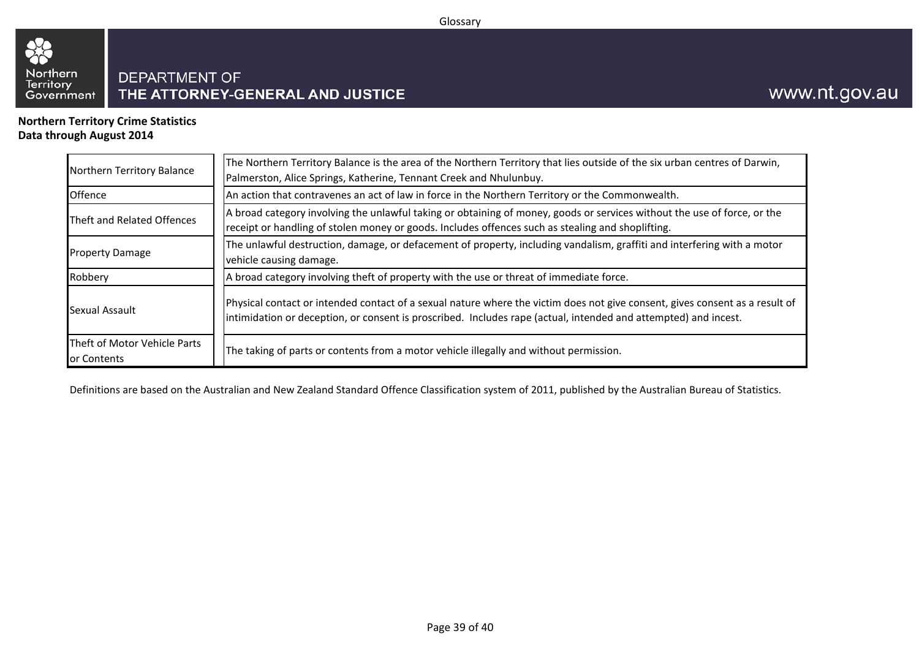#### Glossary



**Northern Territory Crime Statistics Data through August 2014**

| Northern Territory Balance                  | The Northern Territory Balance is the area of the Northern Territory that lies outside of the six urban centres of Darwin,<br>Palmerston, Alice Springs, Katherine, Tennant Creek and Nhulunbuy.                                                |  |  |  |  |  |  |  |
|---------------------------------------------|-------------------------------------------------------------------------------------------------------------------------------------------------------------------------------------------------------------------------------------------------|--|--|--|--|--|--|--|
| Offence                                     | An action that contravenes an act of law in force in the Northern Territory or the Commonwealth.                                                                                                                                                |  |  |  |  |  |  |  |
| Theft and Related Offences                  | A broad category involving the unlawful taking or obtaining of money, goods or services without the use of force, or the<br>receipt or handling of stolen money or goods. Includes offences such as stealing and shoplifting.                   |  |  |  |  |  |  |  |
| <b>Property Damage</b>                      | The unlawful destruction, damage, or defacement of property, including vandalism, graffiti and interfering with a motor<br>vehicle causing damage.                                                                                              |  |  |  |  |  |  |  |
| Robbery                                     | A broad category involving theft of property with the use or threat of immediate force.                                                                                                                                                         |  |  |  |  |  |  |  |
| Sexual Assault                              | Physical contact or intended contact of a sexual nature where the victim does not give consent, gives consent as a result of<br>intimidation or deception, or consent is proscribed. Includes rape (actual, intended and attempted) and incest. |  |  |  |  |  |  |  |
| Theft of Motor Vehicle Parts<br>or Contents | The taking of parts or contents from a motor vehicle illegally and without permission.                                                                                                                                                          |  |  |  |  |  |  |  |

Definitions are based on the Australian and New Zealand Standard Offence Classification system of 2011, published by the Australian Bureau of Statistics.